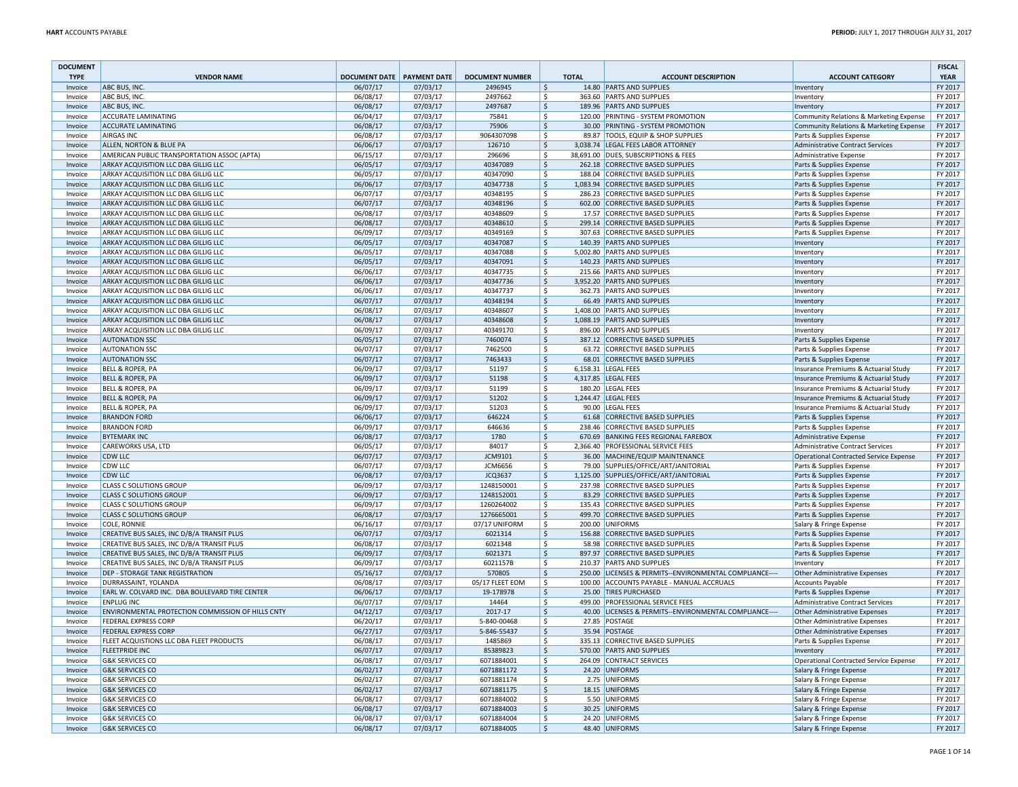| <b>DOCUMENT</b>    |                                                   |                              |                      |                             |            |              |                                                                         |                                                                     | <b>FISCAL</b>      |
|--------------------|---------------------------------------------------|------------------------------|----------------------|-----------------------------|------------|--------------|-------------------------------------------------------------------------|---------------------------------------------------------------------|--------------------|
| <b>TYPE</b>        | <b>VENDOR NAME</b>                                | DOCUMENT DATE   PAYMENT DATE |                      | <b>DOCUMENT NUMBER</b>      |            | <b>TOTAL</b> | <b>ACCOUNT DESCRIPTION</b>                                              | <b>ACCOUNT CATEGORY</b>                                             | <b>YEAR</b>        |
| Invoice            | ABC BUS, INC.                                     | 06/07/17                     | 07/03/17             | 2496945                     | \$         |              | 14.80 PARTS AND SUPPLIES                                                | Inventory                                                           | FY 2017            |
| Invoice            | ABC BUS, INC.                                     | 06/08/17                     | 07/03/17             | 2497662                     | ۱\$        |              | 363.60 PARTS AND SUPPLIES                                               | Inventory                                                           | FY 2017            |
| Invoice            | ABC BUS, INC.                                     | 06/08/17                     | 07/03/17             | 2497687                     | \$<br>۱\$  |              | 189.96 PARTS AND SUPPLIES<br>120.00 PRINTING - SYSTEM PROMOTION         | Inventory                                                           | FY 2017            |
| Invoice            | ACCURATE LAMINATING                               | 06/04/17                     | 07/03/17             | 75841                       | l\$        |              |                                                                         | Community Relations & Marketing Expense                             | FY 2017            |
| Invoice<br>Invoice | <b>ACCURATE LAMINATING</b><br>AIRGAS INC          | 06/08/17<br>06/08/17         | 07/03/17<br>07/03/17 | 75906<br>9064307098         | ۱\$        |              | 30.00 PRINTING - SYSTEM PROMOTION<br>89.87 TOOLS, EQUIP & SHOP SUPPLIES | Community Relations & Marketing Expense<br>Parts & Supplies Expense | FY 2017<br>FY 2017 |
| Invoice            | ALLEN, NORTON & BLUE PA                           | 06/06/17                     | 07/03/17             | 126710                      | $\vert$ \$ |              | 3,038.74 LEGAL FEES LABOR ATTORNEY                                      | Administrative Contract Services                                    | FY 2017            |
| Invoice            | AMERICAN PUBLIC TRANSPORTATION ASSOC (APTA)       | 06/15/17                     | 07/03/17             | 296696                      | ۱\$        |              | 38,691.00 DUES, SUBSCRIPTIONS & FEES                                    | Administrative Expense                                              | FY 2017            |
| Invoice            | ARKAY ACQUISITION LLC DBA GILLIG LLC              | 06/05/17                     | 07/03/17             | 40347089                    | \$         |              | 262.18 CORRECTIVE BASED SUPPLIES                                        | Parts & Supplies Expense                                            | FY 2017            |
| Invoice            | ARKAY ACQUISITION LLC DBA GILLIG LLC              | 06/05/17                     | 07/03/17             | 40347090                    | ۱\$        |              | 188.04 CORRECTIVE BASED SUPPLIES                                        | Parts & Supplies Expense                                            | FY 2017            |
| Invoice            | ARKAY ACQUISITION LLC DBA GILLIG LLC              | 06/06/17                     | 07/03/17             | 40347738                    | l\$        |              | 1,083.94 CORRECTIVE BASED SUPPLIES                                      | Parts & Supplies Expense                                            | FY 2017            |
| Invoice            | ARKAY ACQUISITION LLC DBA GILLIG LLC              | 06/07/17                     | 07/03/17             | 40348195                    | \$         |              | 286.23 CORRECTIVE BASED SUPPLIES                                        | Parts & Supplies Expense                                            | FY 2017            |
| Invoice            | ARKAY ACQUISITION LLC DBA GILLIG LLC              | 06/07/17                     | 07/03/17             | 40348196                    | \$         |              | 602.00 CORRECTIVE BASED SUPPLIES                                        | Parts & Supplies Expense                                            | FY 2017            |
| Invoice            | ARKAY ACQUISITION LLC DBA GILLIG LLC              | 06/08/17                     | 07/03/17             | 40348609                    | \$         |              | 17.57 CORRECTIVE BASED SUPPLIES                                         | Parts & Supplies Expense                                            | FY 2017            |
| Invoice            | ARKAY ACQUISITION LLC DBA GILLIG LLC              | 06/08/17                     | 07/03/17             | 40348610                    | \$         |              | 299.14 CORRECTIVE BASED SUPPLIES                                        | Parts & Supplies Expense                                            | FY 2017            |
| Invoice            | ARKAY ACQUISITION LLC DBA GILLIG LLC              | 06/09/17                     | 07/03/17             | 40349169                    | \$         |              | 307.63 CORRECTIVE BASED SUPPLIES                                        | Parts & Supplies Expense                                            | FY 2017            |
| Invoice            | ARKAY ACQUISITION LLC DBA GILLIG LLC              | 06/05/17                     | 07/03/17             | 40347087                    | \$         |              | 140.39 PARTS AND SUPPLIES                                               | Inventory                                                           | FY 2017            |
| Invoice            | ARKAY ACQUISITION LLC DBA GILLIG LLC              | 06/05/17                     | 07/03/17             | 40347088                    | \$         |              | 5,002.80 PARTS AND SUPPLIES                                             | Inventory                                                           | FY 2017            |
| Invoice            | ARKAY ACQUISITION LLC DBA GILLIG LLC              | 06/05/17                     | 07/03/17             | 40347091                    | l\$        |              | 140.23 PARTS AND SUPPLIES                                               | Inventory                                                           | FY 2017            |
| Invoice            | ARKAY ACQUISITION LLC DBA GILLIG LLC              | 06/06/17                     | 07/03/17             | 40347735                    | ۱\$        |              | 215.66 PARTS AND SUPPLIES                                               | Inventory                                                           | FY 2017            |
| Invoice            | ARKAY ACQUISITION LLC DBA GILLIG LLC              | 06/06/17                     | 07/03/17             | 40347736                    | \$         |              | 3,952.20 PARTS AND SUPPLIES                                             | Inventory                                                           | FY 2017            |
| Invoice            | ARKAY ACQUISITION LLC DBA GILLIG LLC              | 06/06/17                     | 07/03/17             | 40347737                    | ۱\$        |              | 362.73 PARTS AND SUPPLIES                                               | Inventory                                                           | FY 2017            |
| Invoice            | ARKAY ACQUISITION LLC DBA GILLIG LLC              | 06/07/17                     | 07/03/17             | 40348194                    | l\$        |              | 66.49 PARTS AND SUPPLIES                                                | Inventory                                                           | FY 2017            |
| Invoice            | ARKAY ACQUISITION LLC DBA GILLIG LLC              | 06/08/17                     | 07/03/17             | 40348607                    | ۱\$        |              | 1,408.00 PARTS AND SUPPLIES                                             | Inventory                                                           | FY 2017            |
| Invoice            | ARKAY ACQUISITION LLC DBA GILLIG LLC              | 06/08/17                     | 07/03/17             | 40348608                    | \$         |              | 1,088.19 PARTS AND SUPPLIES                                             | Inventory                                                           | FY 2017            |
| Invoice            | ARKAY ACQUISITION LLC DBA GILLIG LLC              | 06/09/17                     | 07/03/17             | 40349170                    | ۱\$        |              | 896.00 PARTS AND SUPPLIES                                               | Inventory                                                           | FY 2017            |
| Invoice            | <b>AUTONATION SSC</b>                             | 06/05/17                     | 07/03/17             | 7460074                     | l\$        |              | 387.12 CORRECTIVE BASED SUPPLIES                                        | Parts & Supplies Expense                                            | FY 2017            |
| Invoice            | <b>AUTONATION SSC</b>                             | 06/07/17                     | 07/03/17             | 7462500                     | ۱\$        |              | 63.72 CORRECTIVE BASED SUPPLIES                                         | Parts & Supplies Expense                                            | FY 2017            |
| Invoice            | <b>AUTONATION SSC</b>                             | 06/07/17                     | 07/03/17             | 7463433                     | \$         |              | 68.01 CORRECTIVE BASED SUPPLIES                                         | Parts & Supplies Expense                                            | FY 2017            |
| Invoice            | BELL & ROPER, PA                                  | 06/09/17                     | 07/03/17             | 51197                       | ۱\$        |              | 6,158.31 LEGAL FEES                                                     | Insurance Premiums & Actuarial Study                                | FY 2017            |
| Invoice            | <b>BELL &amp; ROPER, PA</b>                       | 06/09/17                     | 07/03/17             | 51198                       | l\$        |              | 4,317.85   LEGAL FEES                                                   | Insurance Premiums & Actuarial Study                                | FY 2017            |
| Invoice            | BELL & ROPER, PA                                  | 06/09/17                     | 07/03/17             | 51199                       | ۱\$        |              | 180.20 LEGAL FEES                                                       | Insurance Premiums & Actuarial Study                                | FY 2017            |
| Invoice            | <b>BELL &amp; ROPER, PA</b>                       | 06/09/17                     | 07/03/17             | 51202                       | \$         |              | 1,244.47 LEGAL FEES                                                     | Insurance Premiums & Actuarial Study                                | FY 2017            |
| Invoice            | BELL & ROPER, PA                                  | 06/09/17                     | 07/03/17             | 51203                       | ۱\$        |              | 90.00 LEGAL FEES                                                        | Insurance Premiums & Actuarial Study                                | FY 2017            |
| Invoice            | <b>BRANDON FORD</b>                               | 06/06/17                     | 07/03/17             | 646224                      | l\$        |              | 61.68 CORRECTIVE BASED SUPPLIES                                         | Parts & Supplies Expense                                            | FY 2017            |
| Invoice            | <b>BRANDON FORD</b>                               | 06/09/17                     | 07/03/17             | 646636                      | \$         |              | 238.46 CORRECTIVE BASED SUPPLIES                                        | Parts & Supplies Expense                                            | FY 2017            |
| Invoice            | <b>BYTEMARK INC</b>                               | 06/08/17                     | 07/03/17             | 1780                        | \$         |              | 670.69 BANKING FEES REGIONAL FAREBOX                                    | Administrative Expense                                              | FY 2017            |
| Invoice            | CAREWORKS USA, LTD                                | 06/05/17                     | 07/03/17             | 84017                       | \$         |              | 2,366.40 PROFESSIONAL SERVICE FEES                                      | Administrative Contract Services                                    | FY 2017            |
| Invoice            | <b>CDW LLC</b>                                    | 06/07/17                     | 07/03/17             | JCM9101                     | \$         |              | 36.00 MACHINE/EQUIP MAINTENANCE                                         | Operational Contracted Service Expense                              | FY 2017            |
| Invoice            | <b>CDW LLC</b>                                    | 06/07/17                     | 07/03/17             | <b>JCM6656</b>              | \$         |              | 79.00 SUPPLIES/OFFICE/ART/JANITORIAL                                    | Parts & Supplies Expense                                            | FY 2017            |
| Invoice            | CDW LLC                                           | 06/08/17                     | 07/03/17             | JCQ3637                     | \$         |              | 1,125.00 SUPPLIES/OFFICE/ART/JANITORIAL                                 | Parts & Supplies Expense                                            | FY 2017            |
| Invoice            | <b>CLASS C SOLUTIONS GROUP</b>                    | 06/09/17                     | 07/03/17             | 1248150001                  | ۱\$        |              | 237.98 CORRECTIVE BASED SUPPLIES                                        | Parts & Supplies Expense                                            | FY 2017            |
| Invoice            | <b>CLASS C SOLUTIONS GROUP</b>                    | 06/09/17                     | 07/03/17             | 1248152001                  | \$         |              | 83.29 CORRECTIVE BASED SUPPLIES                                         | Parts & Supplies Expense                                            | FY 2017            |
| Invoice            | <b>CLASS C SOLUTIONS GROUP</b>                    | 06/09/17                     | 07/03/17             | 1260264002                  | ۱\$        |              | 135.43 CORRECTIVE BASED SUPPLIES                                        | Parts & Supplies Expense                                            | FY 2017            |
| Invoice<br>Invoice | <b>CLASS C SOLUTIONS GROUP</b><br>COLE, RONNIE    | 06/08/17<br>06/16/17         | 07/03/17<br>07/03/17 | 1276665001<br>07/17 UNIFORM | \$<br>۱\$  |              | 499.70 CORRECTIVE BASED SUPPLIES<br>200.00 UNIFORMS                     | Parts & Supplies Expense                                            | FY 2017<br>FY 2017 |
|                    | CREATIVE BUS SALES, INC D/B/A TRANSIT PLUS        | 06/07/17                     | 07/03/17             | 6021314                     | \$         |              | 156.88 CORRECTIVE BASED SUPPLIES                                        | Salary & Fringe Expense                                             | FY 2017            |
| Invoice<br>Invoice | CREATIVE BUS SALES, INC D/B/A TRANSIT PLUS        | 06/08/17                     | 07/03/17             | 6021348                     | ۱\$        |              | 58.98 CORRECTIVE BASED SUPPLIES                                         | Parts & Supplies Expense<br>Parts & Supplies Expense                | FY 2017            |
| Invoice            | CREATIVE BUS SALES, INC D/B/A TRANSIT PLUS        | 06/09/17                     | 07/03/17             | 6021371                     | l\$        |              | 897.97 CORRECTIVE BASED SUPPLIES                                        | Parts & Supplies Expense                                            | FY 2017            |
| Invoice            | CREATIVE BUS SALES, INC D/B/A TRANSIT PLUS        | 06/09/17                     | 07/03/17             | 6021157B                    | ۱\$        |              | 210.37 PARTS AND SUPPLIES                                               | Inventory                                                           | FY 2017            |
| Invoice            | <b>DEP - STORAGE TANK REGISTRATION</b>            | 05/16/17                     | 07/03/17             | 570805                      | \$         |              | 250.00 LICENSES & PERMITS--ENVIRONMENTAL COMPLIANCE----                 | <b>Other Administrative Expenses</b>                                | FY 2017            |
| Invoice            | DURRASSAINT, YOLANDA                              | 06/08/17                     | 07/03/17             | 05/17 FLEET EOM             | ۱\$        |              | 100.00 ACCOUNTS PAYABLE - MANUAL ACCRUALS                               | <b>Accounts Payable</b>                                             | FY 2017            |
| Invoice            | EARL W. COLVARD INC. DBA BOULEVARD TIRE CENTER    | 06/06/17                     | 07/03/17             | 19-178978                   | l\$        |              | 25.00 TIRES PURCHASED                                                   | Parts & Supplies Expense                                            | FY 2017            |
| Invoice            | ENPLUG INC                                        | 06/07/17                     | 07/03/17             | 14464                       | ۱\$        |              | 499.00 PROFESSIONAL SERVICE FEES                                        | <b>Administrative Contract Services</b>                             | FY 2017            |
| Invoice            | ENVIRONMENTAL PROTECTION COMMISSION OF HILLS CNTY | 04/12/17                     | 07/03/17             | 2017-17                     | \$         |              | 40.00 LICENSES & PERMITS--ENVIRONMENTAL COMPLIANCE---                   | Other Administrative Expenses                                       | FY 2017            |
| Invoice            | <b>FEDERAL EXPRESS CORP</b>                       | 06/20/17                     | 07/03/17             | 5-840-00468                 | ۱\$        |              | 27.85 POSTAGE                                                           | <b>Other Administrative Expenses</b>                                | FY 2017            |
| Invoice            | <b>FEDERAL EXPRESS CORP</b>                       | 06/27/17                     | 07/03/17             | 5-846-55437                 | S.         |              | 35.94 POSTAGE                                                           | <b>Other Administrative Expenses</b>                                | FY 2017            |
| Invoice            | FLEET ACQUISTIONS LLC DBA FLEET PRODUCTS          | 06/08/17                     | 07/03/17             | 1485869                     | l\$        |              | 335.13 CORRECTIVE BASED SUPPLIES                                        | Parts & Supplies Expense                                            | FY 2017            |
| Invoice            | <b>FLEETPRIDE INC</b>                             | 06/07/17                     | 07/03/17             | 85389823                    | \$         |              | 570.00 PARTS AND SUPPLIES                                               | Inventory                                                           | FY 2017            |
| Invoice            | <b>G&amp;K SERVICES CO</b>                        | 06/08/17                     | 07/03/17             | 6071884001                  | \$         |              | 264.09 CONTRACT SERVICES                                                | Operational Contracted Service Expense                              | FY 2017            |
| Invoice            | <b>G&amp;K SERVICES CO</b>                        | 06/02/17                     | 07/03/17             | 6071881172                  | \$         |              | 24.20 UNIFORMS                                                          | Salary & Fringe Expense                                             | FY 2017            |
| Invoice            | <b>G&amp;K SERVICES CO</b>                        | 06/02/17                     | 07/03/17             | 6071881174                  | \$         |              | 2.75 UNIFORMS                                                           | Salary & Fringe Expense                                             | FY 2017            |
| Invoice            | <b>G&amp;K SERVICES CO</b>                        | 06/02/17                     | 07/03/17             | 6071881175                  | \$         |              | 18.15 UNIFORMS                                                          | Salary & Fringe Expense                                             | FY 2017            |
| Invoice            | <b>G&amp;K SERVICES CO</b>                        | 06/08/17                     | 07/03/17             | 6071884002                  | \$         |              | 5.50 UNIFORMS                                                           | Salary & Fringe Expense                                             | FY 2017            |
| Invoice            | <b>G&amp;K SERVICES CO</b>                        | 06/08/17                     | 07/03/17             | 6071884003                  | \$         |              | 30.25 UNIFORMS                                                          | Salary & Fringe Expense                                             | FY 2017            |
| Invoice            | <b>G&amp;K SERVICES CO</b>                        | 06/08/17                     | 07/03/17             | 6071884004                  | l\$        |              | 24.20 UNIFORMS                                                          | Salary & Fringe Expense                                             | FY 2017            |
| Invoice            | <b>G&amp;K SERVICES CO</b>                        | 06/08/17                     | 07/03/17             | 6071884005                  | S.         |              | 48.40 UNIFORMS                                                          | Salary & Fringe Expense                                             | FY 2017            |
|                    |                                                   |                              |                      |                             |            |              |                                                                         |                                                                     |                    |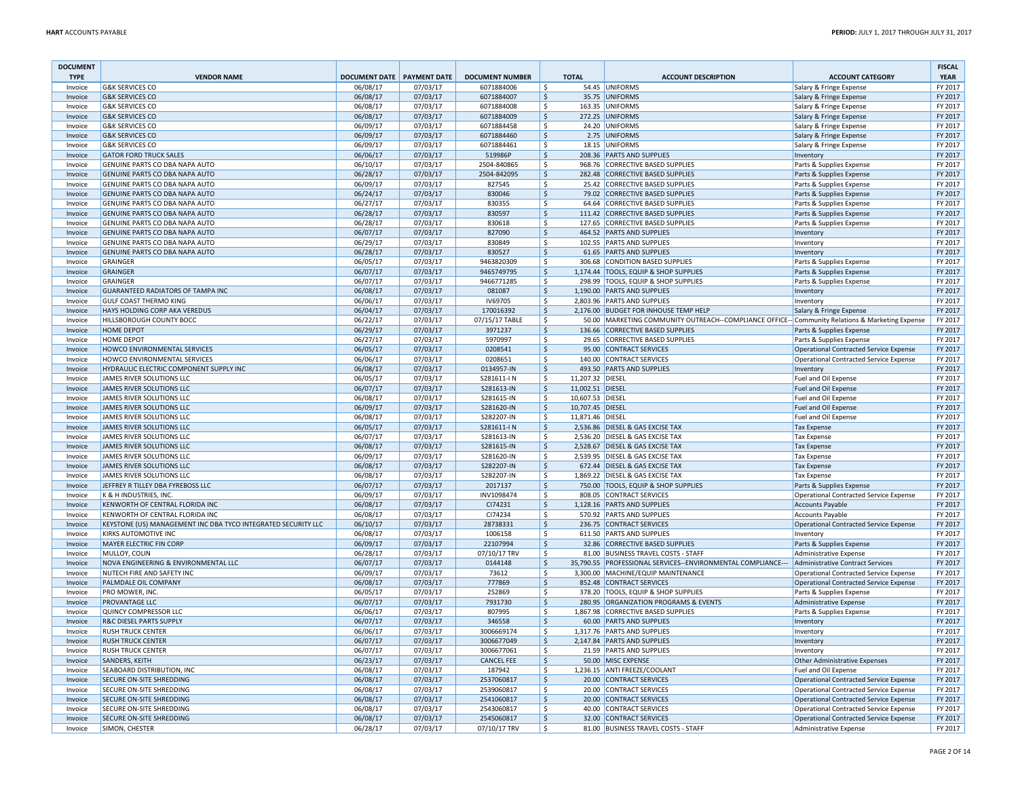| <b>DOCUMENT</b><br><b>TYPE</b> | <b>VENDOR NAME</b>                                             | <b>DOCUMENT DATE PAYMENT DATE</b> |                      | <b>DOCUMENT NUMBER</b>      | <b>TOTAL</b>                       | <b>ACCOUNT DESCRIPTION</b>                                                                      | <b>ACCOUNT CATEGORY</b>                                                   | <b>FISCAL</b><br><b>YEAR</b> |
|--------------------------------|----------------------------------------------------------------|-----------------------------------|----------------------|-----------------------------|------------------------------------|-------------------------------------------------------------------------------------------------|---------------------------------------------------------------------------|------------------------------|
| Invoice                        | <b>G&amp;K SERVICES CO</b>                                     | 06/08/17                          | 07/03/17             | 6071884006                  | \$                                 | 54.45 UNIFORMS                                                                                  | Salary & Fringe Expense                                                   | FY 2017                      |
| Invoice                        | <b>G&amp;K SERVICES CO</b>                                     | 06/08/17                          | 07/03/17             | 6071884007                  | \$                                 | 35.75 UNIFORMS                                                                                  | Salary & Fringe Expense                                                   | FY 2017                      |
| Invoice                        | <b>G&amp;K SERVICES CO</b>                                     | 06/08/17                          | 07/03/17             | 6071884008                  | \$                                 | 163.35 UNIFORMS                                                                                 | Salary & Fringe Expense                                                   | FY 2017                      |
| Invoice                        | <b>G&amp;K SERVICES CO</b>                                     | 06/08/17                          | 07/03/17             | 6071884009                  | \$                                 | 272.25 UNIFORMS                                                                                 | Salary & Fringe Expense                                                   | FY 2017                      |
| Invoice                        | <b>G&amp;K SERVICES CO</b>                                     | 06/09/17                          | 07/03/17             | 6071884458                  | \$                                 | 24.20 UNIFORMS                                                                                  | Salary & Fringe Expense                                                   | FY 2017                      |
| Invoice                        | <b>G&amp;K SERVICES CO</b>                                     | 06/09/17                          | 07/03/17             | 6071884460                  | \$                                 | 2.75 UNIFORMS                                                                                   | Salary & Fringe Expense                                                   | FY 2017                      |
| Invoice                        | <b>G&amp;K SERVICES CO</b>                                     | 06/09/17                          | 07/03/17             | 6071884461                  | \$                                 | 18.15 UNIFORMS                                                                                  | Salary & Fringe Expense                                                   | FY 2017                      |
| Invoice                        | <b>GATOR FORD TRUCK SALES</b>                                  | 06/06/17                          | 07/03/17             | 519986P                     | \$                                 | 208.36 PARTS AND SUPPLIES                                                                       | Inventory                                                                 | FY 2017                      |
| Invoice                        | GENUINE PARTS CO DBA NAPA AUTO                                 | 06/10/17                          | 07/03/17             | 2504-840865                 | \$                                 | 968.76 CORRECTIVE BASED SUPPLIES                                                                | Parts & Supplies Expense                                                  | FY 2017                      |
| Invoice                        | GENUINE PARTS CO DBA NAPA AUTO                                 | 06/28/17                          | 07/03/17             | 2504-842095                 | \$                                 | 282.48 CORRECTIVE BASED SUPPLIES                                                                | Parts & Supplies Expense                                                  | FY 2017                      |
| Invoice                        | GENUINE PARTS CO DBA NAPA AUTO                                 | 06/09/17                          | 07/03/17             | 827545                      | \$                                 | 25.42 CORRECTIVE BASED SUPPLIES                                                                 | Parts & Supplies Expense                                                  | FY 2017                      |
| Invoice                        | <b>GENUINE PARTS CO DBA NAPA AUTO</b>                          | 06/24/17                          | 07/03/17             | 830046                      | \$                                 | 79.02 CORRECTIVE BASED SUPPLIES                                                                 | Parts & Supplies Expense                                                  | FY 2017                      |
| Invoice                        | GENUINE PARTS CO DBA NAPA AUTO                                 | 06/27/17                          | 07/03/17             | 830355                      | \$                                 | 64.64 CORRECTIVE BASED SUPPLIES                                                                 | Parts & Supplies Expense                                                  | FY 2017                      |
| Invoice                        | GENUINE PARTS CO DBA NAPA AUTO                                 | 06/28/17                          | 07/03/17             | 830597                      | \$                                 | 111.42 CORRECTIVE BASED SUPPLIES                                                                | Parts & Supplies Expense                                                  | FY 2017                      |
| Invoice                        | GENUINE PARTS CO DBA NAPA AUTO                                 | 06/28/17                          | 07/03/17             | 830618                      | \$                                 | 127.65 CORRECTIVE BASED SUPPLIES                                                                | Parts & Supplies Expense                                                  | FY 2017                      |
| Invoice                        | <b>GENUINE PARTS CO DBA NAPA AUTO</b>                          | 06/07/17                          | 07/03/17             | 827090                      | \$                                 | 464.52 PARTS AND SUPPLIES                                                                       | Inventory                                                                 | FY 2017                      |
| Invoice                        | GENUINE PARTS CO DBA NAPA AUTO                                 | 06/29/17                          | 07/03/17             | 830849                      | \$                                 | 102.55 PARTS AND SUPPLIES                                                                       | Inventory                                                                 | FY 2017                      |
| Invoice                        | GENUINE PARTS CO DBA NAPA AUTO                                 | 06/28/17                          | 07/03/17             | 830527                      | \$                                 | 61.65 PARTS AND SUPPLIES                                                                        | Inventory                                                                 | FY 2017                      |
| Invoice                        | <b>GRAINGER</b>                                                | 06/05/17                          | 07/03/17             | 9463820309                  | \$                                 | 306.68 CONDITION BASED SUPPLIES                                                                 | Parts & Supplies Expense                                                  | FY 2017                      |
| Invoice                        | GRAINGER                                                       | 06/07/17                          | 07/03/17             | 9465749795                  | \$                                 | 1,174.44 TOOLS, EQUIP & SHOP SUPPLIES                                                           | Parts & Supplies Expense                                                  | FY 2017<br>FY 2017           |
| Invoice                        | GRAINGER<br><b>GUARANTEED RADIATORS OF TAMPA INC</b>           | 06/07/17                          | 07/03/17             | 9466771285                  | \$                                 | 298.99 TOOLS, EQUIP & SHOP SUPPLIES<br>1,190.00 PARTS AND SUPPLIES                              | Parts & Supplies Expense                                                  | FY 2017                      |
| Invoice                        |                                                                | 06/08/17                          | 07/03/17             | 081087                      | \$<br>\$                           |                                                                                                 | Inventory                                                                 |                              |
| Invoice<br>Invoice             | <b>GULF COAST THERMO KING</b><br>HAYS HOLDING CORP AKA VEREDUS | 06/06/17                          | 07/03/17             | IV69705                     | $\mathsf{\hat{S}}$<br>2.176.00     | 2,803.96 PARTS AND SUPPLIES<br><b>BUDGET FOR INHOUSE TEMP HELP</b>                              | Inventory                                                                 | FY 2017                      |
| Invoice                        | <b>HILLSBOROUGH COUNTY BOCC</b>                                | 06/04/17<br>06/22/17              | 07/03/17<br>07/03/17 | 170016392<br>07/15/17 TABLE | \$                                 | 50.00 MARKETING COMMUNITY OUTREACH--COMPLIANCE OFFICE-- Community Relations & Marketing Expense | Salary & Fringe Expense                                                   | FY 2017<br>FY 2017           |
| Invoice                        | <b>HOME DEPOT</b>                                              |                                   |                      | 3971237                     |                                    | 136.66 CORRECTIVE BASED SUPPLIES                                                                |                                                                           | FY 2017                      |
| Invoice                        | <b>HOME DEPOT</b>                                              | 06/29/17<br>06/27/17              | 07/03/17<br>07/03/17 | 5970997                     | \$                                 | 29.65 CORRECTIVE BASED SUPPLIES                                                                 | Parts & Supplies Expense                                                  | FY 2017                      |
| Invoice                        | HOWCO ENVIRONMENTAL SERVICES                                   | 06/05/17                          | 07/03/17             | 0208541                     | \$<br>\$                           | 95.00 CONTRACT SERVICES                                                                         | Parts & Supplies Expense<br><b>Operational Contracted Service Expense</b> | FY 2017                      |
| Invoice                        | HOWCO ENVIRONMENTAL SERVICES                                   | 06/06/17                          | 07/03/17             | 0208651                     | \$                                 | 140.00 CONTRACT SERVICES                                                                        | <b>Operational Contracted Service Expense</b>                             | FY 2017                      |
| Invoice                        | HYDRAULIC ELECTRIC COMPONENT SUPPLY INC                        | 06/08/17                          | 07/03/17             | 0134957-IN                  | \$                                 | 493.50 PARTS AND SUPPLIES                                                                       | Inventory                                                                 | FY 2017                      |
| Invoice                        | JAMES RIVER SOLUTIONS LLC                                      | 06/05/17                          | 07/03/17             | S281611-IN                  | \$                                 | 11,207.32 DIESEL                                                                                | Fuel and Oil Expense                                                      | FY 2017                      |
| Invoice                        | JAMES RIVER SOLUTIONS LLC                                      | 06/07/17                          | 07/03/17             | S281613-IN                  | \$                                 | 11,002.51 DIESEL                                                                                | Fuel and Oil Expense                                                      | FY 2017                      |
| Invoice                        | JAMES RIVER SOLUTIONS LLC                                      | 06/08/17                          | 07/03/17             | S281615-IN                  | \$                                 | 10,607.53 DIESEL                                                                                | <b>Fuel and Oil Expense</b>                                               | FY 2017                      |
| Invoice                        | JAMES RIVER SOLUTIONS LLC                                      | 06/09/17                          | 07/03/17             | S281620-IN                  | \$                                 | 10,707.45 DIESEL                                                                                | <b>Fuel and Oil Expense</b>                                               | FY 2017                      |
| Invoice                        | JAMES RIVER SOLUTIONS LLC                                      | 06/08/17                          | 07/03/17             | S282207-IN                  | \$                                 | 11,871.46 DIESEL                                                                                | Fuel and Oil Expense                                                      | FY 2017                      |
| Invoice                        | JAMES RIVER SOLUTIONS LLC                                      | 06/05/17                          | 07/03/17             | S281611-IN                  | \$<br>2,536.86                     | <b>DIESEL &amp; GAS EXCISE TAX</b>                                                              | <b>Tax Expense</b>                                                        | FY 2017                      |
| Invoice                        | JAMES RIVER SOLUTIONS LLC                                      | 06/07/17                          | 07/03/17             | S281613-IN                  | \$                                 | 2,536.20 DIESEL & GAS EXCISE TAX                                                                | <b>Tax Expense</b>                                                        | FY 2017                      |
| Invoice                        | JAMES RIVER SOLUTIONS LLC                                      | 06/08/17                          | 07/03/17             | S281615-IN                  | \$                                 | 2,528.67 DIESEL & GAS EXCISE TAX                                                                | <b>Tax Expense</b>                                                        | FY 2017                      |
| Invoice                        | JAMES RIVER SOLUTIONS LLC                                      | 06/09/17                          | 07/03/17             | S281620-IN                  | \$                                 | 2,539.95 DIESEL & GAS EXCISE TAX                                                                | <b>Tax Expense</b>                                                        | FY 2017                      |
| Invoice                        | JAMES RIVER SOLUTIONS LLC                                      | 06/08/17                          | 07/03/17             | S282207-IN                  | $\mathsf{S}$                       | 672.44 DIESEL & GAS EXCISE TAX                                                                  | <b>Tax Expense</b>                                                        | FY 2017                      |
| Invoice                        | JAMES RIVER SOLUTIONS LLC                                      | 06/08/17                          | 07/03/17             | S282207-IN                  | $\mathsf{\hat{S}}$                 | 1,869.22 DIESEL & GAS EXCISE TAX                                                                | <b>Tax Expense</b>                                                        | FY 2017                      |
| Invoice                        | JEFFREY R TILLEY DBA FYREBOSS LLC                              | 06/07/17                          | 07/03/17             | 2017137                     | \$                                 | 750.00 TOOLS, EQUIP & SHOP SUPPLIES                                                             | Parts & Supplies Expense                                                  | FY 2017                      |
| Invoice                        | K & H INDUSTRIES, INC.                                         | 06/09/17                          | 07/03/17             | INV1098474                  | \$                                 | 808.05 CONTRACT SERVICES                                                                        | <b>Operational Contracted Service Expense</b>                             | FY 2017                      |
| Invoice                        | KENWORTH OF CENTRAL FLORIDA INC                                | 06/08/17                          | 07/03/17             | CI74231                     | \$                                 | 1,128.16 PARTS AND SUPPLIES                                                                     | <b>Accounts Payable</b>                                                   | FY 2017                      |
| Invoice                        | KENWORTH OF CENTRAL FLORIDA INC                                | 06/08/17                          | 07/03/17             | CI74234                     | \$                                 | 570.92 PARTS AND SUPPLIES                                                                       | <b>Accounts Payable</b>                                                   | FY 2017                      |
| Invoice                        | KEYSTONE (US) MANAGEMENT INC DBA TYCO INTEGRATED SECURITY LLC  | 06/10/17                          | 07/03/17             | 28738331                    | $\mathsf{S}$                       | 236.75 CONTRACT SERVICES                                                                        | <b>Operational Contracted Service Expense</b>                             | FY 2017                      |
| Invoice                        | <b>KIRKS AUTOMOTIVE INC</b>                                    | 06/08/17                          | 07/03/17             | 1006158                     | $\mathsf{\hat{S}}$                 | 611.50 PARTS AND SUPPLIES                                                                       | Inventory                                                                 | FY 2017                      |
| Invoice                        | <b>MAYER ELECTRIC FIN CORP</b>                                 | 06/09/17                          | 07/03/17             | 22107994                    | $\mathsf{\hat{S}}$                 | 32.86 CORRECTIVE BASED SUPPLIES                                                                 | Parts & Supplies Expense                                                  | FY 2017                      |
| Invoice                        | MULLOY, COLIN                                                  | 06/28/17                          | 07/03/17             | 07/10/17 TRV                | \$                                 | 81.00 BUSINESS TRAVEL COSTS - STAFF                                                             | <b>Administrative Expense</b>                                             | FY 2017                      |
| Invoice                        | NOVA ENGINEERING & ENVIRONMENTAL LLC                           | 06/07/17                          | 07/03/17             | 0144148                     | \$                                 | 35,790.55 PROFESSIONAL SERVICES--ENVIRONMENTAL COMPLIANCE---                                    | Administrative Contract Services                                          | FY 2017                      |
| Invoice                        | NUTECH FIRE AND SAFETY INC<br>PALMDALE OIL COMPANY             | 06/09/17                          | 07/03/17<br>07/03/17 | 73612<br>777869             | \$                                 | 3,300.00 MACHINE/EQUIP MAINTENANCE<br>852.48 CONTRACT SERVICES                                  | <b>Operational Contracted Service Expense</b>                             | FY 2017<br>FY 2017           |
| Invoice                        | PRO MOWER, INC.                                                | 06/08/17                          |                      |                             | $\mathsf{S}$<br>$\mathsf{\hat{S}}$ | 378.20 TOOLS, EQUIP & SHOP SUPPLIES                                                             | <b>Operational Contracted Service Expense</b>                             | FY 2017                      |
| Invoice<br>Invoice             | <b>PROVANTAGE LLC</b>                                          | 06/05/17<br>06/07/17              | 07/03/17<br>07/03/17 | 252869<br>7931730           | \$                                 | 280.95 ORGANIZATION PROGRAMS & EVENTS                                                           | Parts & Supplies Expense                                                  | FY 2017                      |
| Invoice                        | QUINCY COMPRESSOR LLC                                          | 06/06/17                          | 07/03/17             | 807995                      | \$                                 | 1,867.98 CORRECTIVE BASED SUPPLIES                                                              | <b>Administrative Expense</b><br>Parts & Supplies Expense                 | FY 2017                      |
| Invoice                        | <b>R&amp;C DIESEL PARTS SUPPLY</b>                             | 06/07/17                          | 07/03/17             | 346558                      | \$                                 | 60.00 PARTS AND SUPPLIES                                                                        | Inventory                                                                 | FY 2017                      |
| Invoice                        | <b>RUSH TRUCK CENTER</b>                                       | 06/06/17                          | 07/03/17             | 3006669174                  | \$                                 | 1,317.76 PARTS AND SUPPLIES                                                                     | Inventory                                                                 | FY 2017                      |
| Invoice                        | <b>RUSH TRUCK CENTER</b>                                       | 06/07/17                          | 07/03/17             | 3006677049                  | \$                                 | 2,147.84 PARTS AND SUPPLIES                                                                     | Inventory                                                                 | FY 2017                      |
| Invoice                        | <b>RUSH TRUCK CENTER</b>                                       | 06/07/17                          | 07/03/17             | 3006677061                  | \$                                 | 21.59 PARTS AND SUPPLIES                                                                        | Inventory                                                                 | FY 2017                      |
| Invoice                        | <b>SANDERS, KEITH</b>                                          | 06/23/17                          | 07/03/17             | <b>CANCEL FEE</b>           | $\mathsf{\hat{S}}$                 | 50.00 MISC EXPENSE                                                                              | Other Administrative Expenses                                             | FY 2017                      |
| Invoice                        | SEABOARD DISTRIBUTION, INC                                     | 06/08/17                          | 07/03/17             | 187942                      | \$                                 | 1,236.15 ANTI FREEZE/COOLANT                                                                    | Fuel and Oil Expense                                                      | FY 2017                      |
| Invoice                        | <b>SECURE ON-SITE SHREDDING</b>                                | 06/08/17                          | 07/03/17             | 2537060817                  | $\frac{1}{2}$                      | 20.00 CONTRACT SERVICES                                                                         | <b>Operational Contracted Service Expense</b>                             | FY 2017                      |
| Invoice                        | SECURE ON-SITE SHREDDING                                       | 06/08/17                          | 07/03/17             | 2539060817                  | \$                                 | 20.00 CONTRACT SERVICES                                                                         | <b>Operational Contracted Service Expense</b>                             | FY 2017                      |
| Invoice                        | <b>SECURE ON-SITE SHREDDING</b>                                | 06/08/17                          | 07/03/17             | 2541060817                  | \$                                 | 20.00 CONTRACT SERVICES                                                                         | <b>Operational Contracted Service Expense</b>                             | FY 2017                      |
| Invoice                        | SECURE ON-SITE SHREDDING                                       | 06/08/17                          | 07/03/17             | 2543060817                  | $\mathsf{\hat{S}}$                 | 40.00 CONTRACT SERVICES                                                                         | <b>Operational Contracted Service Expense</b>                             | FY 2017                      |
| Invoice                        | SECURE ON-SITE SHREDDING                                       | 06/08/17                          | 07/03/17             | 2545060817                  | $\zeta$                            | 32.00 CONTRACT SERVICES                                                                         | <b>Operational Contracted Service Expense</b>                             | FY 2017                      |
| Invoice                        | SIMON, CHESTER                                                 | 06/28/17                          | 07/03/17             | 07/10/17 TRV                | \$                                 | 81.00 BUSINESS TRAVEL COSTS - STAFF                                                             | Administrative Expense                                                    | FY 2017                      |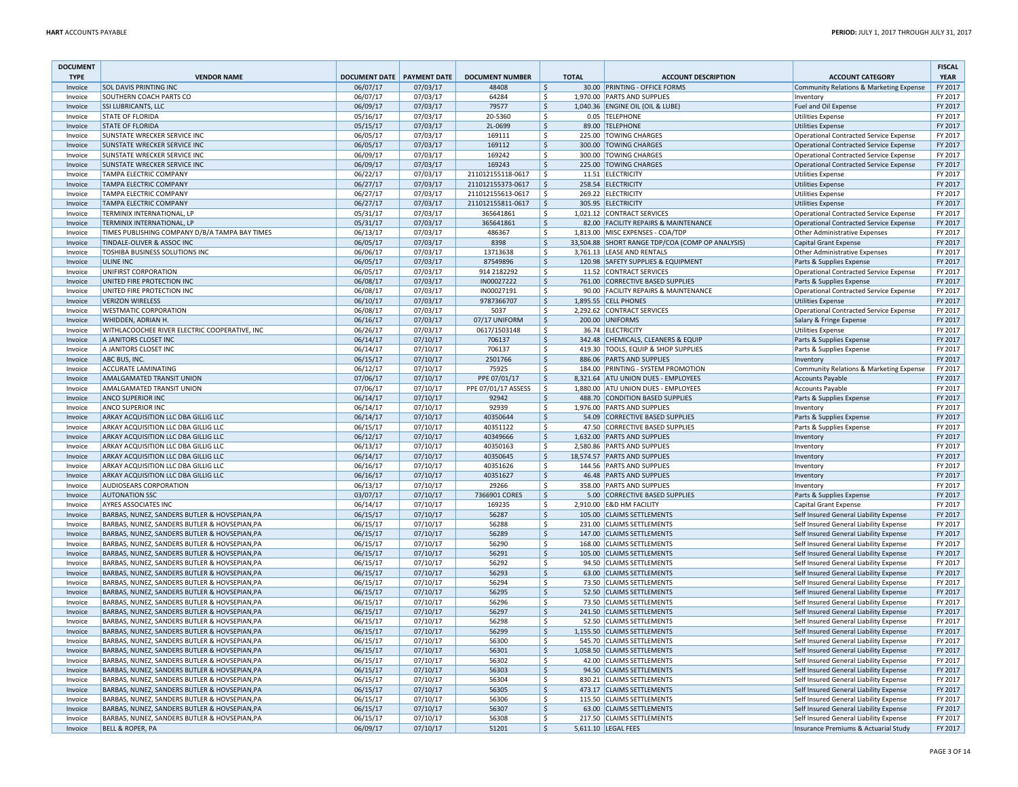| <b>DOCUMENT</b><br><b>TYPE</b> | <b>VENDOR NAME</b>                                                                             | <b>DOCUMENT DATE PAYMENT DATE</b> |                      | <b>DOCUMENT NUMBER</b>    |                     | <b>TOTAL</b> | <b>ACCOUNT DESCRIPTION</b>                                  | <b>ACCOUNT CATEGORY</b>                                                          | <b>FISCAL</b><br><b>YEAR</b> |
|--------------------------------|------------------------------------------------------------------------------------------------|-----------------------------------|----------------------|---------------------------|---------------------|--------------|-------------------------------------------------------------|----------------------------------------------------------------------------------|------------------------------|
| Invoice                        | <b>SOL DAVIS PRINTING INC</b>                                                                  | 06/07/17                          | 07/03/17             | 48408                     | \$                  |              | 30.00 PRINTING - OFFICE FORMS                               | Community Relations & Marketing Expense                                          | FY 2017                      |
| Invoice                        | SOUTHERN COACH PARTS CO                                                                        | 06/07/17                          | 07/03/17             | 64284                     | \$                  |              | 1,970.00 PARTS AND SUPPLIES                                 | Inventory                                                                        | FY 2017                      |
| Invoice                        | <b>SSI LUBRICANTS, LLC</b>                                                                     | 06/09/17                          | 07/03/17             | 79577                     | \$                  |              | 1,040.36 ENGINE OIL (OIL & LUBE)                            | Fuel and Oil Expense                                                             | FY 2017                      |
| Invoice                        | <b>STATE OF FLORIDA</b>                                                                        | 05/16/17                          | 07/03/17             | 20-5360                   | \$                  |              | 0.05 TELEPHONE                                              | <b>Utilities Expense</b>                                                         | FY 2017                      |
| Invoice                        | <b>STATE OF FLORIDA</b>                                                                        | 05/15/17                          | 07/03/17             | 2L-0699                   | $\zeta$             |              | 89.00 TELEPHONE                                             | <b>Utilities Expense</b>                                                         | FY 2017                      |
| Invoice                        | SUNSTATE WRECKER SERVICE INC                                                                   | 06/05/17                          | 07/03/17             | 169111                    | \$                  |              | 225.00 TOWING CHARGES                                       | Operational Contracted Service Expense                                           | FY 2017                      |
| Invoice                        | <b>SUNSTATE WRECKER SERVICE INC</b>                                                            | 06/05/17                          | 07/03/17             | 169112                    | $\ddot{\varsigma}$  |              | 300.00 TOWING CHARGES                                       | Operational Contracted Service Expense                                           | FY 2017                      |
| Invoice                        | <b>SUNSTATE WRECKER SERVICE INC</b>                                                            | 06/09/17                          | 07/03/17             | 169242                    | \$                  |              | 300.00 TOWING CHARGES                                       | Operational Contracted Service Expense                                           | FY 2017                      |
| Invoice                        | SUNSTATE WRECKER SERVICE INC                                                                   | 06/09/17                          | 07/03/17             | 169243                    | \$                  |              | 225.00 TOWING CHARGES                                       | Operational Contracted Service Expense                                           | FY 2017                      |
| Invoice                        | <b>TAMPA ELECTRIC COMPANY</b>                                                                  | 06/22/17                          | 07/03/17             | 211012155118-0617         | l \$                |              | 11.51 ELECTRICITY                                           | <b>Utilities Expense</b>                                                         | FY 2017                      |
| Invoice                        | <b>TAMPA ELECTRIC COMPANY</b>                                                                  | 06/27/17                          | 07/03/17             | 211012155373-0617         | \$                  |              | 258.54 ELECTRICITY                                          | <b>Utilities Expense</b>                                                         | FY 2017                      |
| Invoice                        | TAMPA ELECTRIC COMPANY                                                                         | 06/27/17                          | 07/03/17             | 211012155613-0617         | Ŝ.                  |              | 269.22 ELECTRICITY                                          | <b>Utilities Expense</b>                                                         | FY 2017                      |
| Invoice                        | <b>TAMPA ELECTRIC COMPANY</b>                                                                  | 06/27/17                          | 07/03/17             | 211012155811-0617         | $\ddot{\varsigma}$  |              | 305.95 ELECTRICITY                                          | <b>Utilities Expense</b>                                                         | FY 2017                      |
| Invoice                        | TERMINIX INTERNATIONAL, LP                                                                     | 05/31/17                          | 07/03/17             | 365641861                 | \$                  |              | 1,021.12 CONTRACT SERVICES                                  | Operational Contracted Service Expense                                           | FY 2017                      |
| Invoice                        | TERMINIX INTERNATIONAL, LP                                                                     | 05/31/17                          | 07/03/17             | 365641861                 | $\mathsf{S}$        |              | 82.00 FACILITY REPAIRS & MAINTENANCE                        | Operational Contracted Service Expense                                           | FY 2017                      |
| Invoice                        | TIMES PUBLISHING COMPANY D/B/A TAMPA BAY TIMES                                                 | 06/13/17                          | 07/03/17             | 486367                    | \$                  |              | 1,813.00 MISC EXPENSES - COA/TDP                            | Other Administrative Expenses                                                    | FY 2017                      |
| Invoice                        | TINDALE-OLIVER & ASSOC INC                                                                     | 06/05/17                          | 07/03/17             | 8398                      | $\frac{1}{2}$       |              | 33,504.88 SHORT RANGE TDP/COA (COMP OP ANALYSIS)            | <b>Capital Grant Expense</b>                                                     | FY 2017                      |
| Invoice                        | TOSHIBA BUSINESS SOLUTIONS INC                                                                 | 06/06/17                          | 07/03/17             | 13713638                  | \$                  |              | 3,761.13 LEASE AND RENTALS                                  | Other Administrative Expenses                                                    | FY 2017                      |
| Invoice                        | <b>ULINE INC</b>                                                                               | 06/05/17                          | 07/03/17             | 87549896                  | $\ddot{\varsigma}$  |              | 120.98 SAFETY SUPPLIES & EQUIPMENT                          | Parts & Supplies Expense                                                         | FY 2017                      |
| Invoice<br>Invoice             | UNIFIRST CORPORATION<br>UNITED FIRE PROTECTION INC                                             | 06/05/17<br>06/08/17              | 07/03/17<br>07/03/17 | 914 2182292<br>IN00027222 | \$<br>$\mathsf{S}$  |              | 11.52 CONTRACT SERVICES<br>761.00 CORRECTIVE BASED SUPPLIES | Operational Contracted Service Expense                                           | FY 2017<br>FY 2017           |
| Invoice                        | UNITED FIRE PROTECTION INC                                                                     | 06/08/17                          | 07/03/17             | IN00027191                | \$                  |              | 90.00 FACILITY REPAIRS & MAINTENANCE                        | Parts & Supplies Expense<br>Operational Contracted Service Expense               | FY 2017                      |
|                                | <b>VERIZON WIRELESS</b>                                                                        | 06/10/17                          | 07/03/17             | 9787366707                | $\ddot{\mathsf{S}}$ |              | 1,895.55 CELL PHONES                                        |                                                                                  | FY 2017                      |
| Invoice<br>Invoice             | <b>WESTMATIC CORPORATION</b>                                                                   | 06/08/17                          | 07/03/17             | 5037                      | \$                  |              | 2,292.62 CONTRACT SERVICES                                  | <b>Utilities Expense</b><br>Operational Contracted Service Expense               | FY 2017                      |
| Invoice                        | WHIDDEN, ADRIAN H.                                                                             | 06/16/17                          | 07/03/17             | 07/17 UNIFORM             | \$                  |              | 200.00 UNIFORMS                                             | Salary & Fringe Expense                                                          | FY 2017                      |
| Invoice                        | WITHLACOOCHEE RIVER ELECTRIC COOPERATIVE, INC                                                  | 06/26/17                          | 07/03/17             | 0617/1503148              | \$                  |              | 36.74 FLECTRICITY                                           | <b>Utilities Expense</b>                                                         | FY 2017                      |
| Invoice                        | A JANITORS CLOSET INC                                                                          | 06/14/17                          | 07/10/17             | 706137                    | $\mathsf{S}$        |              | 342.48 CHEMICALS, CLEANERS & EQUIP                          | Parts & Supplies Expense                                                         | FY 2017                      |
| Invoice                        | A JANITORS CLOSET INC                                                                          | 06/14/17                          | 07/10/17             | 706137                    | \$                  |              | 419.30 TOOLS, EQUIP & SHOP SUPPLIES                         | Parts & Supplies Expense                                                         | FY 2017                      |
| Invoice                        | ABC BUS, INC.                                                                                  | 06/15/17                          | 07/10/17             | 2501766                   | $\mathsf{\hat{S}}$  |              | 886.06 PARTS AND SUPPLIES                                   | Inventory                                                                        | FY 2017                      |
| Invoice                        | <b>ACCURATE LAMINATING</b>                                                                     | 06/12/17                          | 07/10/17             | 75925                     | Ś.                  |              | 184.00 PRINTING - SYSTEM PROMOTION                          | Community Relations & Marketing Expense                                          | FY 2017                      |
| Invoice                        | AMALGAMATED TRANSIT UNION                                                                      | 07/06/17                          | 07/10/17             | PPE 07/01/17              | \$                  |              | 8,321.64 ATU UNION DUES - EMPLOYEES                         | <b>Accounts Payable</b>                                                          | FY 2017                      |
| Invoice                        | AMALGAMATED TRANSIT UNION                                                                      | 07/06/17                          | 07/10/17             | PPE 07/01/17 ASSESS       | \$                  |              | 1,880.00 ATU UNION DUES - EMPLOYEES                         | <b>Accounts Payable</b>                                                          | FY 2017                      |
| Invoice                        | <b>ANCO SUPERIOR INC</b>                                                                       | 06/14/17                          | 07/10/17             | 92942                     | \$                  |              | 488.70 CONDITION BASED SUPPLIES                             | Parts & Supplies Expense                                                         | FY 2017                      |
| Invoice                        | <b>ANCO SUPERIOR INC</b>                                                                       | 06/14/17                          | 07/10/17             | 92939                     | \$                  |              | 1,976.00 PARTS AND SUPPLIES                                 | Inventory                                                                        | FY 2017                      |
| Invoice                        | ARKAY ACQUISITION LLC DBA GILLIG LLC                                                           | 06/14/17                          | 07/10/17             | 40350644                  | $\ddot{\mathsf{S}}$ |              | 54.09 CORRECTIVE BASED SUPPLIES                             | Parts & Supplies Expense                                                         | FY 2017                      |
| Invoice                        | ARKAY ACQUISITION LLC DBA GILLIG LLC                                                           | 06/15/17                          | 07/10/17             | 40351122                  | \$                  |              | 47.50 CORRECTIVE BASED SUPPLIES                             | Parts & Supplies Expense                                                         | FY 2017                      |
| Invoice                        | ARKAY ACQUISITION LLC DBA GILLIG LLC                                                           | 06/12/17                          | 07/10/17             | 40349666                  | \$                  |              | 1,632.00 PARTS AND SUPPLIES                                 | Inventory                                                                        | FY 2017                      |
| Invoice                        | ARKAY ACQUISITION LLC DBA GILLIG LLC                                                           | 06/13/17                          | 07/10/17             | 40350163                  | \$                  |              | 2,580.86 PARTS AND SUPPLIES                                 | Inventory                                                                        | FY 2017                      |
| Invoice                        | ARKAY ACQUISITION LLC DBA GILLIG LLC                                                           | 06/14/17                          | 07/10/17             | 40350645                  | \$                  |              | 18,574.57 PARTS AND SUPPLIES                                | Inventory                                                                        | FY 2017                      |
| Invoice                        | ARKAY ACQUISITION LLC DBA GILLIG LLC                                                           | 06/16/17                          | 07/10/17             | 40351626                  | \$                  |              | 144.56 PARTS AND SUPPLIES                                   | Inventory                                                                        | FY 2017                      |
| Invoice                        | ARKAY ACQUISITION LLC DBA GILLIG LLC                                                           | 06/16/17                          | 07/10/17             | 40351627                  | $\dot{\mathsf{S}}$  |              | 46.48 PARTS AND SUPPLIES                                    | Inventory                                                                        | FY 2017                      |
| Invoice                        | <b>AUDIOSEARS CORPORATION</b>                                                                  | 06/13/17                          | 07/10/17             | 29266                     | \$                  |              | 358.00 PARTS AND SUPPLIES                                   | Inventory                                                                        | FY 2017                      |
| Invoice                        | <b>AUTONATION SSC</b>                                                                          | 03/07/17                          | 07/10/17             | 7366901 CORES             | $\ddot{\varsigma}$  |              | 5.00 CORRECTIVE BASED SUPPLIES                              | Parts & Supplies Expense                                                         | FY 2017                      |
| Invoice                        | <b>AYRES ASSOCIATES INC</b>                                                                    | 06/14/17                          | 07/10/17             | 169235                    | \$                  |              | 2,910.00 E&D HM FACILITY                                    | <b>Capital Grant Expense</b>                                                     | FY 2017                      |
| Invoice                        | BARBAS, NUNEZ, SANDERS BUTLER & HOVSEPIAN, PA                                                  | 06/15/17                          | 07/10/17             | 56287                     | \$                  |              | 105.00 CLAIMS SETTLEMENTS                                   | Self Insured General Liability Expense                                           | FY 2017                      |
| Invoice                        | BARBAS, NUNEZ, SANDERS BUTLER & HOVSEPIAN, PA                                                  | 06/15/17                          | 07/10/17             | 56288                     | S.                  |              | 231.00 CLAIMS SETTLEMENTS                                   | Self Insured General Liability Expense                                           | FY 2017                      |
| Invoice                        | BARBAS, NUNEZ, SANDERS BUTLER & HOVSEPIAN, PA                                                  | 06/15/17                          | 07/10/17             | 56289                     | $\zeta$<br>Ś.       |              | 147.00 CLAIMS SETTLEMENTS                                   | Self Insured General Liability Expense                                           | FY 2017                      |
| Invoice<br>Invoice             | BARBAS, NUNEZ, SANDERS BUTLER & HOVSEPIAN, PA<br>BARBAS, NUNEZ, SANDERS BUTLER & HOVSEPIAN, PA | 06/15/17<br>06/15/17              | 07/10/17<br>07/10/17 | 56290<br>56291            | \$                  |              | 168.00 CLAIMS SETTLEMENTS<br>105.00 CLAIMS SETTLEMENTS      | Self Insured General Liability Expense                                           | FY 2017<br>FY 2017           |
| Invoice                        | BARBAS, NUNEZ, SANDERS BUTLER & HOVSEPIAN, PA                                                  | 06/15/17                          | 07/10/17             | 56292                     | \$                  |              | 94.50 CLAIMS SETTLEMENTS                                    | Self Insured General Liability Expense                                           | FY 2017                      |
| Invoice                        | BARBAS, NUNEZ, SANDERS BUTLER & HOVSEPIAN, PA                                                  | 06/15/17                          | 07/10/17             | 56293                     | \$                  |              | 63.00 CLAIMS SETTLEMENTS                                    | Self Insured General Liability Expense<br>Self Insured General Liability Expense | FY 2017                      |
| Invoice                        | BARBAS, NUNEZ, SANDERS BUTLER & HOVSEPIAN, PA                                                  | 06/15/17                          | 07/10/17             | 56294                     | \$                  |              | 73.50 CLAIMS SETTLEMENTS                                    | Self Insured General Liability Expense                                           | FY 2017                      |
| Invoice                        | BARBAS, NUNEZ, SANDERS BUTLER & HOVSEPIAN, PA                                                  | 06/15/17                          | 07/10/17             | 56295                     | $\mathsf{\hat{S}}$  |              | 52.50 CLAIMS SETTLEMENTS                                    | Self Insured General Liability Expense                                           | FY 2017                      |
| Invoice                        | BARBAS, NUNEZ, SANDERS BUTLER & HOVSEPIAN, PA                                                  | 06/15/17                          | 07/10/17             | 56296                     | \$                  |              | 73.50 CLAIMS SETTLEMENTS                                    | Self Insured General Liability Expense                                           | FY 2017                      |
| Invoice                        | BARBAS, NUNEZ, SANDERS BUTLER & HOVSEPIAN, PA                                                  | 06/15/17                          | 07/10/17             | 56297                     | $\zeta$             |              | 241.50 CLAIMS SETTLEMENTS                                   | Self Insured General Liability Expense                                           | FY 2017                      |
| Invoice                        | BARBAS, NUNEZ, SANDERS BUTLER & HOVSEPIAN, PA                                                  | 06/15/17                          | 07/10/17             | 56298                     | \$                  |              | 52.50 CLAIMS SETTLEMENTS                                    | Self Insured General Liability Expense                                           | FY 2017                      |
| Invoice                        | BARBAS, NUNEZ, SANDERS BUTLER & HOVSEPIAN, PA                                                  | 06/15/17                          | 07/10/17             | 56299                     | \$                  |              | 1,155.50 CLAIMS SETTLEMENTS                                 | Self Insured General Liability Expense                                           | FY 2017                      |
| Invoice                        | BARBAS, NUNEZ, SANDERS BUTLER & HOVSEPIAN, PA                                                  | 06/15/17                          | 07/10/17             | 56300                     | \$                  |              | 545.70 CLAIMS SETTLEMENTS                                   | Self Insured General Liability Expense                                           | FY 2017                      |
| Invoice                        | BARBAS, NUNEZ, SANDERS BUTLER & HOVSEPIAN, PA                                                  | 06/15/17                          | 07/10/17             | 56301                     | $\ddot{\mathsf{S}}$ |              | 1,058.50 CLAIMS SETTLEMENTS                                 | Self Insured General Liability Expense                                           | FY 2017                      |
| Invoice                        | BARBAS, NUNEZ, SANDERS BUTLER & HOVSEPIAN, PA                                                  | 06/15/17                          | 07/10/17             | 56302                     | Ś                   |              | 42.00 CLAIMS SETTLEMENTS                                    | Self Insured General Liability Expense                                           | FY 2017                      |
| Invoice                        | BARBAS, NUNEZ, SANDERS BUTLER & HOVSEPIAN, PA                                                  | 06/15/17                          | 07/10/17             | 56303                     | \$                  |              | 94.50 CLAIMS SETTLEMENTS                                    | Self Insured General Liability Expense                                           | FY 2017                      |
| Invoice                        | BARBAS, NUNEZ, SANDERS BUTLER & HOVSEPIAN, PA                                                  | 06/15/17                          | 07/10/17             | 56304                     | \$                  |              | 830.21 CLAIMS SETTLEMENTS                                   | Self Insured General Liability Expense                                           | FY 2017                      |
| Invoice                        | BARBAS, NUNEZ, SANDERS BUTLER & HOVSEPIAN, PA                                                  | 06/15/17                          | 07/10/17             | 56305                     | \$                  |              | 473.17 CLAIMS SETTLEMENTS                                   | Self Insured General Liability Expense                                           | FY 2017                      |
| Invoice                        | BARBAS, NUNEZ, SANDERS BUTLER & HOVSEPIAN, PA                                                  | 06/15/17                          | 07/10/17             | 56306                     | \$                  |              | 115.50 CLAIMS SETTLEMENTS                                   | Self Insured General Liability Expense                                           | FY 2017                      |
| Invoice                        | BARBAS, NUNEZ, SANDERS BUTLER & HOVSEPIAN, PA                                                  | 06/15/17                          | 07/10/17             | 56307                     | $\ddot{\mathsf{S}}$ |              | 63.00 CLAIMS SETTLEMENTS                                    | Self Insured General Liability Expense                                           | FY 2017                      |
| Invoice                        | BARBAS, NUNEZ, SANDERS BUTLER & HOVSEPIAN, PA                                                  | 06/15/17                          | 07/10/17             | 56308                     | Ś                   |              | 217.50 CLAIMS SETTLEMENTS                                   | Self Insured General Liability Expense                                           | FY 2017                      |
| Invoice                        | <b>BELL &amp; ROPER, PA</b>                                                                    | 06/09/17                          | 07/10/17             | 51201                     | $\frac{1}{2}$       |              | 5,611.10 LEGAL FEES                                         | Insurance Premiums & Actuarial Study                                             | FY 2017                      |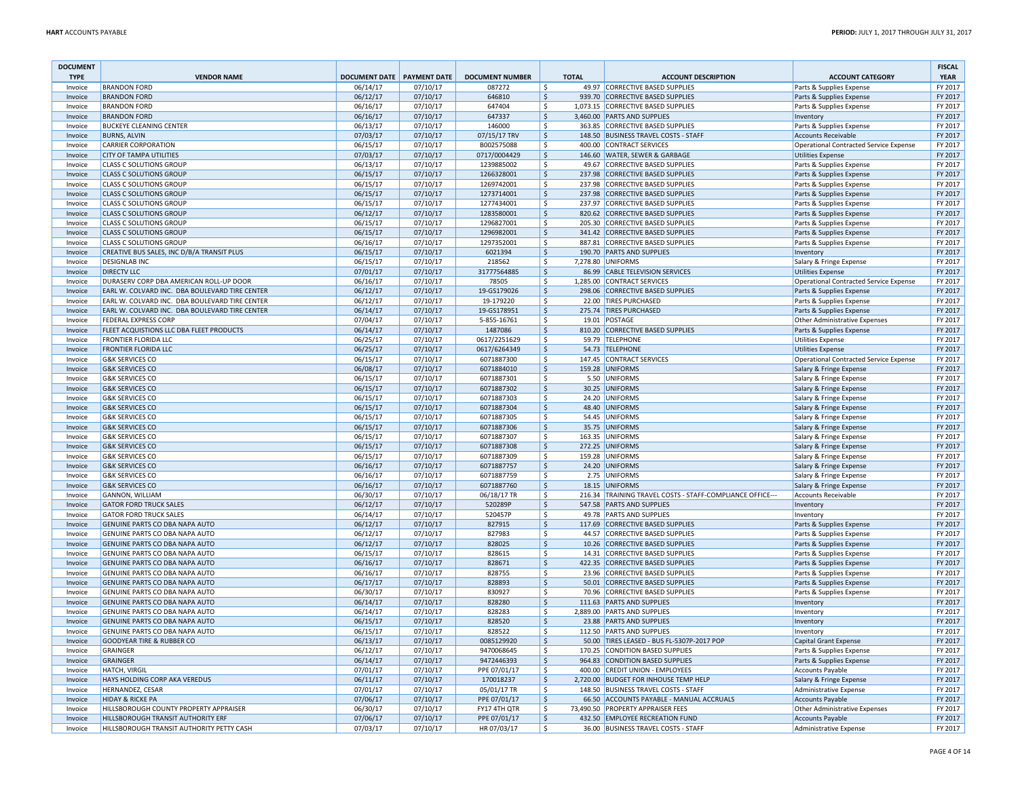| <b>DOCUMENT</b><br><b>TYPE</b> | <b>VENDOR NAME</b>                                               | <b>DOCUMENT DATE PAYMENT DATE</b> |                      | <b>DOCUMENT NUMBER</b>   | <b>TOTAL</b>                        | <b>ACCOUNT DESCRIPTION</b>                                           | <b>ACCOUNT CATEGORY</b>                              | <b>FISCAL</b><br><b>YEAR</b> |
|--------------------------------|------------------------------------------------------------------|-----------------------------------|----------------------|--------------------------|-------------------------------------|----------------------------------------------------------------------|------------------------------------------------------|------------------------------|
| Invoice                        | <b>BRANDON FORD</b>                                              | 06/14/17                          | 07/10/17             | 087272                   | Ś                                   | 49.97 CORRECTIVE BASED SUPPLIES                                      | Parts & Supplies Expense                             | FY 2017                      |
| Invoice                        | <b>BRANDON FORD</b>                                              | 06/12/17                          | 07/10/17             | 646810                   | \$                                  | 939.70 CORRECTIVE BASED SUPPLIES                                     | Parts & Supplies Expense                             | FY 2017                      |
| Invoice                        | <b>BRANDON FORD</b>                                              | 06/16/17                          | 07/10/17             | 647404                   | \$                                  | 1,073.15 CORRECTIVE BASED SUPPLIES                                   | Parts & Supplies Expense                             | FY 2017                      |
| Invoice                        | <b>BRANDON FORD</b>                                              | 06/16/17                          | 07/10/17             | 647337                   | \$                                  | 3,460.00 PARTS AND SUPPLIES                                          | Inventory                                            | FY 2017                      |
| Invoice                        | <b>BUCKEYE CLEANING CENTER</b>                                   | 06/13/17                          | 07/10/17             | 146000                   | \$                                  | 363.85 CORRECTIVE BASED SUPPLIES                                     | Parts & Supplies Expense                             | FY 2017                      |
| Invoice                        | <b>BURNS, ALVIN</b>                                              | 07/03/17                          | 07/10/17             | 07/15/17 TRV             | \$                                  | 148.50 BUSINESS TRAVEL COSTS - STAFF                                 | <b>Accounts Receivable</b>                           | FY 2017                      |
| Invoice                        | <b>CARRIER CORPORATION</b>                                       | 06/15/17                          | 07/10/17             | B002575088               | \$                                  | 400.00 CONTRACT SERVICES                                             | <b>Operational Contracted Service Expense</b>        | FY 2017                      |
| Invoice                        | <b>CITY OF TAMPA UTILITIES</b>                                   | 07/03/17                          | 07/10/17             | 0717/0004429             | $\frac{1}{2}$                       | 146.60 WATER, SEWER & GARBAGE                                        | <b>Utilities Expense</b>                             | FY 2017                      |
| Invoice                        | <b>CLASS C SOLUTIONS GROUP</b>                                   | 06/13/17                          | 07/10/17             | 1239885002               | \$                                  | 49.67 CORRECTIVE BASED SUPPLIES                                      | Parts & Supplies Expense                             | FY 2017                      |
| Invoice                        | <b>CLASS C SOLUTIONS GROUP</b>                                   | 06/15/17                          | 07/10/17             | 1266328001               | \$                                  | 237.98 CORRECTIVE BASED SUPPLIES<br>237.98 CORRECTIVE BASED SUPPLIES | Parts & Supplies Expense                             | FY 2017<br>FY 2017           |
| Invoice                        | <b>CLASS C SOLUTIONS GROUP</b>                                   | 06/15/17                          | 07/10/17<br>07/10/17 | 1269742001               | \$<br>\$                            | 237.98 CORRECTIVE BASED SUPPLIES                                     | Parts & Supplies Expense                             | FY 2017                      |
| Invoice<br>Invoice             | <b>CLASS C SOLUTIONS GROUP</b><br><b>CLASS C SOLUTIONS GROUP</b> | 06/15/17<br>06/15/17              | 07/10/17             | 1273714001<br>1277434001 | \$                                  | 237.97 CORRECTIVE BASED SUPPLIES                                     | Parts & Supplies Expense<br>Parts & Supplies Expense | FY 2017                      |
| Invoice                        | <b>CLASS C SOLUTIONS GROUP</b>                                   | 06/12/17                          | 07/10/17             | 1283580001               | \$                                  | 820.62 CORRECTIVE BASED SUPPLIES                                     | Parts & Supplies Expense                             | FY 2017                      |
| Invoice                        | <b>CLASS C SOLUTIONS GROUP</b>                                   | 06/15/17                          | 07/10/17             | 1296827001               | \$                                  | 205.30 CORRECTIVE BASED SUPPLIES                                     | Parts & Supplies Expense                             | FY 2017                      |
| Invoice                        | <b>CLASS C SOLUTIONS GROUP</b>                                   | 06/15/17                          | 07/10/17             | 1296982001               | \$                                  | 341.42 CORRECTIVE BASED SUPPLIES                                     | Parts & Supplies Expense                             | FY 2017                      |
| Invoice                        | <b>CLASS C SOLUTIONS GROUP</b>                                   | 06/16/17                          | 07/10/17             | 1297352001               | \$                                  | 887.81 CORRECTIVE BASED SUPPLIES                                     | Parts & Supplies Expense                             | FY 2017                      |
| Invoice                        | CREATIVE BUS SALES, INC D/B/A TRANSIT PLUS                       | 06/15/17                          | 07/10/17             | 6021394                  | $\mathsf{\hat{S}}$                  | 190.70 PARTS AND SUPPLIES                                            | Inventory                                            | FY 2017                      |
| Invoice                        | <b>DESIGNLAB INC</b>                                             | 06/15/17                          | 07/10/17             | 218562                   | \$                                  | 7,278.80 UNIFORMS                                                    | Salary & Fringe Expense                              | FY 2017                      |
| Invoice                        | <b>DIRECTV LLC</b>                                               | 07/01/17                          | 07/10/17             | 31777564885              | $\frac{1}{2}$                       | 86.99 CABLE TELEVISION SERVICES                                      | <b>Utilities Expense</b>                             | FY 2017                      |
| Invoice                        | DURASERV CORP DBA AMERICAN ROLL-UP DOOR                          | 06/16/17                          | 07/10/17             | 78505                    | \$                                  | 1,285.00 CONTRACT SERVICES                                           | Operational Contracted Service Expense               | FY 2017                      |
| Invoice                        | EARL W. COLVARD INC. DBA BOULEVARD TIRE CENTER                   | 06/12/17                          | 07/10/17             | 19-GS179026              | \$                                  | 298.06 CORRECTIVE BASED SUPPLIES                                     | Parts & Supplies Expense                             | FY 2017                      |
| Invoice                        | EARL W. COLVARD INC. DBA BOULEVARD TIRE CENTER                   | 06/12/17                          | 07/10/17             | 19-179220                | \$                                  | 22.00 TIRES PURCHASED                                                | Parts & Supplies Expense                             | FY 2017                      |
| Invoice                        | EARL W. COLVARD INC. DBA BOULEVARD TIRE CENTER                   | 06/14/17                          | 07/10/17             | 19-GS178951              | \$                                  | 275.74 TIRES PURCHASED                                               | Parts & Supplies Expense                             | FY 2017                      |
| Invoice                        | <b>FEDERAL EXPRESS CORP</b>                                      | 07/04/17                          | 07/10/17             | 5-855-16761              | \$                                  | 19.01 POSTAGE                                                        | Other Administrative Expenses                        | FY 2017                      |
| Invoice                        | FLEET ACQUISTIONS LLC DBA FLEET PRODUCTS                         | 06/14/17                          | 07/10/17             | 1487086                  | \$                                  | 810.20 CORRECTIVE BASED SUPPLIES                                     | Parts & Supplies Expense                             | FY 2017                      |
| Invoice                        | <b>FRONTIER FLORIDA LLC</b>                                      | 06/25/17                          | 07/10/17             | 0617/2251629             | \$                                  | 59.79 TELEPHONE                                                      | <b>Utilities Expense</b>                             | FY 2017                      |
| Invoice                        | <b>FRONTIER FLORIDA LLC</b>                                      | 06/25/17                          | 07/10/17             | 0617/6264349             | $\frac{1}{2}$                       | 54.73 TELEPHONE                                                      | <b>Utilities Expense</b>                             | FY 2017                      |
| Invoice                        | <b>G&amp;K SERVICES CO</b>                                       | 06/15/17                          | 07/10/17             | 6071887300               | \$                                  | 147.45 CONTRACT SERVICES                                             | <b>Operational Contracted Service Expense</b>        | FY 2017                      |
| Invoice                        | <b>G&amp;K SERVICES CO</b>                                       | 06/08/17                          | 07/10/17             | 6071884010               | $\zeta$                             | 159.28 UNIFORMS                                                      | Salary & Fringe Expense                              | FY 2017                      |
| Invoice                        | <b>G&amp;K SERVICES CO</b>                                       | 06/15/17                          | 07/10/17             | 6071887301               | \$                                  | 5.50 UNIFORMS                                                        | Salary & Fringe Expense                              | FY 2017                      |
| Invoice                        | <b>G&amp;K SERVICES CO</b>                                       | 06/15/17                          | 07/10/17             | 6071887302               | \$                                  | 30.25 UNIFORMS                                                       | Salary & Fringe Expense                              | FY 2017                      |
| Invoice                        | <b>G&amp;K SERVICES CO</b>                                       | 06/15/17                          | 07/10/17             | 6071887303               | \$                                  | 24.20 UNIFORMS                                                       | Salary & Fringe Expense                              | FY 2017                      |
| Invoice                        | <b>G&amp;K SERVICES CO</b>                                       | 06/15/17                          | 07/10/17             | 6071887304               | $\frac{1}{2}$<br>$\mathsf{\hat{S}}$ | 48.40 UNIFORMS                                                       | Salary & Fringe Expense                              | FY 2017                      |
| Invoice                        | <b>G&amp;K SERVICES CO</b>                                       | 06/15/17<br>06/15/17              | 07/10/17<br>07/10/17 | 6071887305               | \$                                  | 54.45 UNIFORMS<br>35.75 UNIFORMS                                     | Salary & Fringe Expense                              | FY 2017<br>FY 2017           |
| Invoice<br>Invoice             | <b>G&amp;K SERVICES CO</b><br><b>G&amp;K SERVICES CO</b>         | 06/15/17                          | 07/10/17             | 6071887306<br>6071887307 | \$                                  | 163.35 UNIFORMS                                                      | Salary & Fringe Expense<br>Salary & Fringe Expense   | FY 2017                      |
| Invoice                        | <b>G&amp;K SERVICES CO</b>                                       | 06/15/17                          | 07/10/17             | 6071887308               | \$                                  | 272.25 UNIFORMS                                                      | Salary & Fringe Expense                              | FY 2017                      |
| Invoice                        | <b>G&amp;K SERVICES CO</b>                                       | 06/15/17                          | 07/10/17             | 6071887309               | \$                                  | 159.28 UNIFORMS                                                      | Salary & Fringe Expense                              | FY 2017                      |
| Invoice                        | <b>G&amp;K SERVICES CO</b>                                       | 06/16/17                          | 07/10/17             | 6071887757               | $\frac{1}{2}$                       | 24.20 UNIFORMS                                                       | Salary & Fringe Expense                              | FY 2017                      |
| Invoice                        | <b>G&amp;K SERVICES CO</b>                                       | 06/16/17                          | 07/10/17             | 6071887759               | \$                                  | 2.75 UNIFORMS                                                        | Salary & Fringe Expense                              | FY 2017                      |
| Invoice                        | <b>G&amp;K SERVICES CO</b>                                       | 06/16/17                          | 07/10/17             | 6071887760               | $\zeta$                             | 18.15 UNIFORMS                                                       | Salary & Fringe Expense                              | FY 2017                      |
| Invoice                        | <b>GANNON, WILLIAM</b>                                           | 06/30/17                          | 07/10/17             | 06/18/17 TR              | $\mathsf{\hat{S}}$                  | 216.34 TRAINING TRAVEL COSTS - STAFF-COMPLIANCE OFFICE---            | <b>Accounts Receivable</b>                           | FY 2017                      |
| Invoice                        | <b>GATOR FORD TRUCK SALES</b>                                    | 06/12/17                          | 07/10/17             | 520289P                  | \$                                  | 547.58 PARTS AND SUPPLIES                                            | Inventory                                            | FY 2017                      |
| Invoice                        | <b>GATOR FORD TRUCK SALES</b>                                    | 06/14/17                          | 07/10/17             | 520457P                  | \$                                  | 49.78 PARTS AND SUPPLIES                                             | Inventory                                            | FY 2017                      |
| Invoice                        | GENUINE PARTS CO DBA NAPA AUTO                                   | 06/12/17                          | 07/10/17             | 827915                   | $\frac{1}{2}$                       | 117.69 CORRECTIVE BASED SUPPLIES                                     | Parts & Supplies Expense                             | FY 2017                      |
| Invoice                        | GENUINE PARTS CO DBA NAPA AUTO                                   | 06/12/17                          | 07/10/17             | 827983                   | \$                                  | 44.57 CORRECTIVE BASED SUPPLIES                                      | Parts & Supplies Expense                             | FY 2017                      |
| Invoice                        | GENUINE PARTS CO DBA NAPA AUTO                                   | 06/12/17                          | 07/10/17             | 828025                   | \$                                  | 10.26 CORRECTIVE BASED SUPPLIES                                      | Parts & Supplies Expense                             | FY 2017                      |
| Invoice                        | GENUINE PARTS CO DBA NAPA AUTO                                   | 06/15/17                          | 07/10/17             | 828615                   | Ŝ.                                  | 14.31 CORRECTIVE BASED SUPPLIES                                      | Parts & Supplies Expense                             | FY 2017                      |
| Invoice                        | <b>GENUINE PARTS CO DBA NAPA AUTO</b>                            | 06/16/17                          | 07/10/17             | 828671                   | $\ddot{\varsigma}$                  | 422.35 CORRECTIVE BASED SUPPLIES                                     | Parts & Supplies Expense                             | FY 2017                      |
| Invoice                        | GENUINE PARTS CO DBA NAPA AUTO                                   | 06/16/17                          | 07/10/17             | 828755                   | \$                                  | 23.96 CORRECTIVE BASED SUPPLIES                                      | Parts & Supplies Expense                             | FY 2017                      |
| Invoice                        | <b>GENUINE PARTS CO DBA NAPA AUTO</b>                            | 06/17/17                          | 07/10/17             | 828893                   | \$                                  | 50.01 CORRECTIVE BASED SUPPLIES                                      | Parts & Supplies Expense                             | FY 2017                      |
| Invoice                        | GENUINE PARTS CO DBA NAPA AUTO                                   | 06/30/17                          | 07/10/17             | 830927                   | \$                                  | 70.96 CORRECTIVE BASED SUPPLIES                                      | Parts & Supplies Expense                             | FY 2017                      |
| Invoice                        | GENUINE PARTS CO DBA NAPA AUTO                                   | 06/14/17<br>06/14/17              | 07/10/17<br>07/10/17 | 828280<br>828283         | Ś<br>\$                             | 111.63 PARTS AND SUPPLIES                                            | Inventory                                            | FY 2017<br>FY 2017           |
| Invoice<br>Invoice             | GENUINE PARTS CO DBA NAPA AUTO<br>GENUINE PARTS CO DBA NAPA AUTO | 06/15/17                          | 07/10/17             | 828520                   | $\frac{1}{2}$                       | 2,889.00 PARTS AND SUPPLIES<br>23.88 PARTS AND SUPPLIES              | Inventory                                            | FY 2017                      |
| Invoice                        | GENUINE PARTS CO DBA NAPA AUTO                                   | 06/15/17                          | 07/10/17             | 828522                   | \$                                  | 112.50 PARTS AND SUPPLIES                                            | Inventory<br>Inventory                               | FY 2017                      |
| Invoice                        | <b>GOODYEAR TIRE &amp; RUBBER CO</b>                             | 06/13/17                          | 07/10/17             | 0085129920               | \$                                  | 50.00 TIRES LEASED - BUS FL-5307P-2017 POP                           | <b>Capital Grant Expense</b>                         | FY 2017                      |
| Invoice                        | <b>GRAINGER</b>                                                  | 06/12/17                          | 07/10/17             | 9470068645               | \$                                  | 170.25 CONDITION BASED SUPPLIES                                      | Parts & Supplies Expense                             | FY 2017                      |
| Invoice                        | <b>GRAINGER</b>                                                  | 06/14/17                          | 07/10/17             | 9472446393               | Ś                                   | 964.83 CONDITION BASED SUPPLIES                                      | Parts & Supplies Expense                             | FY 2017                      |
| Invoice                        | HATCH, VIRGIL                                                    | 07/01/17                          | 07/10/17             | PPE 07/01/17             | \$                                  | 400.00 CREDIT UNION - EMPLOYEES                                      | <b>Accounts Payable</b>                              | FY 2017                      |
| Invoice                        | HAYS HOLDING CORP AKA VEREDUS                                    | 06/11/17                          | 07/10/17             | 170018237                | $\vert$ \$                          | 2,720.00 BUDGET FOR INHOUSE TEMP HELP                                | Salary & Fringe Expense                              | FY 2017                      |
| Invoice                        | <b>HERNANDEZ, CESAR</b>                                          | 07/01/17                          | 07/10/17             | 05/01/17 TR              | \$                                  | 148.50 BUSINESS TRAVEL COSTS - STAFF                                 | Administrative Expense                               | FY 2017                      |
| Invoice                        | <b>HIDAY &amp; RICKE PA</b>                                      | 07/06/17                          | 07/10/17             | PPE 07/01/17             | \$                                  | 66.50 ACCOUNTS PAYABLE - MANUAL ACCRUALS                             | <b>Accounts Payable</b>                              | FY 2017                      |
| Invoice                        | HILLSBOROUGH COUNTY PROPERTY APPRAISER                           | 06/30/17                          | 07/10/17             | FY17 4TH QTR             | \$                                  | 73.490.50 PROPERTY APPRAISER FEES                                    | Other Administrative Expenses                        | FY 2017                      |
| Invoice                        | <b>HILLSBOROUGH TRANSIT AUTHORITY ERF</b>                        | 07/06/17                          | 07/10/17             | PPE 07/01/17             | $\mathsf{\hat{S}}$                  | 432.50 EMPLOYEE RECREATION FUND                                      | <b>Accounts Payable</b>                              | FY 2017                      |
| Invoice                        | HILLSBOROUGH TRANSIT AUTHORITY PETTY CASH                        | 07/03/17                          | 07/10/17             | HR 07/03/17              | \$                                  | 36.00 BUSINESS TRAVEL COSTS - STAFF                                  | Administrative Expense                               | FY 2017                      |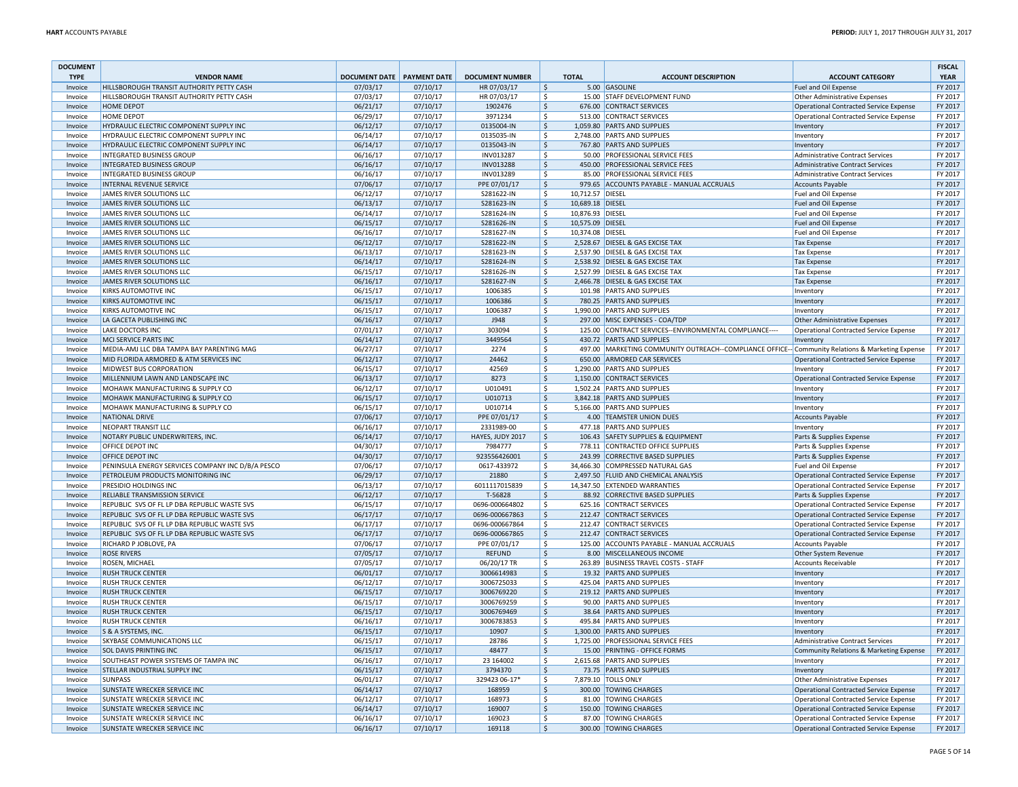| <b>DOCUMENT</b>    |                                                                       |                              |                      |                          |               |                  |                                                                                                    |                                                                                       | <b>FISCAL</b>      |
|--------------------|-----------------------------------------------------------------------|------------------------------|----------------------|--------------------------|---------------|------------------|----------------------------------------------------------------------------------------------------|---------------------------------------------------------------------------------------|--------------------|
| <b>TYPE</b>        | <b>VENDOR NAME</b>                                                    | DOCUMENT DATE   PAYMENT DATE |                      | <b>DOCUMENT NUMBER</b>   |               | <b>TOTAL</b>     | <b>ACCOUNT DESCRIPTION</b>                                                                         | <b>ACCOUNT CATEGORY</b>                                                               | <b>YEAR</b>        |
| Invoice            | HILLSBOROUGH TRANSIT AUTHORITY PETTY CASH                             | 07/03/17                     | 07/10/17             | HR 07/03/17              | \$            |                  | 5.00 GASOLINE                                                                                      | Fuel and Oil Expense                                                                  | FY 2017            |
| Invoice            | HILLSBOROUGH TRANSIT AUTHORITY PETTY CASH<br><b>HOME DEPOT</b>        | 07/03/17                     | 07/10/17             | HR 07/03/17              | \$            |                  | 15.00 STAFF DEVELOPMENT FUND                                                                       | Other Administrative Expenses                                                         | FY 2017<br>FY 2017 |
| Invoice            | <b>HOME DEPOT</b>                                                     | 06/21/17<br>06/29/17         | 07/10/17<br>07/10/17 | 1902476<br>3971234       | l \$<br>\$    |                  | 676.00 CONTRACT SERVICES<br>513.00 CONTRACT SERVICES                                               | Operational Contracted Service Expense                                                | FY 2017            |
| Invoice<br>Invoice | HYDRAULIC ELECTRIC COMPONENT SUPPLY INC                               | 06/12/17                     | 07/10/17             | 0135004-IN               | l\$           |                  | 1.059.80 PARTS AND SUPPLIES                                                                        | Operational Contracted Service Expense<br>Inventory                                   | FY 2017            |
| Invoice            | HYDRAULIC ELECTRIC COMPONENT SUPPLY INC                               | 06/14/17                     | 07/10/17             | 0135035-IN               | \$            |                  | 2.748.00 PARTS AND SUPPLIES                                                                        |                                                                                       | FY 2017            |
| Invoice            | HYDRAULIC ELECTRIC COMPONENT SUPPLY INC                               | 06/14/17                     | 07/10/17             | 0135043-IN               | l\$           |                  | 767.80 PARTS AND SUPPLIES                                                                          | Inventory<br>Inventory                                                                | FY 2017            |
| Invoice            | <b>INTEGRATED BUSINESS GROUP</b>                                      | 06/16/17                     | 07/10/17             | INV013287                | ۱\$           |                  | 50.00 PROFESSIONAL SERVICE FEES                                                                    | Administrative Contract Services                                                      | FY 2017            |
| Invoice            | <b>INTEGRATED BUSINESS GROUP</b>                                      | 06/16/17                     | 07/10/17             | INV013288                | l\$           |                  | 450.00 PROFESSIONAL SERVICE FEES                                                                   | <b>Administrative Contract Services</b>                                               | FY 2017            |
| Invoice            | <b>INTEGRATED BUSINESS GROUP</b>                                      | 06/16/17                     | 07/10/17             | INV013289                | -\$           |                  | 85.00 PROFESSIONAL SERVICE FEES                                                                    | Administrative Contract Services                                                      | FY 2017            |
| Invoice            | <b>INTERNAL REVENUE SERVICE</b>                                       | 07/06/17                     | 07/10/17             | PPE 07/01/17             | l\$           |                  | 979.65 ACCOUNTS PAYABLE - MANUAL ACCRUALS                                                          | Accounts Payable                                                                      | FY 2017            |
| Invoice            | JAMES RIVER SOLUTIONS LLC                                             | 06/12/17                     | 07/10/17             | S281622-IN               | \$            | 10,712.57 DIESEL |                                                                                                    | Fuel and Oil Expense                                                                  | FY 2017            |
| Invoice            | JAMES RIVER SOLUTIONS LLC                                             | 06/13/17                     | 07/10/17             | S281623-IN               | I\$           | 10.689.18 DIESEL |                                                                                                    | Fuel and Oil Expense                                                                  | FY 2017            |
| Invoice            | JAMES RIVER SOLUTIONS LLC                                             | 06/14/17                     | 07/10/17             | S281624-IN               | -\$           | 10,876.93 DIESEL |                                                                                                    | Fuel and Oil Expense                                                                  | FY 2017            |
| Invoice            | JAMES RIVER SOLUTIONS LLC                                             | 06/15/17                     | 07/10/17             | S281626-IN               | \$            | 10,575.09 DIESEL |                                                                                                    | Fuel and Oil Expense                                                                  | FY 2017            |
| Invoice            | JAMES RIVER SOLUTIONS LLC                                             | 06/16/17                     | 07/10/17             | S281627-IN               | \$            | 10,374.08 DIESEL |                                                                                                    | Fuel and Oil Expense                                                                  | FY 2017            |
| Invoice            | JAMES RIVER SOLUTIONS LLC                                             | 06/12/17                     | 07/10/17             | S281622-IN               | l\$           |                  | 2,528.67 DIESEL & GAS EXCISE TAX                                                                   | <b>Tax Expense</b>                                                                    | FY 2017            |
| Invoice            | JAMES RIVER SOLUTIONS LLC                                             | 06/13/17                     | 07/10/17             | S281623-IN               | \$            |                  | 2,537.90 DIESEL & GAS EXCISE TAX                                                                   | <b>Tax Expense</b>                                                                    | FY 2017            |
| Invoice            | JAMES RIVER SOLUTIONS LLC                                             | 06/14/17                     | 07/10/17             | S281624-IN               | $\frac{1}{2}$ |                  | 2,538.92 DIESEL & GAS EXCISE TAX                                                                   | <b>Tax Expense</b>                                                                    | FY 2017            |
| Invoice            | JAMES RIVER SOLUTIONS LLC                                             | 06/15/17                     | 07/10/17             | S281626-IN               | \$            |                  | 2,527.99 DIESEL & GAS EXCISE TAX                                                                   | <b>Tax Expense</b>                                                                    | FY 2017            |
| Invoice            | JAMES RIVER SOLUTIONS LLC                                             | 06/16/17                     | 07/10/17             | S281627-IN               | $\frac{1}{2}$ |                  | 2,466.78 DIESEL & GAS EXCISE TAX                                                                   | <b>Tax Expense</b>                                                                    | FY 2017            |
| Invoice            | <b>KIRKS AUTOMOTIVE INC</b>                                           | 06/15/17                     | 07/10/17             | 1006385                  | \$            |                  | 101.98 PARTS AND SUPPLIES                                                                          | Inventory                                                                             | FY 2017            |
| Invoice            | <b>KIRKS AUTOMOTIVE INC</b>                                           | 06/15/17                     | 07/10/17             | 1006386                  | \$            |                  | 780.25 PARTS AND SUPPLIES                                                                          | Inventory                                                                             | FY 2017            |
| Invoice            | KIRKS AUTOMOTIVE INC                                                  | 06/15/17                     | 07/10/17             | 1006387                  | \$            |                  | 1.990.00 PARTS AND SUPPLIES                                                                        | Inventory                                                                             | FY 2017            |
| Invoice            | LA GACETA PUBLISHING INC                                              | 06/16/17                     | 07/10/17             | <b>J948</b>              | $\frac{1}{2}$ |                  | 297.00 MISC EXPENSES - COA/TDP                                                                     | Other Administrative Expenses                                                         | FY 2017            |
| Invoice            | LAKE DOCTORS INC                                                      | 07/01/17                     | 07/10/17             | 303094                   | \$            |                  | 125.00 CONTRACT SERVICES--ENVIRONMENTAL COMPLIANCE----                                             | Operational Contracted Service Expense                                                | FY 2017            |
| Invoice            | MCI SERVICE PARTS INC                                                 | 06/14/17                     | 07/10/17             | 3449564                  | $\frac{1}{2}$ |                  | 430.72 PARTS AND SUPPLIES                                                                          | Inventory                                                                             | FY 2017            |
| Invoice            | MEDIA-AMJ LLC DBA TAMPA BAY PARENTING MAG                             | 06/27/17                     | 07/10/17             | 2274                     | \$            |                  | 497.00   MARKETING COMMUNITY OUTREACH--COMPLIANCE OFFICE-- Community Relations & Marketing Expense |                                                                                       | FY 2017            |
| Invoice            | MID FLORIDA ARMORED & ATM SERVICES INC                                | 06/12/17                     | 07/10/17             | 24462                    | \$            |                  | 650.00 ARMORED CAR SERVICES                                                                        | Operational Contracted Service Expense                                                | FY 2017            |
| Invoice            | MIDWEST BUS CORPORATION                                               | 06/15/17                     | 07/10/17             | 42569                    | \$            |                  | 1,290.00 PARTS AND SUPPLIES                                                                        | Inventory                                                                             | FY 2017            |
| Invoice            | MILLENNIUM LAWN AND LANDSCAPE INC                                     | 06/13/17                     | 07/10/17             | 8273                     | l \$          |                  | 1,150.00 CONTRACT SERVICES                                                                         | Operational Contracted Service Expense                                                | FY 2017            |
| Invoice            | MOHAWK MANUFACTURING & SUPPLY CO                                      | 06/12/17                     | 07/10/17             | U010491                  | l \$          |                  | 1,502.24 PARTS AND SUPPLIES                                                                        | Inventory                                                                             | FY 2017            |
| Invoice            | <b>MOHAWK MANUFACTURING &amp; SUPPLY CO</b>                           | 06/15/17                     | 07/10/17             | U010713                  | l\$           |                  | 3,842.18 PARTS AND SUPPLIES                                                                        | Inventory                                                                             | FY 2017            |
| Invoice            | MOHAWK MANUFACTURING & SUPPLY CO                                      | 06/15/17                     | 07/10/17             | U010714                  | -\$           |                  | 5,166.00 PARTS AND SUPPLIES                                                                        | Inventory                                                                             | FY 2017            |
| Invoice            | <b>NATIONAL DRIVE</b>                                                 | 07/06/17                     | 07/10/17             | PPE 07/01/17             | l\$           |                  | 4.00 TEAMSTER UNION DUES                                                                           | Accounts Payable                                                                      | FY 2017            |
| Invoice            | NEOPART TRANSIT LLC                                                   | 06/16/17                     | 07/10/17             | 2331989-00               | \$            |                  | 477.18 PARTS AND SUPPLIES                                                                          | Inventory                                                                             | FY 2017            |
| Invoice            | NOTARY PUBLIC UNDERWRITERS, INC.                                      | 06/14/17                     | 07/10/17             | HAYES, JUDY 2017         | I\$           |                  | 106.43 SAFETY SUPPLIES & EQUIPMENT                                                                 | Parts & Supplies Expense                                                              | FY 2017            |
| Invoice            | OFFICE DEPOT INC                                                      | 04/30/17                     | 07/10/17             | 7984777                  | \$            |                  | 778.11 CONTRACTED OFFICE SUPPLIES                                                                  | Parts & Supplies Expense                                                              | FY 2017            |
| Invoice            | OFFICE DEPOT INC                                                      | 04/30/17                     | 07/10/17             | 923556426001             | I\$           |                  | 243.99 CORRECTIVE BASED SUPPLIES                                                                   | Parts & Supplies Expense                                                              | FY 2017            |
| Invoice            | PENINSULA ENERGY SERVICES COMPANY INC D/B/A PESCO                     | 07/06/17                     | 07/10/17             | 0617-433972              | \$            |                  | 34,466.30 COMPRESSED NATURAL GAS                                                                   | Fuel and Oil Expense                                                                  | FY 2017            |
| Invoice            | PETROLEUM PRODUCTS MONITORING INC                                     | 06/29/17                     | 07/10/17             | 21880                    | l\$           |                  | 2,497.50 FLUID AND CHEMICAL ANALYSIS                                                               | Operational Contracted Service Expense                                                | FY 2017            |
| Invoice            | PRESIDIO HOLDINGS INC                                                 | 06/13/17                     | 07/10/17             | 6011117015839            | \$            |                  | 14,347.50 EXTENDED WARRANTIES                                                                      | Operational Contracted Service Expense                                                | FY 2017            |
| Invoice            | RELIABLE TRANSMISSION SERVICE                                         | 06/12/17                     | 07/10/17             | T-56828                  | \$            |                  | 88.92 CORRECTIVE BASED SUPPLIES                                                                    | Parts & Supplies Expense                                                              | FY 2017            |
| Invoice            | REPUBLIC SVS OF FL LP DBA REPUBLIC WASTE SVS                          | 06/15/17                     | 07/10/17             | 0696-000664802           | \$            |                  | 625.16 CONTRACT SERVICES                                                                           | Operational Contracted Service Expense                                                | FY 2017            |
| Invoice            | REPUBLIC SVS OF FL LP DBA REPUBLIC WASTE SVS                          | 06/17/17                     | 07/10/17             | 0696-000667863           | \$            |                  | 212.47 CONTRACT SERVICES                                                                           | Operational Contracted Service Expense                                                | FY 2017            |
| Invoice            | REPUBLIC SVS OF FL LP DBA REPUBLIC WASTE SVS                          | 06/17/17                     | 07/10/17             | 0696-000667864           | \$            |                  | 212.47 CONTRACT SERVICES                                                                           | Operational Contracted Service Expense                                                | FY 2017            |
| Invoice            | REPUBLIC SVS OF FL LP DBA REPUBLIC WASTE SVS                          | 06/17/17                     | 07/10/17             | 0696-000667865           | $\frac{1}{2}$ |                  | 212.47 CONTRACT SERVICES                                                                           | Operational Contracted Service Expense                                                | FY 2017            |
| Invoice            | RICHARD P JOBLOVE, PA                                                 | 07/06/17                     | 07/10/17             | PPE 07/01/17             | \$            |                  | 125.00 ACCOUNTS PAYABLE - MANUAL ACCRUALS                                                          | Accounts Payable                                                                      | FY 2017            |
| Invoice            | <b>ROSE RIVERS</b>                                                    | 07/05/17                     | 07/10/17             | <b>REFUND</b>            | \$            |                  | 8.00 MISCELLANEOUS INCOME                                                                          | Other System Revenue                                                                  | FY 2017            |
| Invoice            | ROSEN, MICHAEL                                                        | 07/05/17                     | 07/10/17             | 06/20/17 TR              | \$            |                  | 263.89 BUSINESS TRAVEL COSTS - STAFF                                                               | Accounts Receivable                                                                   | FY 2017            |
| Invoice            | <b>RUSH TRUCK CENTER</b>                                              | 06/01/17                     | 07/10/17             | 3006614983               | \$            |                  | 19.32 PARTS AND SUPPLIES                                                                           | Inventory                                                                             | FY 2017            |
| Invoice            | <b>RUSH TRUCK CENTER</b>                                              | 06/12/17                     | 07/10/17             | 3006725033               | \$            |                  | 425.04 PARTS AND SUPPLIES                                                                          | Inventory                                                                             | FY 2017            |
| Invoice            | <b>RUSH TRUCK CENTER</b>                                              | 06/15/17                     | 07/10/17             | 3006769220<br>3006769259 | \$            |                  | 219.12 PARTS AND SUPPLIES                                                                          | Inventory                                                                             | FY 2017            |
| Invoice            | <b>RUSH TRUCK CENTER</b>                                              | 06/15/17                     | 07/10/17             |                          | -\$<br>l\$    |                  | 90.00 PARTS AND SUPPLIES                                                                           | Inventory                                                                             | FY 2017<br>FY 2017 |
| Invoice            | <b>RUSH TRUCK CENTER</b>                                              | 06/15/17                     | 07/10/17             | 3006769469               |               |                  | 38.64 PARTS AND SUPPLIES<br>495.84 PARTS AND SUPPLIES                                              | Inventory                                                                             |                    |
| Invoice            | <b>RUSH TRUCK CENTER</b>                                              | 06/16/17                     | 07/10/17             | 3006783853               | -\$           |                  |                                                                                                    | Inventory                                                                             | FY 2017            |
| Invoice            | S & A SYSTEMS, INC.                                                   | 06/15/17                     | 07/10/17             | 10907                    | l\$           |                  | 1,300.00 PARTS AND SUPPLIES                                                                        | Inventory                                                                             | FY 2017<br>FY 2017 |
| Invoice<br>Invoice | <b>SKYBASE COMMUNICATIONS LLC</b><br><b>SOL DAVIS PRINTING INC</b>    | 06/15/17                     | 07/10/17             | 28786<br>48477           | ۱\$<br>\$     |                  | 1,725.00 PROFESSIONAL SERVICE FEES<br>15.00 PRINTING - OFFICE FORMS                                | Administrative Contract Services<br>Community Relations & Marketing Expense   FY 2017 |                    |
|                    |                                                                       | 06/15/17                     | 07/10/17             |                          | \$            |                  |                                                                                                    |                                                                                       |                    |
| Invoice            | SOUTHEAST POWER SYSTEMS OF TAMPA INC<br>STELLAR INDUSTRIAL SUPPLY INC | 06/16/17<br>06/15/17         | 07/10/17<br>07/10/17 | 23 164002<br>3794370     | \$            |                  | 2,615.68 PARTS AND SUPPLIES<br>73.75 PARTS AND SUPPLIES                                            | Inventory                                                                             | FY 2017<br>FY 2017 |
| Invoice<br>Invoice | <b>SUNPASS</b>                                                        | 06/01/17                     | 07/10/17             | 329423 06-17*            | \$            |                  | 7,879.10 TOLLS ONLY                                                                                | Inventory<br>Other Administrative Expenses                                            | FY 2017            |
| Invoice            | <b>SUNSTATE WRECKER SERVICE INC</b>                                   | 06/14/17                     | 07/10/17             | 168959                   | \$            |                  | 300.00 TOWING CHARGES                                                                              | Operational Contracted Service Expense                                                | FY 2017            |
| Invoice            | SUNSTATE WRECKER SERVICE INC                                          | 06/12/17                     | 07/10/17             | 168973                   | \$            |                  | 81.00 TOWING CHARGES                                                                               | Operational Contracted Service Expense                                                | FY 2017            |
| Invoice            | <b>SUNSTATE WRECKER SERVICE INC</b>                                   | 06/14/17                     | 07/10/17             | 169007                   | \$            |                  | 150.00 TOWING CHARGES                                                                              | Operational Contracted Service Expense                                                | FY 2017            |
| Invoice            | SUNSTATE WRECKER SERVICE INC                                          | 06/16/17                     | 07/10/17             | 169023                   | \$            |                  | 87.00 TOWING CHARGES                                                                               | Operational Contracted Service Expense                                                | FY 2017            |
| Invoice            | SUNSTATE WRECKER SERVICE INC                                          | 06/16/17                     | 07/10/17             | 169118                   | l\$           |                  | 300.00 TOWING CHARGES                                                                              | Operational Contracted Service Expense                                                | FY 2017            |
|                    |                                                                       |                              |                      |                          |               |                  |                                                                                                    |                                                                                       |                    |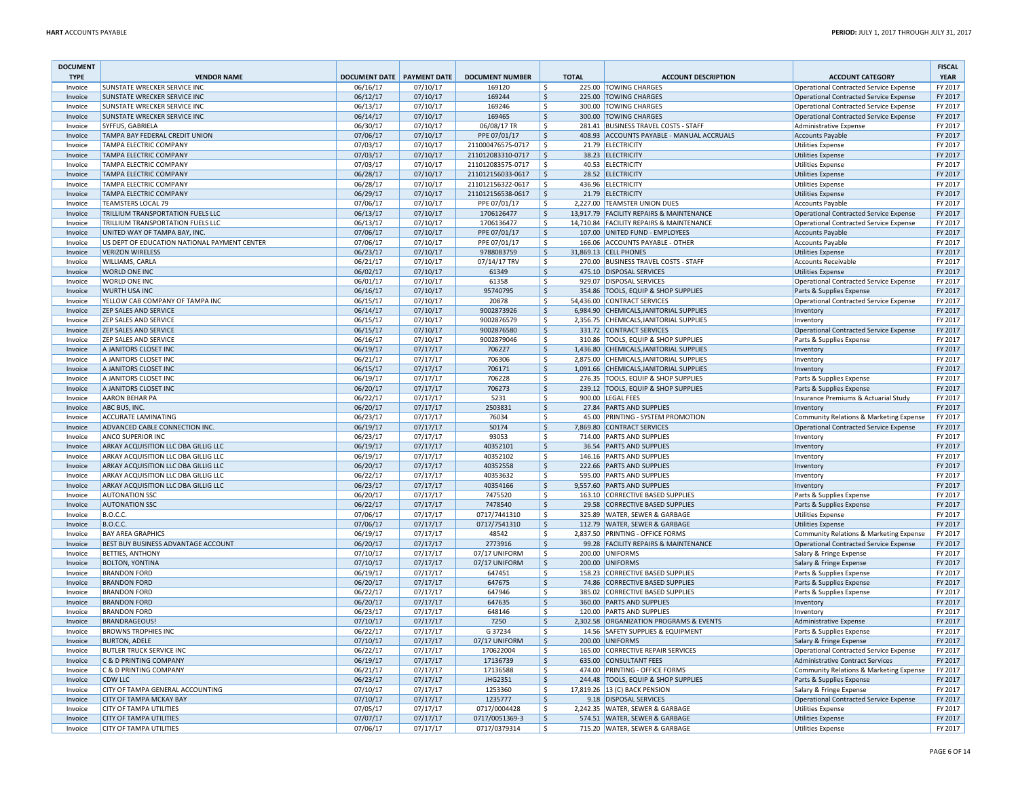| <b>DOCUMENT</b><br><b>TYPE</b> | <b>VENDOR NAME</b>                           | DOCUMENT DATE PAYMENT DATE |                      | <b>DOCUMENT NUMBER</b>       |                    | <b>TOTAL</b> | <b>ACCOUNT DESCRIPTION</b>                                      | <b>ACCOUNT CATEGORY</b>                                            | <b>FISCAL</b><br><b>YEAR</b> |
|--------------------------------|----------------------------------------------|----------------------------|----------------------|------------------------------|--------------------|--------------|-----------------------------------------------------------------|--------------------------------------------------------------------|------------------------------|
| Invoice                        | <b>SUNSTATE WRECKER SERVICE INC</b>          | 06/16/17                   | 07/10/17             | 169120                       | \$                 |              | 225.00 TOWING CHARGES                                           | Operational Contracted Service Expense                             | FY 2017                      |
| Invoice                        | <b>SUNSTATE WRECKER SERVICE INC</b>          | 06/12/17                   | 07/10/17             | 169244                       | \$                 |              | 225.00 TOWING CHARGES                                           | Operational Contracted Service Expense                             | FY 2017                      |
| Invoice                        | <b>SUNSTATE WRECKER SERVICE INC</b>          | 06/13/17                   | 07/10/17             | 169246                       | \$                 |              | 300.00 TOWING CHARGES                                           | <b>Operational Contracted Service Expense</b>                      | FY 2017                      |
| Invoice                        | <b>SUNSTATE WRECKER SERVICE INC</b>          | 06/14/17                   | 07/10/17             | 169465                       | \$                 |              | 300.00 TOWING CHARGES                                           | <b>Operational Contracted Service Expense</b>                      | FY 2017                      |
| Invoice                        | SYFFUS, GABRIELA                             | 06/30/17                   | 07/10/17             | 06/08/17 TR                  | \$                 |              | 281.41 BUSINESS TRAVEL COSTS - STAFF                            | Administrative Expense                                             | FY 2017                      |
| Invoice                        | TAMPA BAY FEDERAL CREDIT UNION               | 07/06/17                   | 07/10/17             | PPE 07/01/17                 | $\zeta$            |              | 408.93 ACCOUNTS PAYABLE - MANUAL ACCRUALS                       | <b>Accounts Payable</b>                                            | FY 2017                      |
| Invoice                        | <b>TAMPA ELECTRIC COMPANY</b>                | 07/03/17                   | 07/10/17             | 211000476575-0717            | Ŝ.                 |              | 21.79 ELECTRICITY                                               | <b>Utilities Expense</b>                                           | FY 2017                      |
| Invoice                        | <b>TAMPA ELECTRIC COMPANY</b>                | 07/03/17                   | 07/10/17             | 211012083310-0717            | $\zeta$            |              | 38.23 ELECTRICITY                                               | <b>Utilities Expense</b>                                           | FY 2017                      |
| Invoice                        | <b>TAMPA ELECTRIC COMPANY</b>                | 07/03/17                   | 07/10/17             | 211012083575-0717            | ۱\$                |              | 40.53 ELECTRICITY                                               | <b>Utilities Expense</b>                                           | FY 2017                      |
| Invoice                        | <b>TAMPA ELECTRIC COMPANY</b>                | 06/28/17                   | 07/10/17             | 211012156033-0617            | <sup>\$</sup>      |              | 28.52 ELECTRICITY                                               | <b>Utilities Expense</b>                                           | FY 2017                      |
| Invoice                        | <b>TAMPA ELECTRIC COMPANY</b>                | 06/28/17                   | 07/10/17             | 211012156322-0617            | $\dot{\mathsf{s}}$ |              | 436.96 ELECTRICITY                                              | <b>Utilities Expense</b>                                           | FY 2017                      |
| Invoice                        | TAMPA ELECTRIC COMPANY                       | 06/29/17                   | 07/10/17             | 211012156538-0617            | <sup>\$</sup>      |              | 21.79 ELECTRICITY                                               | <b>Utilities Expense</b>                                           | FY 2017                      |
| Invoice                        | <b>TEAMSTERS LOCAL 79</b>                    | 07/06/17                   | 07/10/17             | PPE 07/01/17                 | \$                 |              | 2,227.00 TEAMSTER UNION DUES                                    | <b>Accounts Payable</b>                                            | FY 2017                      |
| Invoice                        | TRILLIUM TRANSPORTATION FUELS LLC            | 06/13/17                   | 07/10/17             | 1706126477                   | \$                 |              | 13,917.79 FACILITY REPAIRS & MAINTENANCE                        | Operational Contracted Service Expense                             | FY 2017                      |
| Invoice                        | TRILLIUM TRANSPORTATION FUELS LLC            | 06/13/17                   | 07/10/17             | 1706136477                   | \$                 |              | 14,710.84 FACILITY REPAIRS & MAINTENANCE                        | <b>Operational Contracted Service Expense</b>                      | FY 2017                      |
| Invoice                        | UNITED WAY OF TAMPA BAY, INC.                | 07/06/17                   | 07/10/17             | PPE 07/01/17                 | \$                 |              | 107.00 UNITED FUND - EMPLOYEES                                  | <b>Accounts Payable</b>                                            | FY 2017                      |
| Invoice                        | US DEPT OF EDUCATION NATIONAL PAYMENT CENTER | 07/06/17                   | 07/10/17             | PPE 07/01/17                 | \$                 |              | 166.06 ACCOUNTS PAYABLE - OTHER                                 | <b>Accounts Payable</b>                                            | FY 2017                      |
| Invoice                        | <b>VERIZON WIRELESS</b>                      | 06/23/17                   | 07/10/17             | 9788083759                   | \$                 |              | 31,869.13 CELL PHONES                                           | <b>Utilities Expense</b>                                           | FY 2017                      |
| Invoice                        | <b>WILLIAMS, CARLA</b>                       | 06/21/17                   | 07/10/17             | 07/14/17 TRV                 | \$                 |              | 270.00 BUSINESS TRAVEL COSTS - STAFF                            | <b>Accounts Receivable</b>                                         | FY 2017                      |
| Invoice                        | <b>WORLD ONE INC</b>                         | 06/02/17                   | 07/10/17             | 61349                        | \$                 |              | 475.10 DISPOSAL SERVICES                                        | <b>Utilities Expense</b>                                           | FY 2017<br>FY 2017           |
| Invoice<br>Invoice             | <b>WORLD ONE INC</b><br><b>WURTH USA INC</b> | 06/01/17<br>06/16/17       | 07/10/17<br>07/10/17 | 61358<br>95740795            | \$<br>\$           |              | 929.07 DISPOSAL SERVICES<br>354.86 TOOLS, EQUIP & SHOP SUPPLIES | Operational Contracted Service Expense<br>Parts & Supplies Expense | FY 2017                      |
|                                | YELLOW CAB COMPANY OF TAMPA INC              | 06/15/17                   | 07/10/17             | 20878                        | $\mathsf{\hat{S}}$ |              | 54,436.00 CONTRACT SERVICES                                     | <b>Operational Contracted Service Expense</b>                      | FY 2017                      |
| Invoice<br>Invoice             | <b>ZEP SALES AND SERVICE</b>                 | 06/14/17                   | 07/10/17             | 9002873926                   | $\mathsf{\hat{S}}$ |              | 6,984.90 CHEMICALS, JANITORIAL SUPPLIES                         | Inventory                                                          | FY 2017                      |
| Invoice                        | <b>ZEP SALES AND SERVICE</b>                 | 06/15/17                   | 07/10/17             | 9002876579                   | \$                 |              | 2,356.75 CHEMICALS, JANITORIAL SUPPLIES                         | Inventory                                                          | FY 2017                      |
| Invoice                        | <b>ZEP SALES AND SERVICE</b>                 | 06/15/17                   | 07/10/17             | 9002876580                   | \$                 |              | 331.72 CONTRACT SERVICES                                        | <b>Operational Contracted Service Expense</b>                      | FY 2017                      |
| Invoice                        | <b>ZEP SALES AND SERVICE</b>                 | 06/16/17                   | 07/10/17             | 9002879046                   | \$                 |              | 310.86 TOOLS, EQUIP & SHOP SUPPLIES                             | Parts & Supplies Expense                                           | FY 2017                      |
| Invoice                        | A JANITORS CLOSET INC                        | 06/19/17                   | 07/17/17             | 706227                       | \$                 |              | 1,436.80 CHEMICALS, JANITORIAL SUPPLIES                         | Inventory                                                          | FY 2017                      |
| Invoice                        | A JANITORS CLOSET INC                        | 06/21/17                   | 07/17/17             | 706306                       | $\dot{\mathsf{s}}$ |              | 2,875.00 CHEMICALS, JANITORIAL SUPPLIES                         | Inventory                                                          | FY 2017                      |
| Invoice                        | A JANITORS CLOSET INC                        | 06/15/17                   | 07/17/17             | 706171                       | $\mathsf{\hat{S}}$ |              | 1,091.66 CHEMICALS, JANITORIAL SUPPLIES                         | Inventory                                                          | FY 2017                      |
| Invoice                        | A JANITORS CLOSET INC                        | 06/19/17                   | 07/17/17             | 706228                       | \$                 |              | 276.35 TOOLS, EQUIP & SHOP SUPPLIES                             | Parts & Supplies Expense                                           | FY 2017                      |
| Invoice                        | A JANITORS CLOSET INC                        | 06/20/17                   | 07/17/17             | 706273                       | \$                 |              | 239.12 TOOLS, EQUIP & SHOP SUPPLIES                             | Parts & Supplies Expense                                           | FY 2017                      |
| Invoice                        | <b>AARON BEHAR PA</b>                        | 06/22/17                   | 07/17/17             | 5231                         | \$                 |              | 900.00 LEGAL FEES                                               | Insurance Premiums & Actuarial Study                               | FY 2017                      |
| Invoice                        | ABC BUS, INC.                                | 06/20/17                   | 07/17/17             | 2503831                      | \$                 |              | 27.84 PARTS AND SUPPLIES                                        | Inventory                                                          | FY 2017                      |
| Invoice                        | <b>ACCURATE LAMINATING</b>                   | 06/23/17                   | 07/17/17             | 76034                        | $\dot{\mathbf{S}}$ |              | 45.00 PRINTING - SYSTEM PROMOTION                               | Community Relations & Marketing Expense                            | FY 2017                      |
| Invoice                        | ADVANCED CABLE CONNECTION INC.               | 06/19/17                   | 07/17/17             | 50174                        | $\mathsf{\hat{S}}$ |              | 7,869.80 CONTRACT SERVICES                                      | <b>Operational Contracted Service Expense</b>                      | FY 2017                      |
| Invoice                        | <b>ANCO SUPERIOR INC</b>                     | 06/23/17                   | 07/17/17             | 93053                        | \$                 |              | 714.00 PARTS AND SUPPLIES                                       | Inventory                                                          | FY 2017                      |
| Invoice                        | ARKAY ACQUISITION LLC DBA GILLIG LLC         | 06/19/17                   | 07/17/17             | 40352101                     | \$                 |              | 36.54 PARTS AND SUPPLIES                                        | Inventory                                                          | FY 2017                      |
| Invoice                        | ARKAY ACQUISITION LLC DBA GILLIG LLC         | 06/19/17                   | 07/17/17             | 40352102                     | Ŝ.                 |              | 146.16 PARTS AND SUPPLIES                                       | Inventory                                                          | FY 2017                      |
| Invoice                        | ARKAY ACQUISITION LLC DBA GILLIG LLC         | 06/20/17                   | 07/17/17             | 40352558                     | \$                 |              | 222.66 PARTS AND SUPPLIES                                       | <b>Inventory</b>                                                   | FY 2017                      |
| Invoice                        | ARKAY ACQUISITION LLC DBA GILLIG LLC         | 06/22/17                   | 07/17/17             | 40353632                     | $\dot{\mathsf{S}}$ |              | 595.00 PARTS AND SUPPLIES                                       | Inventory                                                          | FY 2017                      |
| Invoice                        | ARKAY ACQUISITION LLC DBA GILLIG LLC         | 06/23/17                   | 07/17/17             | 40354166                     | $\mathsf{\hat{S}}$ |              | 9,557.60 PARTS AND SUPPLIES                                     | Inventory                                                          | FY 2017                      |
| Invoice                        | <b>AUTONATION SSC</b>                        | 06/20/17                   | 07/17/17             | 7475520                      | \$                 |              | 163.10 CORRECTIVE BASED SUPPLIES                                | Parts & Supplies Expense                                           | FY 2017                      |
| Invoice                        | <b>AUTONATION SSC</b>                        | 06/22/17                   | 07/17/17             | 7478540                      | \$                 |              | 29.58 CORRECTIVE BASED SUPPLIES                                 | Parts & Supplies Expense                                           | FY 2017                      |
| Invoice<br>Invoice             | <b>B.O.C.C.</b><br><b>B.O.C.C.</b>           | 07/06/17<br>07/06/17       | 07/17/17<br>07/17/17 | 0717/7441310<br>0717/7541310 | \$<br>\$           |              | 325.89 WATER, SEWER & GARBAGE<br>112.79 WATER, SEWER & GARBAGE  | <b>Utilities Expense</b><br><b>Utilities Expense</b>               | FY 2017<br>FY 2017           |
| Invoice                        | <b>BAY AREA GRAPHICS</b>                     | 06/19/17                   | 07/17/17             | 48542                        | $\mathsf{\hat{S}}$ |              | 2,837.50 PRINTING - OFFICE FORMS                                | Community Relations & Marketing Expense                            | FY 2017                      |
| Invoice                        | BEST BUY BUSINESS ADVANTAGE ACCOUNT          | 06/20/17                   | 07/17/17             | 2773916                      | \$                 |              | 99.28 FACILITY REPAIRS & MAINTENANCE                            | <b>Operational Contracted Service Expense</b>                      | FY 2017                      |
| Invoice                        | <b>BETTIES, ANTHONY</b>                      | 07/10/17                   | 07/17/17             | 07/17 UNIFORM                | \$                 |              | 200.00 UNIFORMS                                                 | Salary & Fringe Expense                                            | FY 2017                      |
| Invoice                        | <b>BOLTON, YONTINA</b>                       | 07/10/17                   | 07/17/17             | 07/17 UNIFORM                | \$                 |              | 200.00 UNIFORMS                                                 | Salary & Fringe Expense                                            | FY 2017                      |
| Invoice                        | <b>BRANDON FORD</b>                          | 06/19/17                   | 07/17/17             | 647451                       | \$                 |              | 158.23 CORRECTIVE BASED SUPPLIES                                | Parts & Supplies Expense                                           | FY 2017                      |
| Invoice                        | <b>BRANDON FORD</b>                          | 06/20/17                   | 07/17/17             | 647675                       | Ŝ.                 |              | 74.86 CORRECTIVE BASED SUPPLIES                                 | Parts & Supplies Expense                                           | FY 2017                      |
| Invoice                        | <b>BRANDON FORD</b>                          | 06/22/17                   | 07/17/17             | 647946                       | $\dot{\mathbf{S}}$ |              | 385.02 CORRECTIVE BASED SUPPLIES                                | Parts & Supplies Expense                                           | FY 2017                      |
| Invoice                        | <b>BRANDON FORD</b>                          | 06/20/17                   | 07/17/17             | 647635                       | $\dot{\mathsf{S}}$ |              | 360.00 PARTS AND SUPPLIES                                       | Inventory                                                          | FY 2017                      |
| Invoice                        | <b>BRANDON FORD</b>                          | 06/23/17                   | 07/17/17             | 648146                       | \$                 |              | 120.00 PARTS AND SUPPLIES                                       | Inventory                                                          | FY 2017                      |
| Invoice                        | <b>BRANDRAGEOUS</b>                          | 07/10/17                   | 07/17/17             | 7250                         | $\frac{1}{2}$      |              | 2,302.58 ORGANIZATION PROGRAMS & EVENTS                         | Administrative Expense                                             | FY 2017                      |
| Invoice                        | <b>BROWNS TROPHIES INC</b>                   | 06/22/17                   | 07/17/17             | G 37234                      | \$                 |              | 14.56 SAFETY SUPPLIES & EQUIPMENT                               | Parts & Supplies Expense                                           | FY 2017                      |
| Invoice                        | <b>BURTON, ADELE</b>                         | 07/10/17                   | 07/17/17             | 07/17 UNIFORM                | \$                 |              | 200.00 UNIFORMS                                                 | Salary & Fringe Expense                                            | FY 2017                      |
| Invoice                        | <b>BUTLER TRUCK SERVICE INC</b>              | 06/22/17                   | 07/17/17             | 170622004                    | $\mathsf{\hat{S}}$ |              | 165.00 CORRECTIVE REPAIR SERVICES                               | <b>Operational Contracted Service Expense</b>                      | FY 2017                      |
| Invoice                        | C & D PRINTING COMPANY                       | 06/19/17                   | 07/17/17             | 17136739                     | $\dot{\mathsf{S}}$ |              | 635.00 CONSULTANT FEES                                          | <b>Administrative Contract Services</b>                            | FY 2017                      |
| Invoice                        | C & D PRINTING COMPANY                       | 06/21/17                   | 07/17/17             | 17136588                     | Ŝ.                 |              | 474.00 PRINTING - OFFICE FORMS                                  | Community Relations & Marketing Expense                            | FY 2017                      |
| Invoice                        | CDW LLC                                      | 06/23/17                   | 07/17/17             | JHG2351                      | $\frac{1}{2}$      |              | 244.48 TOOLS, EQUIP & SHOP SUPPLIES                             | Parts & Supplies Expense                                           | FY 2017                      |
| Invoice                        | CITY OF TAMPA GENERAL ACCOUNTING             | 07/10/17                   | 07/17/17             | 1253360                      | \$                 |              | 17,819.26 13 (C) BACK PENSION                                   | Salary & Fringe Expense                                            | FY 2017                      |
| Invoice                        | <b>CITY OF TAMPA MCKAY BAY</b>               | 07/10/17                   | 07/17/17             | 1235777                      | \$                 |              | 9.18 DISPOSAL SERVICES                                          | <b>Operational Contracted Service Expense</b>                      | FY 2017                      |
| Invoice                        | <b>CITY OF TAMPA UTILITIES</b>               | 07/05/17                   | 07/17/17             | 0717/0004428                 | \$                 |              | 2,242.35 WATER, SEWER & GARBAGE                                 | <b>Utilities Expense</b>                                           | FY 2017                      |
| Invoice                        | <b>CITY OF TAMPA UTILITIES</b>               | 07/07/17                   | 07/17/17             | 0717/0051369-3               | $\mathsf{\hat{S}}$ |              | 574.51 WATER, SEWER & GARBAGE                                   | <b>Utilities Expense</b>                                           | FY 2017                      |
| Invoice                        | <b>CITY OF TAMPA UTILITIES</b>               | 07/06/17                   | 07/17/17             | 0717/0379314                 | \$                 |              | 715.20 WATER, SEWER & GARBAGE                                   | <b>Utilities Expense</b>                                           | FY 2017                      |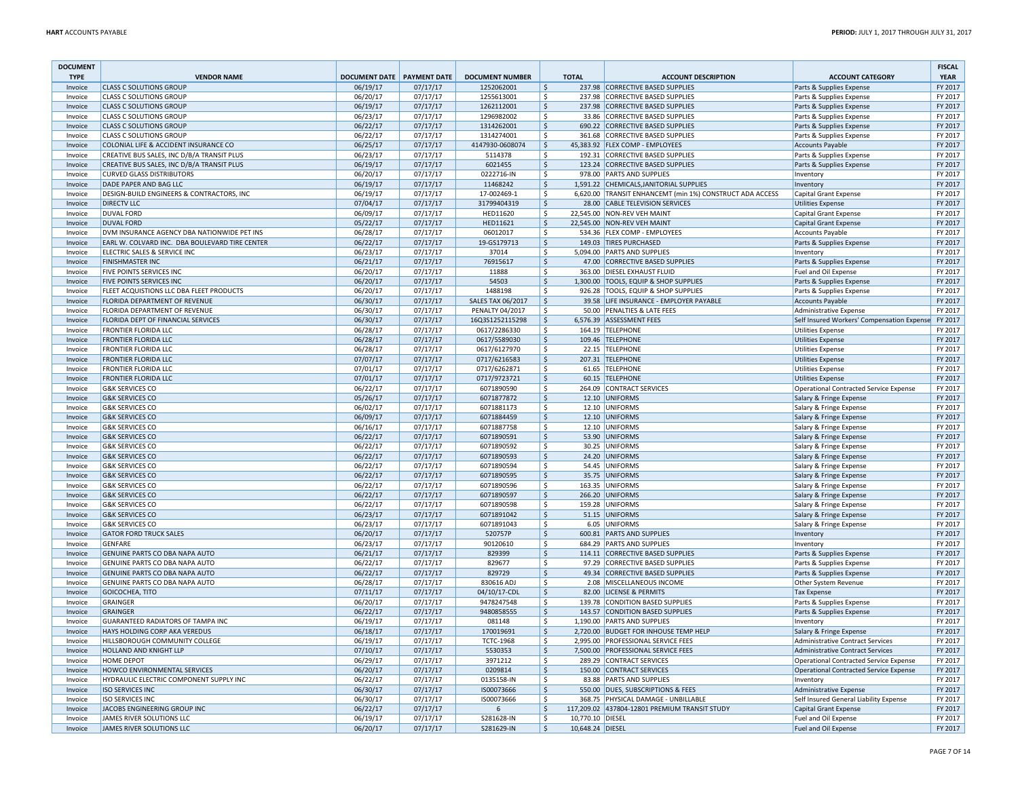| <b>DOCUMENT</b><br><b>TYPE</b> | <b>VENDOR NAME</b>                                                | DOCUMENT DATE PAYMENT DATE |                      | <b>DOCUMENT NUMBER</b>       | <b>TOTAL</b>                           | <b>ACCOUNT DESCRIPTION</b>                                          | <b>ACCOUNT CATEGORY</b>                              | <b>FISCAL</b><br><b>YEAR</b> |
|--------------------------------|-------------------------------------------------------------------|----------------------------|----------------------|------------------------------|----------------------------------------|---------------------------------------------------------------------|------------------------------------------------------|------------------------------|
| Invoice                        | <b>CLASS C SOLUTIONS GROUP</b>                                    | 06/19/17                   | 07/17/17             | 1252062001                   | \$                                     | 237.98 CORRECTIVE BASED SUPPLIES                                    | Parts & Supplies Expense                             | FY 2017                      |
| Invoice                        | <b>CLASS C SOLUTIONS GROUP</b>                                    | 06/20/17                   | 07/17/17             | 1255613001                   | \$                                     | 237.98 CORRECTIVE BASED SUPPLIES                                    | Parts & Supplies Expense                             | FY 2017                      |
| Invoice                        | <b>CLASS C SOLUTIONS GROUP</b>                                    | 06/19/17                   | 07/17/17             | 1262112001                   | $\mathsf{S}$                           | 237.98 CORRECTIVE BASED SUPPLIES                                    | Parts & Supplies Expense                             | FY 2017                      |
| Invoice                        | <b>CLASS C SOLUTIONS GROUP</b>                                    | 06/23/17                   | 07/17/17             | 1296982002                   | \$                                     | 33.86 CORRECTIVE BASED SUPPLIES                                     | Parts & Supplies Expense                             | FY 2017                      |
| Invoice                        | <b>CLASS C SOLUTIONS GROUP</b>                                    | 06/22/17                   | 07/17/17             | 1314262001                   | $\ddot{\mathsf{S}}$                    | 690.22 CORRECTIVE BASED SUPPLIES                                    | Parts & Supplies Expense                             | FY 2017                      |
| Invoice                        | <b>CLASS C SOLUTIONS GROUF</b>                                    | 06/22/17                   | 07/17/17             | 1314274001                   | \$                                     | 361.68 CORRECTIVE BASED SUPPLIES                                    | Parts & Supplies Expense                             | FY 2017                      |
| Invoice                        | COLONIAL LIFE & ACCIDENT INSURANCE CO                             | 06/25/17                   | 07/17/17             | 4147930-0608074              | $\frac{1}{2}$                          | 45.383.92 FLEX COMP - EMPLOYEES                                     | <b>Accounts Payable</b>                              | FY 2017                      |
| Invoice                        | CREATIVE BUS SALES, INC D/B/A TRANSIT PLUS                        | 06/23/17                   | 07/17/17             | 5114378                      | -\$                                    | 192.31 CORRECTIVE BASED SUPPLIES                                    | Parts & Supplies Expense                             | FY 2017                      |
| Invoice                        | CREATIVE BUS SALES, INC D/B/A TRANSIT PLUS                        | 06/19/17                   | 07/17/17             | 6021455                      | $\frac{1}{2}$                          | 123.24 CORRECTIVE BASED SUPPLIES                                    | Parts & Supplies Expense                             | FY 2017                      |
| Invoice                        | <b>CURVED GLASS DISTRIBUTORS</b>                                  | 06/20/17                   | 07/17/17             | 0222716-IN                   | \$                                     | 978.00 PARTS AND SUPPLIES                                           | Inventory                                            | FY 2017                      |
| Invoice                        | DADE PAPER AND BAG LLC                                            | 06/19/17                   | 07/17/17             | 11468242                     | $\zeta$                                | 1,591.22 CHEMICALS, JANITORIAL SUPPLIES                             | Inventory                                            | FY 2017                      |
| Invoice                        | DESIGN-BUILD ENGINEERS & CONTRACTORS, INC                         | 06/19/17                   | 07/17/17             | 17-002469-1                  | \$                                     | 6,620.00 TRANSIT ENHANCEMT (min 1%) CONSTRUCT ADA ACCESS            | Capital Grant Expense                                | FY 2017                      |
| Invoice                        | <b>DIRECTV LLC</b>                                                | 07/04/17                   | 07/17/17             | 31799404319                  | $\zeta$                                | 28.00 CABLE TELEVISION SERVICES                                     | <b>Utilities Expense</b>                             | FY 2017                      |
| Invoice                        | <b>DUVAL FORD</b>                                                 | 06/09/17                   | 07/17/17             | HED11620                     | -\$                                    | 22,545.00 NON-REV VEH MAINT                                         | Capital Grant Expense                                | FY 2017                      |
| Invoice                        | <b>DUVAL FORD</b>                                                 | 05/22/17                   | 07/17/17             | HED11621                     | \$                                     | 22,545.00 NON-REV VEH MAINT                                         | <b>Capital Grant Expense</b>                         | FY 2017                      |
| Invoice                        | DVM INSURANCE AGENCY DBA NATIONWIDE PET INS                       | 06/28/17                   | 07/17/17             | 06012017                     | \$                                     | 534.36 FLEX COMP - EMPLOYEES                                        | <b>Accounts Payable</b>                              | FY 2017                      |
| Invoice                        | EARL W. COLVARD INC. DBA BOULEVARD TIRE CENTER                    | 06/22/17                   | 07/17/17             | 19-GS179713                  | $\zeta$                                | 149.03 TIRES PURCHASED                                              | Parts & Supplies Expense                             | FY 2017                      |
| Invoice                        | ELECTRIC SALES & SERVICE INC                                      | 06/23/17                   | 07/17/17             | 37014                        | $\mathsf{\hat{S}}$                     | 5,094.00 PARTS AND SUPPLIES                                         | Inventory                                            | FY 2017                      |
| Invoice                        | <b>FINISHMASTER INC</b>                                           | 06/21/17                   | 07/17/17             | 76915617                     | $\zeta$                                | 47.00 CORRECTIVE BASED SUPPLIES                                     | Parts & Supplies Expense                             | FY 2017                      |
| Invoice                        | FIVE POINTS SERVICES INC                                          | 06/20/17                   | 07/17/17             | 11888                        | \$                                     | 363.00 DIESEL EXHAUST FLUID                                         | Fuel and Oil Expense                                 | FY 2017                      |
| Invoice                        | <b>FIVE POINTS SERVICES INC</b>                                   | 06/20/17                   | 07/17/17             | 54503                        | \$                                     | 1,300.00 TOOLS, EQUIP & SHOP SUPPLIES                               | Parts & Supplies Expense                             | FY 2017                      |
| Invoice                        | FLEET ACQUISTIONS LLC DBA FLEET PRODUCTS                          | 06/20/17                   | 07/17/17             | 1488198                      | \$                                     | 926.28 TOOLS, EQUIP & SHOP SUPPLIES                                 | Parts & Supplies Expense                             | FY 2017                      |
| Invoice                        | FLORIDA DEPARTMENT OF REVENUE                                     | 06/30/17                   | 07/17/17             | <b>SALES TAX 06/2017</b>     | $\zeta$                                | 39.58 LIFE INSURANCE - EMPLOYER PAYABLE                             | <b>Accounts Payable</b>                              | FY 2017                      |
| Invoice                        | FLORIDA DEPARTMENT OF REVENUE                                     | 06/30/17                   | 07/17/17             | PENALTY 04/2017              | Ŝ.                                     | 50.00 PENALTIES & LATE FEES                                         | <b>Administrative Expense</b>                        | FY 2017                      |
| Invoice                        | FLORIDA DEPT OF FINANCIAL SERVICES<br><b>FRONTIER FLORIDA LLC</b> | 06/30/17                   | 07/17/17             | 16Q3S1252115298              | $\zeta$                                | 6,576.39 ASSESSMENT FEES                                            | Self Insured Workers' Compensation Expense           | FY 2017                      |
| Invoice                        |                                                                   | 06/28/17                   | 07/17/17             | 0617/2286330                 | \$                                     | 164.19 TELEPHONE                                                    | <b>Utilities Expense</b>                             | FY 2017<br>FY 2017           |
| Invoice<br>Invoice             | <b>FRONTIER FLORIDA LLC</b><br><b>FRONTIER FLORIDA LLC</b>        | 06/28/17<br>06/28/17       | 07/17/17<br>07/17/17 | 0617/5589030<br>0617/6127970 | \$<br>\$                               | 109.46 TELEPHONE<br>22.15 TELEPHONE                                 | <b>Utilities Expense</b>                             | FY 2017                      |
|                                | <b>FRONTIER FLORIDA LLC</b>                                       | 07/07/17                   | 07/17/17             | 0717/6216583                 | $\dot{\mathsf{S}}$                     | 207.31 TELEPHONE                                                    | <b>Utilities Expense</b>                             | FY 2017                      |
| Invoice<br>Invoice             | <b>FRONTIER FLORIDA LLC</b>                                       | 07/01/17                   | 07/17/17             | 0717/6262871                 | $\zeta$                                | 61.65 TELEPHONE                                                     | <b>Utilities Expense</b><br><b>Utilities Expense</b> | FY 2017                      |
| Invoice                        | <b>FRONTIER FLORIDA LLC</b>                                       | 07/01/17                   | 07/17/17             | 0717/9723721                 | \$                                     | 60.15 TELEPHONE                                                     | <b>Utilities Expense</b>                             | FY 2017                      |
| Invoice                        | <b>G&amp;K SERVICES CO</b>                                        | 06/22/17                   | 07/17/17             | 6071890590                   | \$                                     | 264.09 CONTRACT SERVICES                                            | <b>Operational Contracted Service Expense</b>        | FY 2017                      |
| Invoice                        | <b>G&amp;K SERVICES CO</b>                                        | 05/26/17                   | 07/17/17             | 6071877872                   | \$                                     | 12.10 UNIFORMS                                                      | Salary & Fringe Expense                              | FY 2017                      |
| Invoice                        | <b>G&amp;K SERVICES CO</b>                                        | 06/02/17                   | 07/17/17             | 6071881173                   | \$                                     | 12.10 UNIFORMS                                                      | Salary & Fringe Expense                              | FY 2017                      |
| Invoice                        | <b>G&amp;K SERVICES CO</b>                                        | 06/09/17                   | 07/17/17             | 6071884459                   | $\dot{\mathsf{S}}$                     | 12.10 UNIFORMS                                                      | Salary & Fringe Expense                              | FY 2017                      |
| Invoice                        | <b>G&amp;K SERVICES CO</b>                                        | 06/16/17                   | 07/17/17             | 6071887758                   | $\zeta$                                | 12.10 UNIFORMS                                                      | Salary & Fringe Expense                              | FY 2017                      |
| Invoice                        | <b>G&amp;K SERVICES CO</b>                                        | 06/22/17                   | 07/17/17             | 6071890591                   | \$                                     | 53.90 UNIFORMS                                                      | Salary & Fringe Expense                              | FY 2017                      |
| Invoice                        | <b>G&amp;K SERVICES CO</b>                                        | 06/22/17                   | 07/17/17             | 6071890592                   | \$                                     | 30.25 UNIFORMS                                                      | Salary & Fringe Expense                              | FY 2017                      |
| Invoice                        | <b>G&amp;K SERVICES CO</b>                                        | 06/22/17                   | 07/17/17             | 6071890593                   | \$                                     | 24.20 UNIFORMS                                                      | Salary & Fringe Expense                              | FY 2017                      |
| Invoice                        | <b>G&amp;K SERVICES CO</b>                                        | 06/22/17                   | 07/17/17             | 6071890594                   | \$                                     | 54.45 UNIFORMS                                                      | Salary & Fringe Expense                              | FY 2017                      |
| Invoice                        | <b>G&amp;K SERVICES CO</b>                                        | 06/22/17                   | 07/17/17             | 6071890595                   | $\dot{\mathsf{S}}$                     | 35.75 UNIFORMS                                                      | Salary & Fringe Expense                              | FY 2017                      |
| Invoice                        | <b>G&amp;K SERVICES CO</b>                                        | 06/22/17                   | 07/17/17             | 6071890596                   | $\zeta$                                | 163.35 UNIFORMS                                                     | Salary & Fringe Expense                              | FY 2017                      |
| Invoice                        | <b>G&amp;K SERVICES CO</b>                                        | 06/22/17                   | 07/17/17             | 6071890597                   | $\frac{1}{2}$                          | 266.20 UNIFORMS                                                     | Salary & Fringe Expense                              | FY 2017                      |
| Invoice                        | <b>G&amp;K SERVICES CO</b>                                        | 06/22/17                   | 07/17/17             | 6071890598                   | \$                                     | 159.28 UNIFORMS                                                     | Salary & Fringe Expense                              | FY 2017                      |
| Invoice                        | <b>G&amp;K SERVICES CO</b>                                        | 06/23/17                   | 07/17/17             | 6071891042                   | \$                                     | 51.15 UNIFORMS                                                      | Salary & Fringe Expense                              | FY 2017                      |
| Invoice                        | <b>G&amp;K SERVICES CO</b>                                        | 06/23/17                   | 07/17/17             | 6071891043                   | -\$                                    | 6.05 UNIFORMS                                                       | Salary & Fringe Expense                              | FY 2017                      |
| Invoice                        | <b>GATOR FORD TRUCK SALES</b>                                     | 06/20/17                   | 07/17/17             | 520757P                      | $\zeta$                                | 600.81 PARTS AND SUPPLIES                                           | Inventory                                            | FY 2017                      |
| Invoice                        | <b>GENFARE</b>                                                    | 06/23/17                   | 07/17/17             | 90120610                     | $\dot{\mathsf{s}}$                     | 684.29 PARTS AND SUPPLIES                                           | Inventory                                            | FY 2017                      |
| Invoice                        | GENUINE PARTS CO DBA NAPA AUTO<br>GENUINE PARTS CO DBA NAPA AUTO  | 06/21/17                   | 07/17/17<br>07/17/17 | 829399<br>829677             | $\zeta$<br>\$                          | 114.11 CORRECTIVE BASED SUPPLIES<br>97.29 CORRECTIVE BASED SUPPLIES | Parts & Supplies Expense                             | FY 2017<br>FY 2017           |
| Invoice                        | GENUINE PARTS CO DBA NAPA AUTO                                    | 06/22/17<br>06/22/17       | 07/17/17             | 829729                       |                                        |                                                                     | Parts & Supplies Expense                             | FY 2017                      |
| Invoice<br>Invoice             | GENUINE PARTS CO DBA NAPA AUTO                                    | 06/28/17                   | 07/17/17             | 830616 ADJ                   | \$<br>\$                               | 49.34 CORRECTIVE BASED SUPPLIES<br>2.08 MISCELLANEOUS INCOME        | Parts & Supplies Expense<br>Other System Revenue     | FY 2017                      |
|                                | GOICOCHEA, TITO                                                   | 07/11/17                   | 07/17/17             | 04/10/17-CDL                 | $\dot{\mathsf{S}}$                     | 82.00 LICENSE & PERMITS                                             |                                                      | FY 2017                      |
| Invoice<br>Invoice             | <b>GRAINGER</b>                                                   | 06/20/17                   | 07/17/17             | 9478247548                   | $\dot{\mathsf{s}}$                     | 139.78 CONDITION BASED SUPPLIES                                     | <b>Tax Expense</b><br>Parts & Supplies Expense       | FY 2017                      |
| Invoice                        | <b>GRAINGER</b>                                                   | 06/22/17                   | 07/17/17             | 9480858555                   | $\frac{1}{2}$                          | 143.57 CONDITION BASED SUPPLIES                                     | Parts & Supplies Expense                             | FY 2017                      |
| Invoice                        | <b>GUARANTEED RADIATORS OF TAMPA INC</b>                          | 06/19/17                   | 07/17/17             | 081148                       | $\zeta$                                | 1,190.00 PARTS AND SUPPLIES                                         | Inventory                                            | FY 2017                      |
| Invoice                        | HAYS HOLDING CORP AKA VEREDUS                                     | 06/18/17                   | 07/17/17             | 170019691                    | \$                                     | 2,720.00 BUDGET FOR INHOUSE TEMP HELP                               | Salary & Fringe Expense                              | FY 2017                      |
| Invoice                        | HILLSBOROUGH COMMUNITY COLLEGE                                    | 06/19/17                   | 07/17/17             | <b>TCTC-1968</b>             | \$                                     | 2,995.00 PROFESSIONAL SERVICE FEES                                  | <b>Administrative Contract Services</b>              | FY 2017                      |
| Invoice                        | HOLLAND AND KNIGHT LLP                                            | 07/10/17                   | 07/17/17             | 5530353                      | $\dot{\mathsf{S}}$                     | 7,500.00 PROFESSIONAL SERVICE FEES                                  | <b>Administrative Contract Services</b>              | FY 2017                      |
| Invoice                        | <b>HOME DEPOT</b>                                                 | 06/29/17                   | 07/17/17             | 3971212                      | $\dot{\mathsf{s}}$                     | 289.29 CONTRACT SERVICES                                            | <b>Operational Contracted Service Expense</b>        | FY 2017                      |
| Invoice                        | HOWCO ENVIRONMENTAL SERVICES                                      | 06/20/17                   | 07/17/17             | 0209814                      | $\zeta$                                | 150.00 CONTRACT SERVICES                                            | <b>Operational Contracted Service Expense</b>        | FY 2017                      |
| Invoice                        | HYDRAULIC ELECTRIC COMPONENT SUPPLY INC                           | 06/22/17                   | 07/17/17             | 0135158-IN                   | \$                                     | 83.88 PARTS AND SUPPLIES                                            | Inventory                                            | FY 2017                      |
| Invoice                        | <b>ISO SERVICES INC</b>                                           | 06/30/17                   | 07/17/17             | IS00073666                   | \$                                     | 550.00 DUES, SUBSCRIPTIONS & FEES                                   | Administrative Expense                               | FY 2017                      |
| Invoice                        | <b>ISO SERVICES INC</b>                                           | 06/30/17                   | 07/17/17             | IS00073666                   | \$                                     | 368.75 PHYSICAL DAMAGE - UNBILLABLE                                 | Self Insured General Liability Expense               | FY 2017                      |
| Invoice                        | JACOBS ENGINEERING GROUP INC                                      | 06/22/17                   | 07/17/17             | 6                            | $\dot{\mathsf{S}}$                     | 117,209.02 437804-12801 PREMIUM TRANSIT STUDY                       | <b>Capital Grant Expense</b>                         | FY 2017                      |
| Invoice                        | JAMES RIVER SOLUTIONS LLC                                         | 06/19/17                   | 07/17/17             | S281628-IN                   | $\dot{\mathsf{S}}$<br>10,770.10 DIESEL |                                                                     | Fuel and Oil Expense                                 | FY 2017                      |
| Invoice                        | JAMES RIVER SOLUTIONS LLC                                         | 06/20/17                   | 07/17/17             | S281629-IN                   | $\zeta$<br>10,648.24 DIESEL            |                                                                     | Fuel and Oil Expense                                 | FY 2017                      |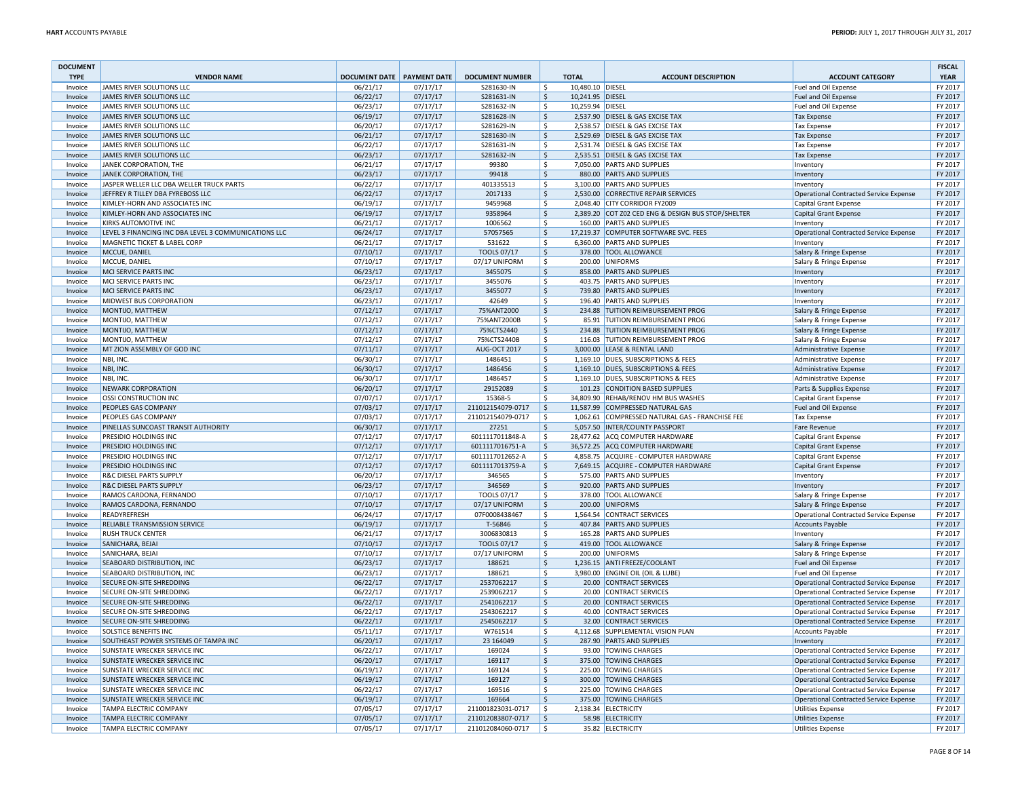| <b>DOCUMENT</b><br><b>TYPE</b> | <b>VENDOR NAME</b>                                   | DOCUMENT DATE PAYMENT DATE |                      | <b>DOCUMENT NUMBER</b> | <b>TOTAL</b>           | <b>ACCOUNT DESCRIPTION</b>                                       | <b>ACCOUNT CATEGORY</b>                            | <b>FISCAL</b><br><b>YEAR</b> |
|--------------------------------|------------------------------------------------------|----------------------------|----------------------|------------------------|------------------------|------------------------------------------------------------------|----------------------------------------------------|------------------------------|
| Invoice                        | JAMES RIVER SOLUTIONS LLC                            | 06/21/17                   | 07/17/17             | S281630-IN             | \$<br>10.480.10 DIESEL |                                                                  | Fuel and Oil Expense                               | FY 2017                      |
| Invoice                        | JAMES RIVER SOLUTIONS LLC                            | 06/22/17                   | 07/17/17             | S281631-IN             | 10,241.95 DIESEL<br>\$ |                                                                  | Fuel and Oil Expense                               | FY 2017                      |
| Invoice                        | JAMES RIVER SOLUTIONS LLC                            | 06/23/17                   | 07/17/17             | S281632-IN             | 10,259.94 DIESEL<br>Ŝ. |                                                                  | Fuel and Oil Expense                               | FY 2017                      |
| Invoice                        | <b>JAMES RIVER SOLUTIONS LLC</b>                     | 06/19/17                   | 07/17/17             | S281628-IN             | \$                     | 2,537.90 DIESEL & GAS EXCISE TAX                                 | <b>Tax Expense</b>                                 | FY 2017                      |
| Invoice                        | JAMES RIVER SOLUTIONS LLC                            | 06/20/17                   | 07/17/17             | S281629-IN             | \$                     | 2,538.57 DIESEL & GAS EXCISE TAX                                 | <b>Tax Expense</b>                                 | FY 2017                      |
| Invoice                        | <b>JAMES RIVER SOLUTIONS LLC</b>                     | 06/21/17                   | 07/17/17             | S281630-IN             | \$                     | 2,529.69 DIESEL & GAS EXCISE TAX                                 | <b>Tax Expense</b>                                 | FY 2017                      |
| Invoice                        | JAMES RIVER SOLUTIONS LLC                            | 06/22/17                   | 07/17/17             | S281631-IN             | Ŝ.                     | 2.531.74 DIESEL & GAS EXCISE TAX                                 | <b>Tax Expense</b>                                 | FY 2017                      |
| Invoice                        | JAMES RIVER SOLUTIONS LLC                            | 06/23/17                   | 07/17/17             | S281632-IN             | \$                     | 2,535.51 DIESEL & GAS EXCISE TAX                                 | <b>Tax Expense</b>                                 | FY 2017                      |
| Invoice                        | JANEK CORPORATION, THE                               | 06/21/17                   | 07/17/17             | 99380                  | \$                     | 7,050.00 PARTS AND SUPPLIES                                      | Inventory                                          | FY 2017                      |
| Invoice                        | JANEK CORPORATION, THE                               | 06/23/17                   | 07/17/17             | 99418                  | \$                     | 880.00 PARTS AND SUPPLIES                                        | Inventory                                          | FY 2017                      |
| Invoice                        | JASPER WELLER LLC DBA WELLER TRUCK PARTS             | 06/22/17                   | 07/17/17             | 401335513              | Ś                      | 3,100.00 PARTS AND SUPPLIES                                      | Inventory                                          | FY 2017                      |
| Invoice                        | JEFFREY R TILLEY DBA FYREBOSS LLC                    | 06/22/17                   | 07/17/17             | 2017133                | $\zeta$                | 2,530.00 CORRECTIVE REPAIR SERVICES                              | <b>Operational Contracted Service Expense</b>      | FY 2017                      |
| Invoice                        | KIMLEY-HORN AND ASSOCIATES INC                       | 06/19/17                   | 07/17/17             | 9459968                | \$                     | 2,048.40 CITY CORRIDOR FY2009                                    | <b>Capital Grant Expense</b>                       | FY 2017                      |
| Invoice                        | KIMLEY-HORN AND ASSOCIATES INC                       | 06/19/17                   | 07/17/17             | 9358964                | \$                     | 2,389.20 COT Z02 CED ENG & DESIGN BUS STOP/SHELTER               | Capital Grant Expense                              | FY 2017                      |
| Invoice                        | <b>KIRKS AUTOMOTIVE INC</b>                          | 06/21/17                   | 07/17/17             | 1006562                | \$                     | 160.00 PARTS AND SUPPLIES                                        | Inventory                                          | FY 2017                      |
| Invoice                        | LEVEL 3 FINANCING INC DBA LEVEL 3 COMMUNICATIONS LLC | 06/24/17                   | 07/17/17             | 57057565               | \$                     | 17,219.37 COMPUTER SOFTWARE SVC. FEES                            | Operational Contracted Service Expense             | FY 2017                      |
| Invoice                        | MAGNETIC TICKET & LABEL CORP                         | 06/21/17                   | 07/17/17             | 531622                 | $\hat{\mathsf{S}}$     | 6,360.00 PARTS AND SUPPLIES                                      | Inventory                                          | FY 2017                      |
| Invoice                        | MCCUE, DANIEL                                        | 07/10/17                   | 07/17/17             | <b>TOOLS 07/17</b>     | $\zeta$                | 378.00 TOOL ALLOWANCE                                            | Salary & Fringe Expense                            | FY 2017                      |
| Invoice                        | MCCUE, DANIEL                                        | 07/10/17                   | 07/17/17             | 07/17 UNIFORM          | \$                     | 200.00 UNIFORMS                                                  | Salary & Fringe Expense                            | FY 2017                      |
| Invoice                        | MCI SERVICE PARTS INC                                | 06/23/17                   | 07/17/17             | 3455075                | \$                     | 858.00 PARTS AND SUPPLIES                                        | Inventory                                          | FY 2017<br>FY 2017           |
| Invoice<br>Invoice             | MCI SERVICE PARTS INC<br>MCI SERVICE PARTS INC       | 06/23/17<br>06/23/17       | 07/17/17             | 3455076<br>3455077     | \$<br>\$               | 403.75 PARTS AND SUPPLIES<br>739.80 PARTS AND SUPPLIES           | Inventory                                          | FY 2017                      |
|                                |                                                      |                            | 07/17/17             |                        | Ś                      |                                                                  | Inventory                                          |                              |
| Invoice<br>Invoice             | MIDWEST BUS CORPORATION<br>MONTIJO, MATTHEW          | 06/23/17<br>07/12/17       | 07/17/17<br>07/17/17 | 42649<br>75%ANT2000    | \$                     | 196.40 PARTS AND SUPPLIES<br>234.88 TUITION REIMBURSEMENT PROG   | Inventory                                          | FY 2017<br>FY 2017           |
| Invoice                        | MONTIJO, MATTHEW                                     | 07/12/17                   | 07/17/17             | 75%ANT2000B            | \$                     | 85.91 TUITION REIMBURSEMENT PROG                                 | Salary & Fringe Expense<br>Salary & Fringe Expense | FY 2017                      |
| Invoice                        | MONTIJO, MATTHEW                                     | 07/12/17                   | 07/17/17             | 75%CTS2440             | \$                     | 234.88 TUITION REIMBURSEMENT PROG                                | Salary & Fringe Expense                            | FY 2017                      |
| Invoice                        | MONTIJO, MATTHEW                                     | 07/12/17                   | 07/17/17             | 75%CTS2440B            | \$                     | 116.03 TUITION REIMBURSEMENT PROG                                | Salary & Fringe Expense                            | FY 2017                      |
| Invoice                        | MT ZION ASSEMBLY OF GOD INC                          | 07/11/17                   | 07/17/17             | <b>AUG-OCT 2017</b>    | \$                     | 3,000.00 LEASE & RENTAL LAND                                     | <b>Administrative Expense</b>                      | FY 2017                      |
| Invoice                        | NBI, INC.                                            | 06/30/17                   | 07/17/17             | 1486451                | $\dot{\mathsf{S}}$     | 1,169.10 DUES, SUBSCRIPTIONS & FEES                              | <b>Administrative Expense</b>                      | FY 2017                      |
| Invoice                        | NBI, INC.                                            | 06/30/17                   | 07/17/17             | 1486456                | $\zeta$                | 1,169.10 DUES, SUBSCRIPTIONS & FEES                              | <b>Administrative Expense</b>                      | FY 2017                      |
| Invoice                        | NBI, INC.                                            | 06/30/17                   | 07/17/17             | 1486457                | \$                     | 1,169.10 DUES, SUBSCRIPTIONS & FEES                              | <b>Administrative Expense</b>                      | FY 2017                      |
| Invoice                        | NEWARK CORPORATION                                   | 06/20/17                   | 07/17/17             | 29152089               | \$                     | 101.23 CONDITION BASED SUPPLIES                                  | Parts & Supplies Expense                           | FY 2017                      |
| Invoice                        | <b>OSSI CONSTRUCTION INC</b>                         | 07/07/17                   | 07/17/17             | 15368-5                | Ŝ.                     | 34,809.90 REHAB/RENOV HM BUS WASHES                              | <b>Capital Grant Expense</b>                       | FY 2017                      |
| Invoice                        | PEOPLES GAS COMPANY                                  | 07/03/17                   | 07/17/17             | 211012154079-0717      | S.                     | 11,587.99 COMPRESSED NATURAL GAS                                 | <b>Fuel and Oil Expense</b>                        | FY 2017                      |
| Invoice                        | PEOPLES GAS COMPANY                                  | 07/03/17                   | 07/17/17             | 211012154079-0717      | $\mathsf{\hat{S}}$     | 1,062.61 COMPRESSED NATURAL GAS - FRANCHISE FEE                  | <b>Tax Expense</b>                                 | FY 2017                      |
| Invoice                        | PINELLAS SUNCOAST TRANSIT AUTHORITY                  | 06/30/17                   | 07/17/17             | 27251                  | Ś                      | 5,057.50 INTER/COUNTY PASSPORT                                   | Fare Revenue                                       | FY 2017                      |
| Invoice                        | PRESIDIO HOLDINGS INC                                | 07/12/17                   | 07/17/17             | 6011117011848-A        | \$                     | 28,477.62 ACQ COMPUTER HARDWARE                                  | Capital Grant Expense                              | FY 2017                      |
| Invoice                        | PRESIDIO HOLDINGS INC                                | 07/12/17                   | 07/17/17             | 6011117016751-A        | \$                     | 36,572.25 ACQ COMPUTER HARDWARE                                  | Capital Grant Expense                              | FY 2017                      |
| Invoice                        | PRESIDIO HOLDINGS INC                                | 07/12/17                   | 07/17/17             | 6011117012652-A        | \$                     | 4,858.75 ACQUIRE - COMPUTER HARDWARE                             | Capital Grant Expense                              | FY 2017                      |
| Invoice                        | PRESIDIO HOLDINGS INC                                | 07/12/17                   | 07/17/17             | 6011117013759-A        | \$                     | 7,649.15 ACQUIRE - COMPUTER HARDWARE                             | <b>Capital Grant Expense</b>                       | FY 2017                      |
| Invoice                        | <b>R&amp;C DIESEL PARTS SUPPLY</b>                   | 06/20/17                   | 07/17/17             | 346565                 | Ś                      | 575.00 PARTS AND SUPPLIES                                        | Inventory                                          | FY 2017                      |
| Invoice                        | <b>R&amp;C DIESEL PARTS SUPPLY</b>                   | 06/23/17                   | 07/17/17             | 346569                 | \$                     | 920.00 PARTS AND SUPPLIES                                        | Inventory                                          | FY 2017                      |
| Invoice                        | RAMOS CARDONA, FERNANDO                              | 07/10/17                   | 07/17/17             | TOOLS 07/17            | \$                     | 378.00 TOOL ALLOWANCE                                            | Salary & Fringe Expense                            | FY 2017                      |
| Invoice                        | RAMOS CARDONA, FERNANDO                              | 07/10/17                   | 07/17/17             | 07/17 UNIFORM          | \$                     | 200.00 UNIFORMS                                                  | Salary & Fringe Expense                            | FY 2017                      |
| Invoice                        | READYREFRESH                                         | 06/24/17                   | 07/17/17             | 07F0008438467          | \$                     | 1,564.54 CONTRACT SERVICES                                       | Operational Contracted Service Expense             | FY 2017                      |
| Invoice                        | RELIABLE TRANSMISSION SERVICE                        | 06/19/17                   | 07/17/17             | T-56846                | \$                     | 407.84 PARTS AND SUPPLIES                                        | <b>Accounts Payable</b>                            | FY 2017                      |
| Invoice                        | <b>RUSH TRUCK CENTER</b>                             | 06/21/17                   | 07/17/17             | 3006830813             | $\mathsf{\hat{S}}$     | 165.28 PARTS AND SUPPLIES                                        | Inventory                                          | FY 2017                      |
| Invoice                        | SANICHARA, BEJAI                                     | 07/10/17                   | 07/17/17             | <b>TOOLS 07/17</b>     | $\mathsf{\hat{S}}$     | 419.00 TOOL ALLOWANCE                                            | Salary & Fringe Expense                            | FY 2017                      |
| Invoice                        | SANICHARA, BEJAI<br>SEABOARD DISTRIBUTION, INC       | 07/10/17                   | 07/17/17             | 07/17 UNIFORM          | \$                     | 200.00 UNIFORMS                                                  | Salary & Fringe Expense                            | FY 2017<br>FY 2017           |
| Invoice<br>Invoice             | SEABOARD DISTRIBUTION, INC                           | 06/23/17<br>06/23/17       | 07/17/17<br>07/17/17 | 188621<br>188621       | \$<br>\$               | 1,236.15 ANTI FREEZE/COOLANT<br>3,980.00 ENGINE OIL (OIL & LUBE) | Fuel and Oil Expense<br>Fuel and Oil Expense       | FY 2017                      |
| Invoice                        | SECURE ON-SITE SHREDDING                             | 06/22/17                   | 07/17/17             | 2537062217             | \$                     | 20.00 CONTRACT SERVICES                                          | Operational Contracted Service Expense             | FY 2017                      |
| Invoice                        | SECURE ON-SITE SHREDDING                             | 06/22/17                   | 07/17/17             | 2539062217             | $\dot{\mathsf{S}}$     | 20.00 CONTRACT SERVICES                                          | <b>Operational Contracted Service Expense</b>      | FY 2017                      |
| Invoice                        | SECURE ON-SITE SHREDDING                             | 06/22/17                   | 07/17/17             | 2541062217             | \$                     | 20.00 CONTRACT SERVICES                                          | <b>Operational Contracted Service Expense</b>      | FY 2017                      |
| Invoice                        | SECURE ON-SITE SHREDDING                             | 06/22/17                   | 07/17/17             | 2543062217             | \$                     | 40.00 CONTRACT SERVICES                                          | <b>Operational Contracted Service Expense</b>      | FY 2017                      |
| Invoice                        | SECURE ON-SITE SHREDDING                             | 06/22/17                   | 07/17/17             | 2545062217             | \$                     | 32.00 CONTRACT SERVICES                                          | Operational Contracted Service Expense             | FY 2017                      |
| Invoice                        | <b>SOLSTICE BENEFITS INC</b>                         | 05/11/17                   | 07/17/17             | W761514                | \$                     | 4,112.68 SUPPLEMENTAL VISION PLAN                                | <b>Accounts Payable</b>                            | FY 2017                      |
| Invoice                        | SOUTHEAST POWER SYSTEMS OF TAMPA INC                 | 06/20/17                   | 07/17/17             | 23 16 40 49            | \$                     | 287.90 PARTS AND SUPPLIES                                        | Inventory                                          | FY 2017                      |
| Invoice                        | <b>SUNSTATE WRECKER SERVICE INC</b>                  | 06/22/17                   | 07/17/17             | 169024                 | $\mathsf{\hat{S}}$     | 93.00 TOWING CHARGES                                             | Operational Contracted Service Expense             | FY 2017                      |
| Invoice                        | <b>SUNSTATE WRECKER SERVICE INC</b>                  | 06/20/17                   | 07/17/17             | 169117                 | $\zeta$                | 375.00 TOWING CHARGES                                            | <b>Operational Contracted Service Expense</b>      | FY 2017                      |
| Invoice                        | SUNSTATE WRECKER SERVICE INC                         | 06/19/17                   | 07/17/17             | 169124                 | \$                     | 225.00 TOWING CHARGES                                            | <b>Operational Contracted Service Expense</b>      | FY 2017                      |
| Invoice                        | <b>SUNSTATE WRECKER SERVICE INC</b>                  | 06/19/17                   | 07/17/17             | 169127                 | $\zeta$                | 300.00 TOWING CHARGES                                            | <b>Operational Contracted Service Expense</b>      | FY 2017                      |
| Invoice                        | SUNSTATE WRECKER SERVICE INC                         | 06/22/17                   | 07/17/17             | 169516                 | \$                     | 225.00 TOWING CHARGES                                            | <b>Operational Contracted Service Expense</b>      | FY 2017                      |
| Invoice                        | SUNSTATE WRECKER SERVICE INC                         | 06/19/17                   | 07/17/17             | 169664                 | \$                     | 375.00 TOWING CHARGES                                            | <b>Operational Contracted Service Expense</b>      | FY 2017                      |
| Invoice                        | <b>TAMPA ELECTRIC COMPANY</b>                        | 07/05/17                   | 07/17/17             | 211001823031-0717      | $\dot{\mathsf{s}}$     | 2,138.34 ELECTRICITY                                             | <b>Utilities Expense</b>                           | FY 2017                      |
| Invoice                        | <b>TAMPA ELECTRIC COMPANY</b>                        | 07/05/17                   | 07/17/17             | 211012083807-0717      | Ś                      | 58.98 ELECTRICITY                                                | <b>Utilities Expense</b>                           | FY 2017                      |
| Invoice                        | <b>TAMPA ELECTRIC COMPANY</b>                        | 07/05/17                   | 07/17/17             | 211012084060-0717      | Ŝ.                     | 35.82 ELECTRICITY                                                | <b>Utilities Expense</b>                           | FY 2017                      |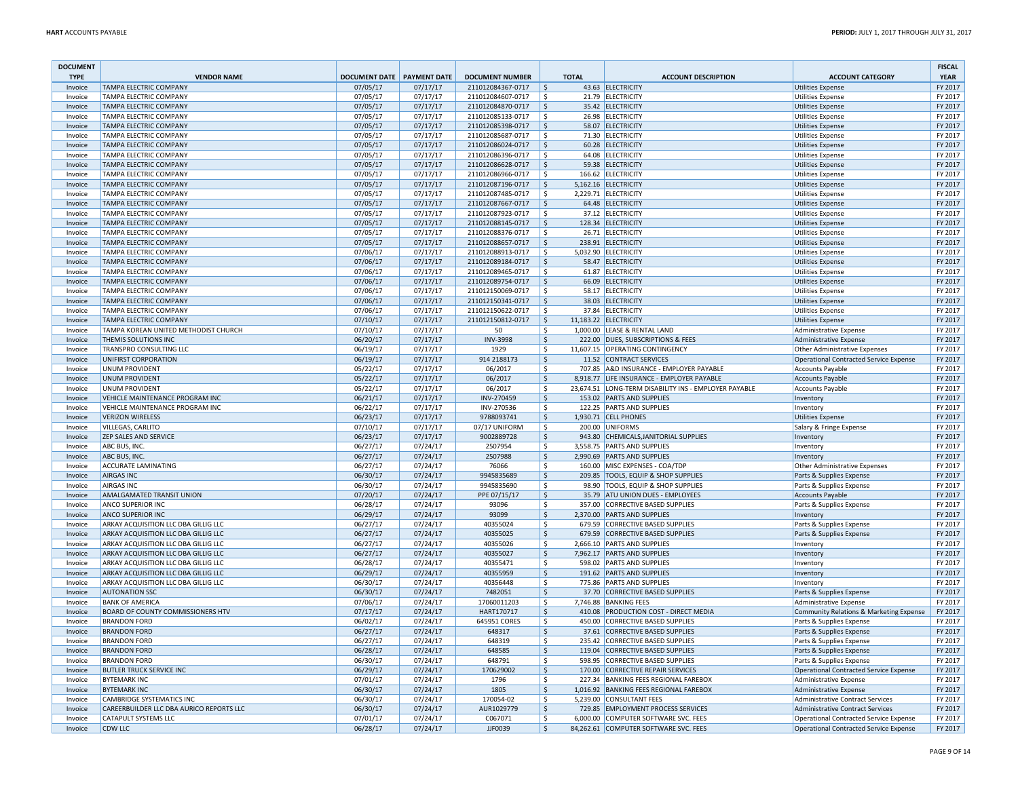| <b>DOCUMENT</b>        |                                                                |                                   |                      |                                             |                          |              |                                                                           |                                                                           | <b>FISCAL</b>          |
|------------------------|----------------------------------------------------------------|-----------------------------------|----------------------|---------------------------------------------|--------------------------|--------------|---------------------------------------------------------------------------|---------------------------------------------------------------------------|------------------------|
| <b>TYPE</b><br>Invoice | <b>VENDOR NAME</b><br><b>TAMPA ELECTRIC COMPANY</b>            | <b>DOCUMENT DATE PAYMENT DATE</b> | 07/17/17             | <b>DOCUMENT NUMBER</b><br>211012084367-0717 |                          | <b>TOTAL</b> | <b>ACCOUNT DESCRIPTION</b><br>43.63 ELECTRICITY                           | <b>ACCOUNT CATEGORY</b>                                                   | <b>YEAR</b><br>FY 2017 |
|                        | TAMPA ELECTRIC COMPANY                                         | 07/05/17<br>07/05/17              | 07/17/17             | 211012084607-0717                           | $\frac{1}{2}$<br>\$.     |              | 21.79 ELECTRICITY                                                         | <b>Utilities Expense</b>                                                  | FY 2017                |
| Invoice<br>Invoice     | <b>TAMPA ELECTRIC COMPANY</b>                                  | 07/05/17                          | 07/17/17             | 211012084870-0717                           | \$                       |              | 35.42 ELECTRICITY                                                         | <b>Utilities Expense</b><br><b>Utilities Expense</b>                      | FY 2017                |
| Invoice                | TAMPA ELECTRIC COMPANY                                         | 07/05/17                          | 07/17/17             | 211012085133-0717                           | l\$                      |              | 26.98 ELECTRICITY                                                         | <b>Utilities Expense</b>                                                  | FY 2017                |
| Invoice                | TAMPA ELECTRIC COMPANY                                         | 07/05/17                          | 07/17/17             | 211012085398-0717                           | \$                       |              | 58.07 ELECTRICITY                                                         | <b>Utilities Expense</b>                                                  | FY 2017                |
| Invoice                | TAMPA ELECTRIC COMPANY                                         | 07/05/17                          | 07/17/17             | 211012085687-0717                           | \$                       |              | 71.30 ELECTRICITY                                                         | <b>Utilities Expense</b>                                                  | FY 2017                |
| Invoice                | <b>TAMPA ELECTRIC COMPANY</b>                                  | 07/05/17                          | 07/17/17             | 211012086024-0717                           | S.                       |              | 60.28 ELECTRICITY                                                         | <b>Utilities Expense</b>                                                  | FY 2017                |
| Invoice                | TAMPA ELECTRIC COMPANY                                         | 07/05/17                          | 07/17/17             | 211012086396-0717                           | \$                       |              | 64.08 ELECTRICITY                                                         | <b>Utilities Expense</b>                                                  | FY 2017                |
| Invoice                | <b>TAMPA ELECTRIC COMPANY</b>                                  | 07/05/17                          | 07/17/17             | 211012086628-0717                           | -S                       |              | 59.38 ELECTRICITY                                                         | <b>Utilities Expense</b>                                                  | FY 2017                |
| Invoice                | <b>TAMPA ELECTRIC COMPANY</b>                                  | 07/05/17                          | 07/17/17             | 211012086966-0717                           | \$                       |              | 166.62 ELECTRICITY                                                        | <b>Utilities Expense</b>                                                  | FY 2017                |
| Invoice                | <b>TAMPA ELECTRIC COMPANY</b>                                  | 07/05/17                          | 07/17/17             | 211012087196-0717                           | Ś                        |              | 5,162.16 ELECTRICITY                                                      | <b>Utilities Expense</b>                                                  | FY 2017                |
| Invoice                | TAMPA ELECTRIC COMPANY                                         | 07/05/17                          | 07/17/17             | 211012087485-0717                           | Ś                        | 2,229.71     | <b>ELECTRICITY</b>                                                        | <b>Utilities Expense</b>                                                  | FY 2017                |
| Invoice                | <b>TAMPA ELECTRIC COMPANY</b>                                  | 07/05/17                          | 07/17/17             | 211012087667-0717                           | $\frac{1}{2}$            |              | 64.48 ELECTRICITY                                                         | <b>Utilities Expense</b>                                                  | FY 2017                |
| Invoice                | TAMPA ELECTRIC COMPANY                                         | 07/05/17                          | 07/17/17             | 211012087923-0717                           | \$                       |              | 37.12 ELECTRICITY                                                         | <b>Utilities Expense</b>                                                  | FY 2017                |
| Invoice                | <b>TAMPA ELECTRIC COMPANY</b>                                  | 07/05/17                          | 07/17/17             | 211012088145-0717                           | l\$                      |              | 128.34 ELECTRICITY                                                        | <b>Utilities Expense</b>                                                  | FY 2017                |
| Invoice                | TAMPA ELECTRIC COMPANY                                         | 07/05/17                          | 07/17/17             | 211012088376-0717                           | l\$                      |              | 26.71 ELECTRICITY                                                         | Utilities Expense                                                         | FY 2017                |
| Invoice                | TAMPA ELECTRIC COMPANY                                         | 07/05/17                          | 07/17/17             | 211012088657-0717                           | Ś                        |              | 238.91 ELECTRICITY                                                        | <b>Utilities Expense</b>                                                  | FY 2017                |
| Invoice                | TAMPA ELECTRIC COMPANY                                         | 07/06/17                          | 07/17/17             | 211012088913-0717                           | Ś                        |              | 5,032.90 ELECTRICITY                                                      | <b>Utilities Expense</b>                                                  | FY 2017                |
| Invoice                | TAMPA ELECTRIC COMPANY                                         | 07/06/17                          | 07/17/17             | 211012089184-0717                           | $\zeta$                  |              | 58.47 ELECTRICITY                                                         | <b>Utilities Expense</b>                                                  | FY 2017                |
| Invoice                | TAMPA ELECTRIC COMPANY                                         | 07/06/17                          | 07/17/17             | 211012089465-0717                           | \$                       |              | 61.87 ELECTRICITY                                                         | Utilities Expense                                                         | FY 2017<br>FY 2017     |
| Invoice<br>Invoice     | <b>TAMPA ELECTRIC COMPANY</b><br><b>TAMPA ELECTRIC COMPANY</b> | 07/06/17                          | 07/17/17<br>07/17/17 | 211012089754-0717<br>211012150069-0717      | -S<br>\$                 |              | 66.09 ELECTRICITY<br>58.17 ELECTRICITY                                    | <b>Utilities Expense</b>                                                  | FY 2017                |
|                        | <b>TAMPA ELECTRIC COMPANY</b>                                  | 07/06/17<br>07/06/17              | 07/17/17             | 211012150341-0717                           | Ś                        |              | 38.03 ELECTRICITY                                                         | <b>Utilities Expense</b>                                                  | FY 2017                |
| Invoice<br>Invoice     | TAMPA ELECTRIC COMPANY                                         | 07/06/17                          | 07/17/17             | 211012150622-0717                           | Ś                        |              | 37.84 ELECTRICITY                                                         | <b>Utilities Expense</b><br><b>Utilities Expense</b>                      | FY 2017                |
| Invoice                | <b>TAMPA ELECTRIC COMPANY</b>                                  | 07/10/17                          | 07/17/17             | 211012150812-0717                           | \$                       |              | 11,183.22 ELECTRICITY                                                     | <b>Utilities Expense</b>                                                  | FY 2017                |
| Invoice                | TAMPA KOREAN UNITED METHODIST CHURCH                           | 07/10/17                          | 07/17/17             | 50                                          | \$                       |              | 1.000.00 LEASE & RENTAL LAND                                              | Administrative Expense                                                    | FY 2017                |
| Invoice                | THEMIS SOLUTIONS INC                                           | 06/20/17                          | 07/17/17             | <b>INV-3998</b>                             | $\mathsf{S}$             |              | 222.00 DUES, SUBSCRIPTIONS & FEES                                         | Administrative Expense                                                    | FY 2017                |
| Invoice                | TRANSPRO CONSULTING LLC                                        | 06/19/17                          | 07/17/17             | 1929                                        | \$                       |              | 11,607.15 OPERATING CONTINGENCY                                           | Other Administrative Expenses                                             | FY 2017                |
| Invoice                | UNIFIRST CORPORATION                                           | 06/19/17                          | 07/17/17             | 914 2188173                                 | $\mathsf{\hat{S}}$       |              | 11.52 CONTRACT SERVICES                                                   | <b>Operational Contracted Service Expense</b>                             | FY 2017                |
| Invoice                | <b>UNUM PROVIDENT</b>                                          | 05/22/17                          | 07/17/17             | 06/2017                                     | \$                       |              | 707.85 A&D INSURANCE - EMPLOYER PAYABLE                                   | <b>Accounts Payable</b>                                                   | FY 2017                |
| Invoice                | <b>UNUM PROVIDENT</b>                                          | 05/22/17                          | 07/17/17             | 06/2017                                     | $\ddot{\varsigma}$       |              | 8,918.77 LIFE INSURANCE - EMPLOYER PAYABLE                                | <b>Accounts Payable</b>                                                   | FY 2017                |
| Invoice                | <b>UNUM PROVIDENT</b>                                          | 05/22/17                          | 07/17/17             | 06/2017                                     | \$                       |              | 23,674.51 LONG-TERM DISABILITY INS - EMPLOYER PAYABLE                     | <b>Accounts Payable</b>                                                   | FY 2017                |
| Invoice                | <b>VEHICLE MAINTENANCE PROGRAM INC</b>                         | 06/21/17                          | 07/17/17             | INV-270459                                  | l\$                      |              | 153.02 PARTS AND SUPPLIES                                                 | Inventory                                                                 | FY 2017                |
| Invoice                | VEHICLE MAINTENANCE PROGRAM INC                                | 06/22/17                          | 07/17/17             | INV-270536                                  | \$                       |              | 122.25 PARTS AND SUPPLIES                                                 | Inventory                                                                 | FY 2017                |
| Invoice                | <b>VERIZON WIRELESS</b>                                        | 06/23/17                          | 07/17/17             | 9788093741                                  | $\mathsf{\hat{S}}$       |              | 1,930.71 CELL PHONES                                                      | <b>Utilities Expense</b>                                                  | FY 2017                |
| Invoice                | <b>VILLEGAS, CARLITO</b>                                       | 07/10/17                          | 07/17/17             | 07/17 UNIFORM                               | \$                       | 200.00       | <b>UNIFORMS</b>                                                           | Salary & Fringe Expense                                                   | FY 2017                |
| Invoice                | <b>ZEP SALES AND SERVICE</b>                                   | 06/23/17                          | 07/17/17             | 9002889728                                  | \$                       |              | 943.80 CHEMICALS, JANITORIAL SUPPLIES                                     | Inventory                                                                 | FY 2017                |
| Invoice                | ABC BUS, INC.                                                  | 06/27/17                          | 07/24/17             | 2507954                                     | \$                       |              | 3,558.75 PARTS AND SUPPLIES                                               | Inventory                                                                 | FY 2017                |
| Invoice                | ABC BUS, INC.                                                  | 06/27/17                          | 07/24/17             | 2507988                                     | \$                       |              | 2,990.69 PARTS AND SUPPLIES                                               | Inventory                                                                 | FY 2017                |
| Invoice                | <b>ACCURATE LAMINATING</b>                                     | 06/27/17                          | 07/24/17             | 76066                                       | \$<br>$\dot{\mathsf{S}}$ |              | 160.00 MISC EXPENSES - COA/TDP                                            | Other Administrative Expenses                                             | FY 2017                |
| Invoice<br>Invoice     | <b>AIRGAS INC</b><br><b>AIRGAS INC</b>                         | 06/30/17                          | 07/24/17             | 9945835689<br>9945835690                    | \$                       |              | 209.85 TOOLS, EQUIP & SHOP SUPPLIES<br>98.90 TOOLS, EQUIP & SHOP SUPPLIES | Parts & Supplies Expense                                                  | FY 2017<br>FY 2017     |
| Invoice                | AMALGAMATED TRANSIT UNION                                      | 06/30/17<br>07/20/17              | 07/24/17<br>07/24/17 | PPE 07/15/17                                | $\ddot{\varsigma}$       |              | 35.79 ATU UNION DUES - EMPLOYEES                                          | Parts & Supplies Expense<br><b>Accounts Payable</b>                       | FY 2017                |
| Invoice                | ANCO SUPERIOR INC                                              | 06/28/17                          | 07/24/17             | 93096                                       | \$                       |              | 357.00 CORRECTIVE BASED SUPPLIES                                          | Parts & Supplies Expense                                                  | FY 2017                |
| Invoice                | <b>ANCO SUPERIOR INC</b>                                       | 06/29/17                          | 07/24/17             | 93099                                       | \$                       |              | 2,370.00 PARTS AND SUPPLIES                                               | Inventory                                                                 | FY 2017                |
| Invoice                | ARKAY ACQUISITION LLC DBA GILLIG LLC                           | 06/27/17                          | 07/24/17             | 40355024                                    | l \$                     |              | 679.59 CORRECTIVE BASED SUPPLIES                                          | Parts & Supplies Expense                                                  | FY 2017                |
| Invoice                | ARKAY ACQUISITION LLC DBA GILLIG LLC                           | 06/27/17                          | 07/24/17             | 40355025                                    | $\zeta$                  |              | 679.59 CORRECTIVE BASED SUPPLIES                                          | Parts & Supplies Expense                                                  | FY 2017                |
| Invoice                | ARKAY ACQUISITION LLC DBA GILLIG LLC                           | 06/27/17                          | 07/24/17             | 40355026                                    | Ś                        |              | 2,666.10 PARTS AND SUPPLIES                                               | Inventory                                                                 | FY 2017                |
| Invoice                | ARKAY ACQUISITION LLC DBA GILLIG LLC                           | 06/27/17                          | 07/24/17             | 40355027                                    | \$                       |              | 7,962.17 PARTS AND SUPPLIES                                               | Inventory                                                                 | FY 2017                |
| Invoice                | ARKAY ACQUISITION LLC DBA GILLIG LLC                           | 06/28/17                          | 07/24/17             | 40355471                                    | \$                       |              | 598.02 PARTS AND SUPPLIES                                                 | Inventory                                                                 | FY 2017                |
| Invoice                | ARKAY ACQUISITION LLC DBA GILLIG LLC                           | 06/29/17                          | 07/24/17             | 40355959                                    | \$                       |              | 191.62 PARTS AND SUPPLIES                                                 | Inventory                                                                 | FY 2017                |
| Invoice                | ARKAY ACQUISITION LLC DBA GILLIG LLC                           | 06/30/17                          | 07/24/17             | 40356448                                    | \$                       |              | 775.86 PARTS AND SUPPLIES                                                 | Inventory                                                                 | FY 2017                |
| Invoice                | <b>AUTONATION SSC</b>                                          | 06/30/17                          | 07/24/17             | 7482051                                     | $\zeta$                  |              | 37.70 CORRECTIVE BASED SUPPLIES                                           | Parts & Supplies Expense                                                  | FY 2017                |
| Invoice                | <b>BANK OF AMERICA</b>                                         | 07/06/17                          | 07/24/17             | 17060011203                                 | \$                       |              | 7,746.88 BANKING FEES                                                     | <b>Administrative Expense</b>                                             | FY 2017                |
| Invoice                | <b>BOARD OF COUNTY COMMISSIONERS HTV</b>                       | 07/17/17                          | 07/24/17             | HART170717                                  | \$                       |              | 410.08 PRODUCTION COST - DIRECT MEDIA                                     | Community Relations & Marketing Expense                                   | FY 2017                |
| Invoice                | <b>BRANDON FORD</b>                                            | 06/02/17                          | 07/24/17             | 645951 CORES                                | \$                       |              | 450.00 CORRECTIVE BASED SUPPLIES                                          | Parts & Supplies Expense                                                  | FY 2017                |
| Invoice                | <b>BRANDON FORD</b>                                            | 06/27/17                          | 07/24/17             | 648317                                      | \$                       |              | 37.61 CORRECTIVE BASED SUPPLIES                                           | Parts & Supplies Expense                                                  | FY 2017                |
| Invoice<br>Invoice     | <b>BRANDON FORD</b><br><b>BRANDON FORD</b>                     | 06/27/17                          | 07/24/17             | 648319<br>648585                            | \$<br>$\dot{\mathsf{S}}$ |              | 235.42 CORRECTIVE BASED SUPPLIES<br>119.04 CORRECTIVE BASED SUPPLIES      | Parts & Supplies Expense                                                  | FY 2017<br>FY 2017     |
| Invoice                | <b>BRANDON FORD</b>                                            | 06/28/17<br>06/30/17              | 07/24/17<br>07/24/17 | 648791                                      | Ś                        | 598.95       | <b>CORRECTIVE BASED SUPPLIES</b>                                          | Parts & Supplies Expense                                                  | FY 2017                |
| Invoice                | <b>BUTLER TRUCK SERVICE INC</b>                                | 06/29/17                          | 07/24/17             | 170629002                                   | \$                       | 170.00       | <b>CORRECTIVE REPAIR SERVICES</b>                                         | Parts & Supplies Expense<br><b>Operational Contracted Service Expense</b> | FY 2017                |
| Invoice                | <b>BYTEMARK INC</b>                                            | 07/01/17                          | 07/24/17             | 1796                                        | \$                       |              | 227.34 BANKING FEES REGIONAL FAREBOX                                      | Administrative Expense                                                    | FY 2017                |
| Invoice                | <b>BYTEMARK INC</b>                                            | 06/30/17                          | 07/24/17             | 1805                                        | \$                       |              | 1,016.92 BANKING FEES REGIONAL FAREBOX                                    | Administrative Expense                                                    | FY 2017                |
| Invoice                | CAMBRIDGE SYSTEMATICS INC                                      | 06/30/17                          | 07/24/17             | 170054-02                                   | \$                       |              | 5.239.00 CONSULTANT FEES                                                  | <b>Administrative Contract Services</b>                                   | FY 2017                |
| Invoice                | CAREERBUILDER LLC DBA AURICO REPORTS LLC                       | 06/30/17                          | 07/24/17             | AUR1029779                                  | $\zeta$                  |              | 729.85 EMPLOYMENT PROCESS SERVICES                                        | <b>Administrative Contract Services</b>                                   | FY 2017                |
| Invoice                | <b>CATAPULT SYSTEMS LLC</b>                                    | 07/01/17                          | 07/24/17             | C067071                                     | Ś                        |              | 6,000.00 COMPUTER SOFTWARE SVC. FEES                                      | <b>Operational Contracted Service Expense</b>                             | FY 2017                |
| Invoice                | <b>CDW LLC</b>                                                 | 06/28/17                          | 07/24/17             | JJF0039                                     | \$                       |              | 84,262.61 COMPUTER SOFTWARE SVC. FEES                                     | Operational Contracted Service Expense                                    | FY 2017                |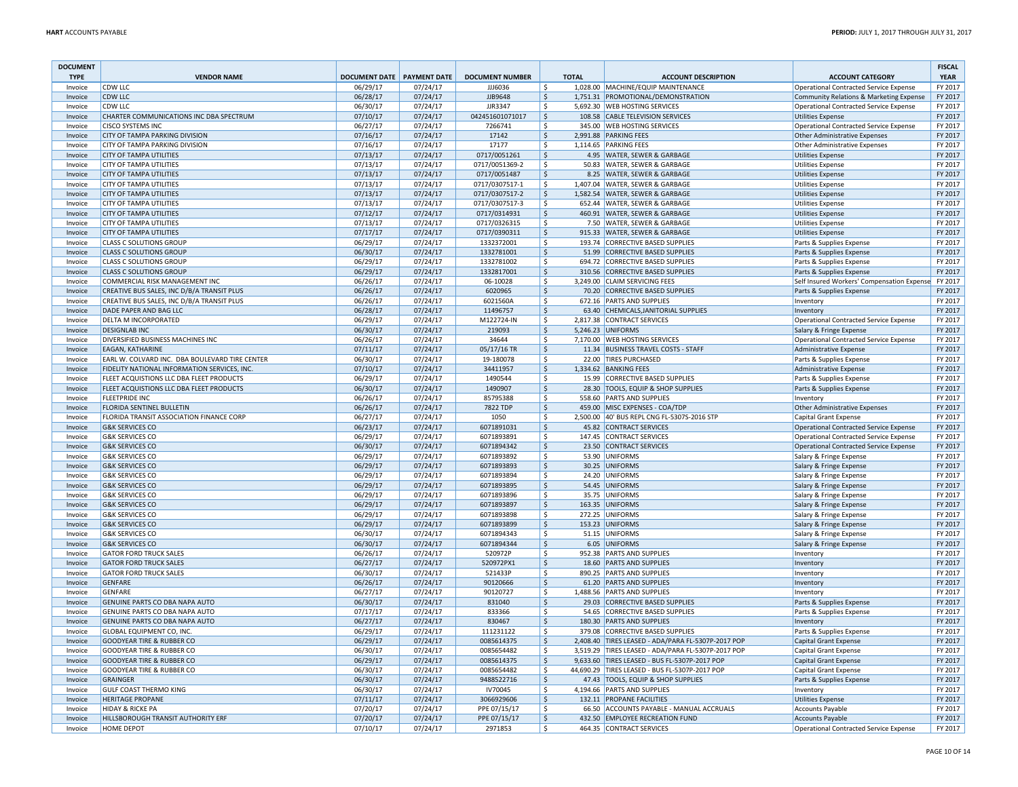| <b>DOCUMENT</b><br><b>TYPE</b> | <b>VENDOR NAME</b>                                                           | <b>DOCUMENT DATE PAYMENT DATE</b> |                      | <b>DOCUMENT NUMBER</b>       | <b>TOTAL</b>        | <b>ACCOUNT DESCRIPTION</b>                                                                               | <b>ACCOUNT CATEGORY</b>                                                                 | <b>FISCAL</b><br><b>YEAR</b> |
|--------------------------------|------------------------------------------------------------------------------|-----------------------------------|----------------------|------------------------------|---------------------|----------------------------------------------------------------------------------------------------------|-----------------------------------------------------------------------------------------|------------------------------|
| Invoice                        | <b>CDW LLC</b>                                                               | 06/29/17                          | 07/24/17             | JJJ6036                      | \$                  | 1,028.00 MACHINE/EQUIP MAINTENANCE                                                                       | Operational Contracted Service Expense                                                  | FY 2017                      |
| Invoice                        | <b>CDW LLC</b>                                                               | 06/28/17                          | 07/24/17             | JJB9648                      | \$                  | 1,751.31 PROMOTIONAL/DEMONSTRATION                                                                       | Community Relations & Marketing Expense                                                 | FY 2017                      |
| Invoice                        | <b>CDW LLC</b>                                                               | 06/30/17                          | 07/24/17             | JJR3347                      | \$                  | 5,692.30 WEB HOSTING SERVICES                                                                            | Operational Contracted Service Expense                                                  | FY 2017                      |
| Invoice                        | CHARTER COMMUNICATIONS INC DBA SPECTRUM                                      | 07/10/17                          | 07/24/17             | 042451601071017              | \$                  | 108.58 CABLE TELEVISION SERVICES                                                                         | <b>Utilities Expense</b>                                                                | FY 2017                      |
| Invoice                        | <b>CISCO SYSTEMS INC</b>                                                     | 06/27/17                          | 07/24/17             | 7266741                      | $\mathsf{S}$        | 345.00 WEB HOSTING SERVICES                                                                              | <b>Operational Contracted Service Expense</b>                                           | FY 2017                      |
| Invoice                        | CITY OF TAMPA PARKING DIVISION                                               | 07/16/17                          | 07/24/17             | 17142                        | $\mathsf{\hat{S}}$  | 2,991.88 PARKING FEES                                                                                    | <b>Other Administrative Expenses</b>                                                    | FY 2017                      |
| Invoice                        | CITY OF TAMPA PARKING DIVISION                                               | 07/16/17                          | 07/24/17             | 17177                        | \$                  | 1,114.65 PARKING FEES                                                                                    | Other Administrative Expenses                                                           | FY 2017                      |
| Invoice                        | <b>CITY OF TAMPA UTILITIES</b>                                               | 07/13/17                          | 07/24/17             | 0717/0051261                 | \$                  | 4.95 WATER, SEWER & GARBAGE                                                                              | <b>Utilities Expense</b>                                                                | FY 2017                      |
| Invoice                        | <b>CITY OF TAMPA UTILITIES</b>                                               | 07/13/17                          | 07/24/17             | 0717/0051369-2               | \$                  | 50.83 WATER, SEWER & GARBAGE                                                                             | <b>Utilities Expense</b>                                                                | FY 2017                      |
| Invoice                        | <b>CITY OF TAMPA UTILITIES</b>                                               | 07/13/17                          | 07/24/17             | 0717/0051487                 | \$                  | 8.25 WATER, SEWER & GARBAGE                                                                              | <b>Utilities Expense</b>                                                                | FY 2017                      |
| Invoice                        | <b>CITY OF TAMPA UTILITIES</b>                                               | 07/13/17                          | 07/24/17             | 0717/0307517-1               | \$                  | 1,407.04 WATER, SEWER & GARBAGE                                                                          | <b>Utilities Expense</b>                                                                | FY 2017                      |
| Invoice                        | <b>CITY OF TAMPA UTILITIES</b>                                               | 07/13/17                          | 07/24/17             | 0717/0307517-2               | $\mathsf{\hat{S}}$  | 1,582.54 WATER, SEWER & GARBAGE                                                                          | <b>Utilities Expense</b>                                                                | FY 2017                      |
| Invoice                        | <b>CITY OF TAMPA UTILITIES</b><br><b>CITY OF TAMPA UTILITIES</b>             | 07/13/17                          | 07/24/17             | 0717/0307517-3               | \$                  | 652.44 WATER, SEWER & GARBAGE<br>460.91 WATER, SEWER & GARBAGE                                           | <b>Utilities Expense</b>                                                                | FY 2017<br>FY 2017           |
| Invoice<br>Invoice             | <b>CITY OF TAMPA UTILITIES</b>                                               | 07/12/17<br>07/13/17              | 07/24/17<br>07/24/17 | 0717/0314931<br>0717/0326315 | \$<br>\$            | 7.50 WATER, SEWER & GARBAGE                                                                              | <b>Utilities Expense</b><br><b>Utilities Expense</b>                                    | FY 2017                      |
| Invoice                        | <b>CITY OF TAMPA UTILITIES</b>                                               | 07/17/17                          | 07/24/17             | 0717/0390311                 | $\frac{1}{2}$       | 915.33 WATER, SEWER & GARBAGE                                                                            | <b>Utilities Expense</b>                                                                | FY 2017                      |
| Invoice                        | <b>CLASS C SOLUTIONS GROUP</b>                                               | 06/29/17                          | 07/24/17             | 1332372001                   | \$                  | 193.74 CORRECTIVE BASED SUPPLIES                                                                         | Parts & Supplies Expense                                                                | FY 2017                      |
| Invoice                        | <b>CLASS C SOLUTIONS GROUP</b>                                               | 06/30/17                          | 07/24/17             | 1332781001                   | \$                  | 51.99 CORRECTIVE BASED SUPPLIES                                                                          | Parts & Supplies Expense                                                                | FY 2017                      |
| Invoice                        | <b>CLASS C SOLUTIONS GROUP</b>                                               | 06/29/17                          | 07/24/17             | 1332781002                   | \$                  | 694.72 CORRECTIVE BASED SUPPLIES                                                                         | Parts & Supplies Expense                                                                | FY 2017                      |
| Invoice                        | <b>CLASS C SOLUTIONS GROUP</b>                                               | 06/29/17                          | 07/24/17             | 1332817001                   | $\frac{1}{2}$       | 310.56 CORRECTIVE BASED SUPPLIES                                                                         | Parts & Supplies Expense                                                                | FY 2017                      |
| Invoice                        | COMMERCIAL RISK MANAGEMENT INC                                               | 06/26/17                          | 07/24/17             | 06-10028                     | \$                  | 3,249.00 CLAIM SERVICING FEES                                                                            | Self Insured Workers' Compensation Expense FY 2017                                      |                              |
| Invoice                        | CREATIVE BUS SALES, INC D/B/A TRANSIT PLUS                                   | 06/26/17                          | 07/24/17             | 6020965                      | \$                  | 70.20 CORRECTIVE BASED SUPPLIES                                                                          | Parts & Supplies Expense                                                                | FY 2017                      |
| Invoice                        | CREATIVE BUS SALES, INC D/B/A TRANSIT PLUS                                   | 06/26/17                          | 07/24/17             | 6021560A                     | $\mathsf{S}$        | 672.16 PARTS AND SUPPLIES                                                                                | Inventory                                                                               | FY 2017                      |
| Invoice                        | DADE PAPER AND BAG LLC                                                       | 06/28/17                          | 07/24/17             | 11496757                     | Ś                   | 63.40 CHEMICALS, JANITORIAL SUPPLIES                                                                     | Inventory                                                                               | FY 2017                      |
| Invoice                        | DELTA M INCORPORATED                                                         | 06/29/17                          | 07/24/17             | M122724-IN                   | \$                  | 2,817.38 CONTRACT SERVICES                                                                               | <b>Operational Contracted Service Expense</b>                                           | FY 2017                      |
| Invoice                        | <b>DESIGNLAB INC</b>                                                         | 06/30/17                          | 07/24/17             | 219093                       | $\frac{1}{2}$       | 5,246.23 UNIFORMS                                                                                        | Salary & Fringe Expense                                                                 | FY 2017                      |
| Invoice                        | DIVERSIFIED BUSINESS MACHINES INC                                            | 06/26/17                          | 07/24/17             | 34644                        | \$                  | 7,170.00 WEB HOSTING SERVICES                                                                            | <b>Operational Contracted Service Expense</b>                                           | FY 2017                      |
| Invoice                        | <b>EAGAN, KATHARINE</b>                                                      | 07/11/17                          | 07/24/17             | 05/17/16 TR                  | $\ddot{\varsigma}$  | 11.34 BUSINESS TRAVEL COSTS - STAFF                                                                      | Administrative Expense                                                                  | FY 2017                      |
| Invoice                        | EARL W. COLVARD INC. DBA BOULEVARD TIRE CENTER                               | 06/30/17                          | 07/24/17             | 19-180078                    | \$                  | 22.00 TIRES PURCHASED                                                                                    | Parts & Supplies Expense                                                                | FY 2017                      |
| Invoice                        | FIDELITY NATIONAL INFORMATION SERVICES, INC.                                 | 07/10/17                          | 07/24/17             | 34411957                     | \$                  | 1,334.62 BANKING FEES                                                                                    | <b>Administrative Expense</b>                                                           | FY 2017                      |
| Invoice                        | FLEET ACQUISTIONS LLC DBA FLEET PRODUCTS                                     | 06/29/17                          | 07/24/17             | 1490544                      | \$                  | 15.99 CORRECTIVE BASED SUPPLIES                                                                          | Parts & Supplies Expense                                                                | FY 2017                      |
| Invoice                        | FLEET ACQUISTIONS LLC DBA FLEET PRODUCTS                                     | 06/30/17                          | 07/24/17             | 1490907                      | $\frac{1}{2}$       | 28.30 TOOLS, EQUIP & SHOP SUPPLIES                                                                       | Parts & Supplies Expense                                                                | FY 2017                      |
| Invoice                        | <b>FLEETPRIDE INC</b>                                                        | 06/26/17                          | 07/24/17             | 85795388                     | \$                  | 558.60 PARTS AND SUPPLIES                                                                                | Inventory                                                                               | FY 2017                      |
| Invoice                        | FLORIDA SENTINEL BULLETIN                                                    | 06/26/17                          | 07/24/17             | 7822 TDP                     | \$                  | 459.00 MISC EXPENSES - COA/TDP                                                                           | Other Administrative Expenses                                                           | FY 2017                      |
| Invoice                        | FLORIDA TRANSIT ASSOCIATION FINANCE CORP                                     | 06/27/17                          | 07/24/17             | 1050                         | $\mathsf{S}$        | 2,500.00 40' BUS REPL CNG FL-5307S-2016 STP                                                              | Capital Grant Expense                                                                   | FY 2017                      |
| Invoice                        | <b>G&amp;K SERVICES CO</b>                                                   | 06/23/17                          | 07/24/17             | 6071891031                   | Ś                   | 45.82 CONTRACT SERVICES                                                                                  | <b>Operational Contracted Service Expense</b>                                           | FY 2017                      |
| Invoice<br>Invoice             | <b>G&amp;K SERVICES CO</b><br><b>G&amp;K SERVICES CO</b>                     | 06/29/17<br>06/30/17              | 07/24/17<br>07/24/17 | 6071893891<br>6071894342     | \$<br>$\frac{1}{2}$ | 147.45 CONTRACT SERVICES<br>23.50 CONTRACT SERVICES                                                      | <b>Operational Contracted Service Expense</b><br>Operational Contracted Service Expense | FY 2017<br>FY 2017           |
| Invoice                        | <b>G&amp;K SERVICES CO</b>                                                   | 06/29/17                          | 07/24/17             | 6071893892                   | \$                  | 53.90 UNIFORMS                                                                                           | Salary & Fringe Expense                                                                 | FY 2017                      |
| Invoice                        | <b>G&amp;K SERVICES CO</b>                                                   | 06/29/17                          | 07/24/17             | 6071893893                   | \$                  | 30.25 UNIFORMS                                                                                           | Salary & Fringe Expense                                                                 | FY 2017                      |
| Invoice                        | <b>G&amp;K SERVICES CO</b>                                                   | 06/29/17                          | 07/24/17             | 6071893894                   | \$                  | 24.20 UNIFORMS                                                                                           | Salary & Fringe Expense                                                                 | FY 2017                      |
| Invoice                        | <b>G&amp;K SERVICES CO</b>                                                   | 06/29/17                          | 07/24/17             | 6071893895                   | \$                  | 54.45 UNIFORMS                                                                                           | Salary & Fringe Expense                                                                 | FY 2017                      |
| Invoice                        | <b>G&amp;K SERVICES CO</b>                                                   | 06/29/17                          | 07/24/17             | 6071893896                   | \$                  | 35.75 UNIFORMS                                                                                           | Salary & Fringe Expense                                                                 | FY 2017                      |
| Invoice                        | <b>G&amp;K SERVICES CO</b>                                                   | 06/29/17                          | 07/24/17             | 6071893897                   | \$                  | 163.35 UNIFORMS                                                                                          | Salary & Fringe Expense                                                                 | FY 2017                      |
| Invoice                        | <b>G&amp;K SERVICES CO</b>                                                   | 06/29/17                          | 07/24/17             | 6071893898                   | \$                  | 272.25 UNIFORMS                                                                                          | Salary & Fringe Expense                                                                 | FY 2017                      |
| Invoice                        | <b>G&amp;K SERVICES CO</b>                                                   | 06/29/17                          | 07/24/17             | 6071893899                   | \$                  | 153.23 UNIFORMS                                                                                          | Salary & Fringe Expense                                                                 | FY 2017                      |
| Invoice                        | <b>G&amp;K SERVICES CO</b>                                                   | 06/30/17                          | 07/24/17             | 6071894343                   | \$                  | 51.15 UNIFORMS                                                                                           | Salary & Fringe Expense                                                                 | FY 2017                      |
| Invoice                        | <b>G&amp;K SERVICES CO</b>                                                   | 06/30/17                          | 07/24/17             | 6071894344                   | $\zeta$             | 6.05 UNIFORMS                                                                                            | Salary & Fringe Expense                                                                 | FY 2017                      |
| Invoice                        | <b>GATOR FORD TRUCK SALES</b>                                                | 06/26/17                          | 07/24/17             | 520972P                      | \$                  | 952.38 PARTS AND SUPPLIES                                                                                | Inventory                                                                               | FY 2017                      |
| Invoice                        | <b>GATOR FORD TRUCK SALES</b>                                                | 06/27/17                          | 07/24/17             | 520972PX1                    | $\frac{1}{2}$       | 18.60 PARTS AND SUPPLIES                                                                                 | Inventory                                                                               | FY 2017                      |
| Invoice                        | <b>GATOR FORD TRUCK SALES</b>                                                | 06/30/17                          | 07/24/17             | 521433P                      | \$                  | 890.25 PARTS AND SUPPLIES                                                                                | Inventory                                                                               | FY 2017                      |
| Invoice                        | <b>GENFARE</b>                                                               | 06/26/17                          | 07/24/17             | 90120666                     | \$                  | 61.20 PARTS AND SUPPLIES                                                                                 | Inventory                                                                               | FY 2017                      |
| Invoice                        | <b>GENFARE</b>                                                               | 06/27/17                          | 07/24/17             | 90120727                     | \$                  | 1.488.56 PARTS AND SUPPLIES                                                                              | Inventory                                                                               | FY 2017                      |
| Invoice                        | <b>GENUINE PARTS CO DBA NAPA AUTO</b>                                        | 06/30/17                          | 07/24/17             | 831040                       | \$                  | 29.03 CORRECTIVE BASED SUPPLIES                                                                          | Parts & Supplies Expense                                                                | FY 2017                      |
| Invoice                        | GENUINE PARTS CO DBA NAPA AUTO                                               | 07/17/17                          | 07/24/17             | 833366                       | \$                  | 54.65 CORRECTIVE BASED SUPPLIES                                                                          | Parts & Supplies Expense                                                                | FY 2017                      |
| Invoice                        | GENUINE PARTS CO DBA NAPA AUTO                                               | 06/27/17                          | 07/24/17             | 830467                       | \$                  | 180.30 PARTS AND SUPPLIES                                                                                | Inventory                                                                               | FY 2017                      |
| Invoice                        | GLOBAL EQUIPMENT CO, INC.                                                    | 06/29/17                          | 07/24/17             | 111231122                    | \$                  | 379.08 CORRECTIVE BASED SUPPLIES                                                                         | Parts & Supplies Expense                                                                | FY 2017                      |
| Invoice<br>Invoice             | <b>GOODYEAR TIRE &amp; RUBBER CO</b><br><b>GOODYEAR TIRE &amp; RUBBER CO</b> | 06/29/17<br>06/30/17              | 07/24/17<br>07/24/17 | 0085614375<br>0085654482     | \$<br>Ŝ.            | 2,408.40 TIRES LEASED - ADA/PARA FL-5307P-2017 POP<br>3,519.29 TIRES LEASED - ADA/PARA FL-5307P-2017 POP | <b>Capital Grant Expense</b>                                                            | FY 2017<br>FY 2017           |
| Invoice                        | <b>GOODYEAR TIRE &amp; RUBBER CO</b>                                         | 06/29/17                          | 07/24/17             | 0085614375                   | $\zeta$             | 9,633.60 TIRES LEASED - BUS FL-5307P-2017 POP                                                            | Capital Grant Expense                                                                   | FY 2017                      |
| Invoice                        | <b>GOODYEAR TIRE &amp; RUBBER CO</b>                                         | 06/30/17                          | 07/24/17             | 0085654482                   | \$                  | 44,690.29 TIRES LEASED - BUS FL-5307P-2017 POP                                                           | Capital Grant Expense<br><b>Capital Grant Expense</b>                                   | FY 2017                      |
| Invoice                        | <b>GRAINGER</b>                                                              | 06/30/17                          | 07/24/17             | 9488522716                   | $\frac{1}{2}$       | 47.43 TOOLS, EQUIP & SHOP SUPPLIES                                                                       | Parts & Supplies Expense                                                                | FY 2017                      |
| Invoice                        | <b>GULF COAST THERMO KING</b>                                                | 06/30/17                          | 07/24/17             | IV70045                      | \$                  | 4,194.66 PARTS AND SUPPLIES                                                                              | Inventory                                                                               | FY 2017                      |
| Invoice                        | <b>HERITAGE PROPANE</b>                                                      | 07/11/17                          | 07/24/17             | 3066929606                   | $\ddot{\varsigma}$  | 132.11 PROPANE FACILITIES                                                                                | <b>Utilities Expense</b>                                                                | FY 2017                      |
| Invoice                        | <b>HIDAY &amp; RICKE PA</b>                                                  | 07/20/17                          | 07/24/17             | PPE 07/15/17                 | $\mathsf{\hat{S}}$  | 66.50 ACCOUNTS PAYABLE - MANUAL ACCRUALS                                                                 | <b>Accounts Payable</b>                                                                 | FY 2017                      |
| Invoice                        | HILLSBOROUGH TRANSIT AUTHORITY ERF                                           | 07/20/17                          | 07/24/17             | PPE 07/15/17                 | $\mathsf{\hat{S}}$  | 432.50 EMPLOYEE RECREATION FUND                                                                          | <b>Accounts Payable</b>                                                                 | FY 2017                      |
| Invoice                        | <b>HOME DEPOT</b>                                                            | 07/10/17                          | 07/24/17             | 2971853                      | \$                  | 464.35 CONTRACT SERVICES                                                                                 | Operational Contracted Service Expense                                                  | FY 2017                      |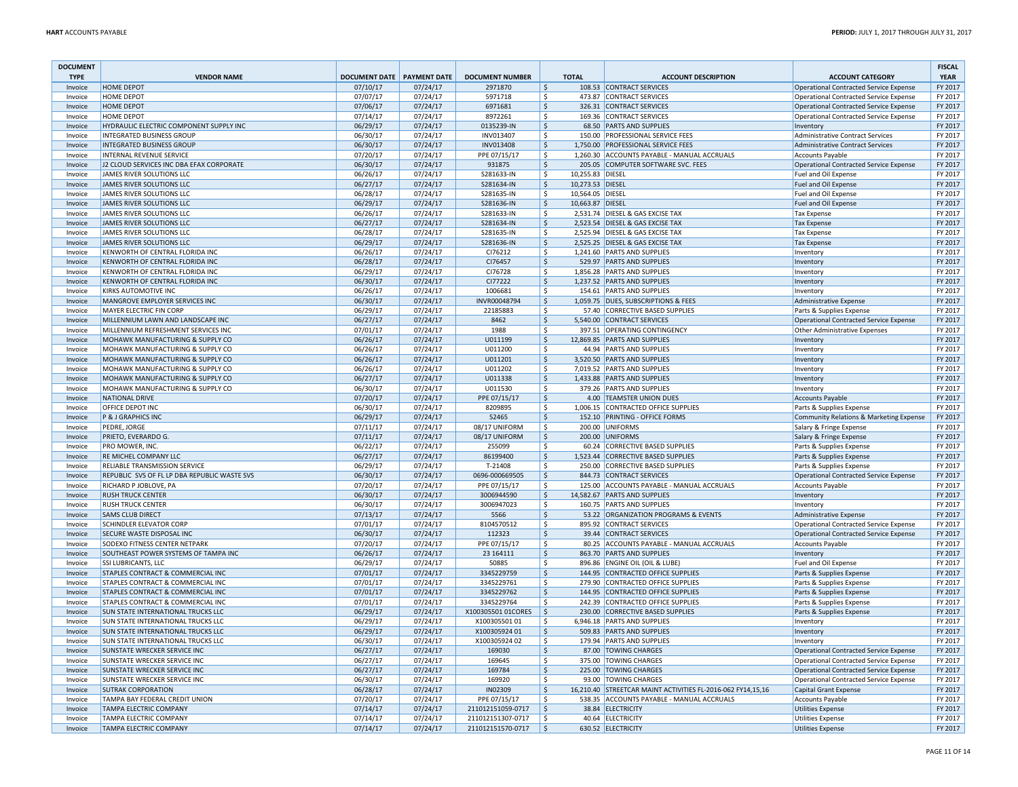| <b>DOCUMENT</b><br><b>TYPE</b> | <b>VENDOR NAME</b>                                                   | DOCUMENT DATE PAYMENT DATE |          | <b>DOCUMENT NUMBER</b>        |                          | <b>TOTAL</b>     | <b>ACCOUNT DESCRIPTION</b>                                  | <b>ACCOUNT CATEGORY</b>                                                                 | <b>FISCAL</b><br><b>YEAR</b> |  |
|--------------------------------|----------------------------------------------------------------------|----------------------------|----------|-------------------------------|--------------------------|------------------|-------------------------------------------------------------|-----------------------------------------------------------------------------------------|------------------------------|--|
|                                | <b>HOME DEPOT</b>                                                    | 07/10/17                   | 07/24/17 | 2971870                       |                          |                  | 108.53 CONTRACT SERVICES                                    |                                                                                         | FY 2017                      |  |
| Invoice<br>Invoice             | <b>HOME DEPOT</b>                                                    | 07/07/17                   | 07/24/17 | 5971718                       | \$<br>Ŝ.                 |                  | 473.87 CONTRACT SERVICES                                    | <b>Operational Contracted Service Expense</b>                                           | FY 2017                      |  |
|                                | <b>HOME DEPOT</b>                                                    | 07/06/17                   | 07/24/17 | 6971681                       |                          |                  | 326.31 CONTRACT SERVICES                                    | <b>Operational Contracted Service Expense</b>                                           | FY 2017                      |  |
| Invoice<br>Invoice             | <b>HOME DEPOT</b>                                                    | 07/14/17                   | 07/24/17 | 8972261                       | $\ddot{\varsigma}$<br>\$ |                  | 169.36 CONTRACT SERVICES                                    | Operational Contracted Service Expense<br><b>Operational Contracted Service Expense</b> | FY 2017                      |  |
|                                | HYDRAULIC ELECTRIC COMPONENT SUPPLY INC                              |                            | 07/24/17 | 0135239-IN                    | $\ddot{\mathsf{S}}$      |                  | 68.50 PARTS AND SUPPLIES                                    |                                                                                         | FY 2017                      |  |
| Invoice                        |                                                                      | 06/29/17<br>06/30/17       | 07/24/17 |                               | $\ddot{\varsigma}$       |                  | 150.00 PROFESSIONAL SERVICE FEES                            | Inventory                                                                               | FY 2017                      |  |
| Invoice<br>Invoice             | <b>INTEGRATED BUSINESS GROUP</b><br><b>INTEGRATED BUSINESS GROUP</b> | 06/30/17                   | 07/24/17 | INV013407<br><b>INV013408</b> | $\zeta$                  |                  | 1,750.00 PROFESSIONAL SERVICE FEES                          | <b>Administrative Contract Services</b><br><b>Administrative Contract Services</b>      | FY 2017                      |  |
| Invoice                        | INTERNAL REVENUE SERVICE                                             | 07/20/17                   | 07/24/17 | PPE 07/15/17                  | $\mathsf{\hat{S}}$       |                  | 1,260.30 ACCOUNTS PAYABLE - MANUAL ACCRUALS                 | <b>Accounts Payable</b>                                                                 | FY 2017                      |  |
| Invoice                        | J2 CLOUD SERVICES INC DBA EFAX CORPORATE                             | 06/30/17                   | 07/24/17 | 931875                        | $\ddot{\varsigma}$       |                  | 205.05 COMPUTER SOFTWARE SVC. FEES                          | Operational Contracted Service Expense                                                  | FY 2017                      |  |
| Invoice                        | JAMES RIVER SOLUTIONS LLC                                            | 06/26/17                   | 07/24/17 | S281633-IN                    | \$                       | 10,255.83 DIESEL |                                                             | Fuel and Oil Expense                                                                    | FY 2017                      |  |
| Invoice                        | JAMES RIVER SOLUTIONS LLC                                            | 06/27/17                   | 07/24/17 | S281634-IN                    | $\zeta$                  | 10,273.53 DIESEL |                                                             | Fuel and Oil Expense                                                                    | FY 2017                      |  |
| Invoice                        | JAMES RIVER SOLUTIONS LLC                                            | 06/28/17                   | 07/24/17 | S281635-IN                    | $\ddot{\varsigma}$       | 10,564.05        | <b>DIESEL</b>                                               | Fuel and Oil Expense                                                                    | FY 2017                      |  |
| Invoice                        | <b>JAMES RIVER SOLUTIONS LLC</b>                                     | 06/29/17                   | 07/24/17 | S281636-IN                    | $\dot{\mathsf{s}}$       | 10,663.87        | <b>DIESEL</b>                                               | Fuel and Oil Expense                                                                    | FY 2017                      |  |
| Invoice                        | JAMES RIVER SOLUTIONS LLC                                            | 06/26/17                   | 07/24/17 | S281633-IN                    | $\ddot{\mathsf{S}}$      |                  | 2,531.74 DIESEL & GAS EXCISE TAX                            | <b>Tax Expense</b>                                                                      | FY 2017                      |  |
| Invoice                        | JAMES RIVER SOLUTIONS LLC                                            | 06/27/17                   | 07/24/17 | S281634-IN                    | $\ddot{\varsigma}$       |                  | 2,523.54 DIESEL & GAS EXCISE TAX                            | <b>Tax Expense</b>                                                                      | FY 2017                      |  |
| Invoice                        | JAMES RIVER SOLUTIONS LLC                                            | 06/28/17                   | 07/24/17 | S281635-IN                    | \$                       |                  | 2,525.94 DIESEL & GAS EXCISE TAX                            | <b>Tax Expense</b>                                                                      | FY 2017                      |  |
| Invoice                        | <b>JAMES RIVER SOLUTIONS LLC</b>                                     | 06/29/17                   | 07/24/17 | S281636-IN                    | $\ddot{\mathsf{S}}$      |                  | 2,525.25 DIESEL & GAS EXCISE TAX                            | Tax Expense                                                                             | FY 2017                      |  |
| Invoice                        | KENWORTH OF CENTRAL FLORIDA INC                                      | 06/26/17                   | 07/24/17 | CI76212                       | $\ddot{\varsigma}$       |                  | 1,241.60 PARTS AND SUPPLIES                                 | Inventory                                                                               | FY 2017                      |  |
| Invoice                        | KENWORTH OF CENTRAL FLORIDA INC                                      | 06/28/17                   | 07/24/17 | CI76457                       | $\zeta$                  |                  | 529.97 PARTS AND SUPPLIES                                   | Inventory                                                                               | FY 2017                      |  |
| Invoice                        | KENWORTH OF CENTRAL FLORIDA INC                                      | 06/29/17                   | 07/24/17 | CI76728                       | $\ddot{\mathsf{S}}$      |                  | 1,856.28 PARTS AND SUPPLIES                                 | Inventory                                                                               | FY 2017                      |  |
| Invoice                        | KENWORTH OF CENTRAL FLORIDA INC                                      | 06/30/17                   | 07/24/17 | CI77222                       | $\ddot{\varsigma}$       |                  | 1,237.52 PARTS AND SUPPLIES                                 | Inventory                                                                               | FY 2017                      |  |
| Invoice                        | <b>KIRKS AUTOMOTIVE INC</b>                                          | 06/26/17                   | 07/24/17 | 1006681                       | \$                       |                  | 154.61 PARTS AND SUPPLIES                                   | Inventory                                                                               | FY 2017                      |  |
| Invoice                        | MANGROVE EMPLOYER SERVICES INC                                       | 06/30/17                   | 07/24/17 | INVR00048794                  | $\zeta$                  |                  | 1,059.75 DUES, SUBSCRIPTIONS & FEES                         |                                                                                         | FY 2017                      |  |
| Invoice                        | <b>MAYER ELECTRIC FIN CORP</b>                                       | 06/29/17                   | 07/24/17 | 22185883                      | \$                       |                  | 57.40 CORRECTIVE BASED SUPPLIES                             | Administrative Expense<br>Parts & Supplies Expense                                      | FY 2017                      |  |
| Invoice                        | MILLENNIUM LAWN AND LANDSCAPE INC                                    | 06/27/17                   | 07/24/17 | 8462                          | $\dot{\mathsf{s}}$       |                  | 5,540.00 CONTRACT SERVICES                                  | <b>Operational Contracted Service Expense</b>                                           | FY 2017                      |  |
|                                | MILLENNIUM REFRESHMENT SERVICES INC                                  |                            |          |                               | $\mathsf{\hat{S}}$       |                  | 397.51 OPERATING CONTINGENCY                                |                                                                                         | FY 2017                      |  |
| Invoice                        |                                                                      | 07/01/17                   | 07/24/17 | 1988                          |                          |                  |                                                             | Other Administrative Expenses                                                           |                              |  |
| Invoice                        | MOHAWK MANUFACTURING & SUPPLY CO                                     | 06/26/17                   | 07/24/17 | U011199                       | $\ddot{\varsigma}$       |                  | 12,869.85 PARTS AND SUPPLIES                                | Inventory                                                                               | FY 2017                      |  |
| Invoice                        | MOHAWK MANUFACTURING & SUPPLY CO                                     | 06/26/17                   | 07/24/17 | U011200                       | \$                       |                  | 44.94 PARTS AND SUPPLIES                                    | Inventory                                                                               | FY 2017                      |  |
| Invoice                        | MOHAWK MANUFACTURING & SUPPLY CO                                     | 06/26/17                   | 07/24/17 | U011201                       | $\ddot{\mathsf{S}}$      |                  | 3,520.50 PARTS AND SUPPLIES                                 | Inventor                                                                                | FY 2017                      |  |
| Invoice                        | MOHAWK MANUFACTURING & SUPPLY CO                                     | 06/26/17                   | 07/24/17 | U011202                       | $\mathsf{S}$             |                  | 7,019.52 PARTS AND SUPPLIES                                 | Inventory                                                                               | FY 2017                      |  |
| Invoice                        | MOHAWK MANUFACTURING & SUPPLY CO                                     | 06/27/17                   | 07/24/17 | U011338                       | $\zeta$                  |                  | 1,433.88 PARTS AND SUPPLIES                                 | Inventory                                                                               | FY 2017                      |  |
| Invoice                        | MOHAWK MANUFACTURING & SUPPLY CO                                     | 06/30/17                   | 07/24/17 | U011530                       | $\ddot{\mathsf{S}}$      |                  | 379.26 PARTS AND SUPPLIES                                   | Inventory                                                                               | FY 2017                      |  |
| Invoice                        | <b>NATIONAL DRIVE</b>                                                | 07/20/17                   | 07/24/17 | PPE 07/15/17                  | $\ddot{\varsigma}$       |                  | 4.00 TEAMSTER UNION DUES                                    | <b>Accounts Payable</b>                                                                 | FY 2017                      |  |
| Invoice                        | OFFICE DEPOT INC                                                     | 06/30/17                   | 07/24/17 | 8209895                       | \$                       |                  | 1,006.15 CONTRACTED OFFICE SUPPLIES                         | Parts & Supplies Expense                                                                | FY 2017                      |  |
| Invoice                        | P & J GRAPHICS INC                                                   | 06/29/17                   | 07/24/17 | 52465                         | $\zeta$                  |                  | 152.10 PRINTING - OFFICE FORMS                              | Community Relations & Marketing Expense                                                 | FY 2017                      |  |
| Invoice                        | PEDRE, JORGE                                                         | 07/11/17                   | 07/24/17 | 08/17 UNIFORM                 | \$                       | 200.00           | <b>UNIFORMS</b>                                             | Salary & Fringe Expense                                                                 | FY 2017                      |  |
| Invoice                        | PRIETO, EVERARDO G.                                                  | 07/11/17                   | 07/24/17 | 08/17 UNIFORM                 | $\zeta$                  |                  | 200.00 UNIFORMS                                             | Salary & Fringe Expense                                                                 | FY 2017                      |  |
| Invoice                        | PRO MOWER. INC.                                                      | 06/22/17                   | 07/24/17 | 255099                        | \$                       |                  | 60.24 CORRECTIVE BASED SUPPLIES                             | Parts & Supplies Expense                                                                | FY 2017                      |  |
| Invoice                        | <b>RE MICHEL COMPANY LLC</b>                                         | 06/27/17                   | 07/24/17 | 86199400                      | $\ddot{\varsigma}$       |                  | 1,523.44 CORRECTIVE BASED SUPPLIES                          | Parts & Supplies Expense                                                                | FY 2017                      |  |
| Invoice                        | RELIABLE TRANSMISSION SERVICE                                        | 06/29/17                   | 07/24/17 | T-21408                       | \$                       |                  | 250.00 CORRECTIVE BASED SUPPLIES                            | Parts & Supplies Expense                                                                | FY 2017                      |  |
| Invoice                        | REPUBLIC SVS OF FL LP DBA REPUBLIC WASTE SVS                         | 06/30/17                   | 07/24/17 | 0696-000669505                | $\ddot{\mathsf{S}}$      |                  | 844.73 CONTRACT SERVICES                                    | <b>Operational Contracted Service Expense</b>                                           | FY 2017                      |  |
| Invoice                        | RICHARD P JOBLOVE, PA                                                | 07/20/17                   | 07/24/17 | PPE 07/15/17                  | <sup>s</sup>             |                  | 125.00 ACCOUNTS PAYABLE - MANUAL ACCRUALS                   | <b>Accounts Payable</b>                                                                 | FY 2017                      |  |
| Invoice                        | <b>RUSH TRUCK CENTER</b>                                             | 06/30/17                   | 07/24/17 | 3006944590                    | $\zeta$                  |                  | 14,582.67 PARTS AND SUPPLIES                                | Inventory                                                                               | FY 2017                      |  |
| Invoice                        | <b>RUSH TRUCK CENTER</b>                                             | 06/30/17                   | 07/24/17 | 3006947023                    | $\ddot{\mathsf{S}}$      |                  | 160.75 PARTS AND SUPPLIES                                   | Inventory                                                                               | FY 2017                      |  |
| Invoice                        | <b>SAMS CLUB DIRECT</b>                                              | 07/13/17                   | 07/24/17 | 5566                          | $\ddot{\varsigma}$       |                  | 53.22 ORGANIZATION PROGRAMS & EVENTS                        | Administrative Expense                                                                  | FY 2017                      |  |
| Invoice                        | <b>SCHINDLER ELEVATOR CORP</b>                                       | 07/01/17                   | 07/24/17 | 8104570512                    | \$                       |                  | 895.92 CONTRACT SERVICES                                    | <b>Operational Contracted Service Expense</b>                                           | FY 2017                      |  |
| Invoice                        | SECURE WASTE DISPOSAL INC                                            | 06/30/17                   | 07/24/17 | 112323                        | $\zeta$                  |                  | 39.44 CONTRACT SERVICES                                     | <b>Operational Contracted Service Expense</b>                                           | FY 2017                      |  |
| Invoice                        | <b>SODEXO FITNESS CENTER NETPARK</b>                                 | 07/20/17                   | 07/24/17 | PPE 07/15/17                  | <sup>s</sup>             |                  | 80.25 ACCOUNTS PAYABLE - MANUAL ACCRUALS                    | <b>Accounts Payable</b>                                                                 | FY 2017                      |  |
| Invoice                        | SOUTHEAST POWER SYSTEMS OF TAMPA INC                                 | 06/26/17                   | 07/24/17 | 23 164111                     | $\zeta$                  |                  | 863.70 PARTS AND SUPPLIES                                   | Inventory                                                                               | FY 2017                      |  |
| Invoice                        | <b>SSI LUBRICANTS, LLC</b>                                           | 06/29/17                   | 07/24/17 | 50885                         | \$                       |                  | 896.86 ENGINE OIL (OIL & LUBE)                              | Fuel and Oil Expense                                                                    | FY 2017                      |  |
| Invoice                        | STAPLES CONTRACT & COMMERCIAL INC                                    | 07/01/17                   | 07/24/17 | 3345229759                    | $\ddot{\varsigma}$       |                  | 144.95 CONTRACTED OFFICE SUPPLIES                           | Parts & Supplies Expense                                                                | FY 2017                      |  |
| Invoice                        | STAPLES CONTRACT & COMMERCIAL INC                                    | 07/01/17                   | 07/24/17 | 3345229761                    | \$                       |                  | 279.90 CONTRACTED OFFICE SUPPLIES                           | Parts & Supplies Expense                                                                | FY 2017                      |  |
| Invoice                        | STAPLES CONTRACT & COMMERCIAL INC                                    | 07/01/17                   | 07/24/17 | 3345229762                    | $\dot{\mathsf{s}}$       |                  | 144.95 CONTRACTED OFFICE SUPPLIES                           | Parts & Supplies Expense                                                                | FY 2017                      |  |
| Invoice                        | STAPLES CONTRACT & COMMERCIAL INC                                    | 07/01/17                   | 07/24/17 | 3345229764                    | $\mathsf{S}$             |                  | 242.39 CONTRACTED OFFICE SUPPLIES                           | Parts & Supplies Expense                                                                | FY 2017                      |  |
| Invoice                        | <b>SUN STATE INTERNATIONAL TRUCKS LLC</b>                            | 06/29/17                   | 07/24/17 | X100305501 01CORES            | l \$                     |                  | 230.00 CORRECTIVE BASED SUPPLIES                            | Parts & Supplies Expense                                                                | FY 2017                      |  |
| Invoice                        | <b>SUN STATE INTERNATIONAL TRUCKS LLC</b>                            | 06/29/17                   | 07/24/17 | X10030550101                  | \$                       |                  | 6,946.18 PARTS AND SUPPLIES                                 | Inventory                                                                               | FY 2017                      |  |
| Invoice                        | <b>SUN STATE INTERNATIONAL TRUCKS LLC</b>                            | 06/29/17                   | 07/24/17 | X10030592401                  | $\ddot{\varsigma}$       |                  | 509.83 PARTS AND SUPPLIES                                   | Inventory                                                                               | FY 2017                      |  |
| Invoice                        | SUN STATE INTERNATIONAL TRUCKS LLC                                   | 06/30/17                   | 07/24/17 | X100305924 02                 | \$                       |                  | 179.94 PARTS AND SUPPLIES                                   | Inventory                                                                               | FY 2017                      |  |
| Invoice                        | <b>SUNSTATE WRECKER SERVICE INC</b>                                  | 06/27/17                   | 07/24/17 | 169030                        | <sup>5</sup>             |                  | 87.00 TOWING CHARGES                                        | <b>Operational Contracted Service Expense</b>                                           | FY 2017                      |  |
| Invoice                        | <b>SUNSTATE WRECKER SERVICE INC</b>                                  | 06/27/17                   | 07/24/17 | 169645                        | $\mathsf{S}$             |                  | 375.00 TOWING CHARGES                                       | Operational Contracted Service Expense                                                  | FY 2017                      |  |
| Invoice                        | SUNSTATE WRECKER SERVICE INC                                         | 06/27/17                   | 07/24/17 | 169784                        | $\zeta$                  |                  | 225.00 TOWING CHARGES                                       | <b>Operational Contracted Service Expense</b>                                           | FY 2017                      |  |
| Invoice                        | SUNSTATE WRECKER SERVICE INC                                         | 06/30/17                   | 07/24/17 | 169920                        | $\mathsf{\hat{S}}$       |                  | 93.00 TOWING CHARGES                                        | <b>Operational Contracted Service Expense</b>                                           | FY 2017                      |  |
| Invoice                        | <b>SUTRAK CORPORATION</b>                                            | 06/28/17                   | 07/24/17 | IN02309                       | $\ddot{\varsigma}$       |                  | 16,210.40 STREETCAR MAINT ACTIVITIES FL-2016-062 FY14,15,16 | <b>Capital Grant Expense</b>                                                            | FY 2017                      |  |
| Invoice                        | TAMPA BAY FEDERAL CREDIT UNION                                       | 07/20/17                   | 07/24/17 | PPE 07/15/17                  | \$                       |                  | 538.35 ACCOUNTS PAYABLE - MANUAL ACCRUALS                   | <b>Accounts Payable</b>                                                                 | FY 2017                      |  |
| Invoice                        | <b>TAMPA ELECTRIC COMPANY</b>                                        | 07/14/17                   | 07/24/17 | 211012151059-0717             | $\zeta$                  |                  | 38.84 ELECTRICITY                                           | <b>Utilities Expense</b>                                                                | FY 2017                      |  |
| Invoice                        | <b>TAMPA ELECTRIC COMPANY</b>                                        | 07/14/17                   | 07/24/17 | 211012151307-0717             | <sup>s</sup>             |                  | 40.64 ELECTRICITY                                           | <b>Utilities Expense</b>                                                                | FY 2017                      |  |
| Invoice                        | <b>TAMPA ELECTRIC COMPANY</b>                                        | 07/14/17                   | 07/24/17 | 211012151570-0717             | $\zeta$                  |                  | 630.52 ELECTRICITY                                          | <b>Utilities Expense</b>                                                                | FY 2017                      |  |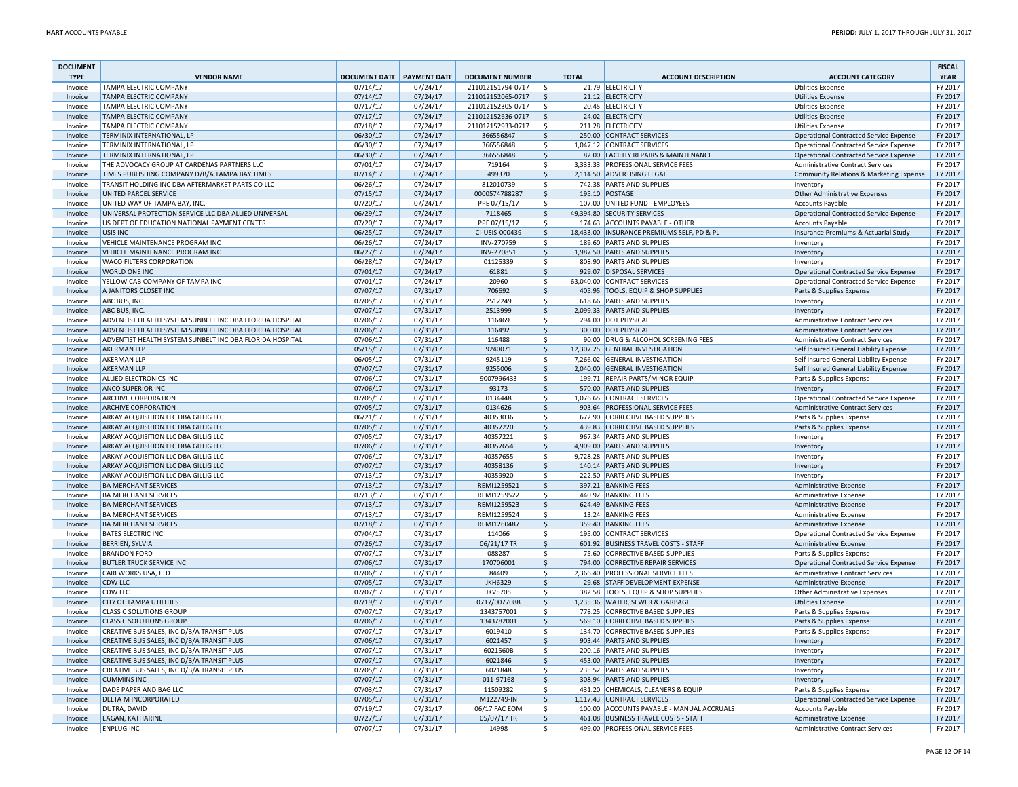| <b>DOCUMENT</b><br><b>TYPE</b> | <b>VENDOR NAME</b>                                       | DOCUMENT DATE PAYMENT DATE |                      | <b>DOCUMENT NUMBER</b> |                          | <b>TOTAL</b> | <b>ACCOUNT DESCRIPTION</b>                                           | <b>ACCOUNT CATEGORY</b>                                                           | <b>FISCAL</b><br><b>YEAR</b> |
|--------------------------------|----------------------------------------------------------|----------------------------|----------------------|------------------------|--------------------------|--------------|----------------------------------------------------------------------|-----------------------------------------------------------------------------------|------------------------------|
| Invoice                        | TAMPA ELECTRIC COMPANY                                   | 07/14/17                   | 07/24/17             | 211012151794-0717      | l s                      |              | 21.79 ELECTRICITY                                                    | <b>Utilities Expense</b>                                                          | FY 2017                      |
| Invoice                        | <b>TAMPA ELECTRIC COMPANY</b>                            | 07/14/17                   | 07/24/17             | 211012152065-0717      | $\frac{1}{2}$            |              | 21.12 ELECTRICITY                                                    | <b>Utilities Expense</b>                                                          | FY 2017                      |
| Invoice                        | <b>TAMPA ELECTRIC COMPANY</b>                            | 07/17/17                   | 07/24/17             | 211012152305-0717      | \$                       |              | 20.45 ELECTRICITY                                                    | <b>Utilities Expense</b>                                                          | FY 2017                      |
| Invoice                        | <b>TAMPA ELECTRIC COMPANY</b>                            | 07/17/17                   | 07/24/17             | 211012152636-0717      | S,                       |              | 24.02 ELECTRICITY                                                    | <b>Utilities Expense</b>                                                          | FY 2017                      |
| Invoice                        | <b>TAMPA ELECTRIC COMPANY</b>                            | 07/18/17                   | 07/24/17             | 211012152933-0717      | $\mathsf{\hat{S}}$       |              | 211.28 ELECTRICITY                                                   | <b>Utilities Expense</b>                                                          | FY 2017                      |
| Invoice                        | TERMINIX INTERNATIONAL, LP                               | 06/30/17                   | 07/24/17             | 366556847              | Ś                        |              | 250.00 CONTRACT SERVICES                                             | <b>Operational Contracted Service Expense</b>                                     | FY 2017                      |
| Invoice                        | TERMINIX INTERNATIONAL, LP                               | 06/30/17                   | 07/24/17             | 366556848              | $\mathsf{\hat{S}}$       |              | 1,047.12 CONTRACT SERVICES                                           | Operational Contracted Service Expense                                            | FY 2017                      |
| Invoice                        | TERMINIX INTERNATIONAL, LP                               | 06/30/17                   | 07/24/17             | 366556848              | $\zeta$                  |              | 82.00 FACILITY REPAIRS & MAINTENANCE                                 | Operational Contracted Service Expense                                            | FY 2017                      |
| Invoice                        | THE ADVOCACY GROUP AT CARDENAS PARTNERS LLC              | 07/01/17                   | 07/24/17             | 719164                 | \$                       |              | 3,333.33 PROFESSIONAL SERVICE FEES                                   | Administrative Contract Services                                                  | FY 2017                      |
| Invoice                        | TIMES PUBLISHING COMPANY D/B/A TAMPA BAY TIMES           | 07/14/17                   | 07/24/17             | 499370                 | S,                       |              | 2,114.50 ADVERTISING LEGAL                                           | Community Relations & Marketing Expense                                           | FY 2017                      |
| Invoice                        | TRANSIT HOLDING INC DBA AFTERMARKET PARTS CO LLC         | 06/26/17                   | 07/24/17             | 812010739              | $\mathsf{S}$             |              | 742.38 PARTS AND SUPPLIES                                            | Inventory                                                                         | FY 2017                      |
| Invoice                        | UNITED PARCEL SERVICE                                    | 07/15/17                   | 07/24/17             | 0000574788287          | $\mathsf{\hat{S}}$       |              | 195.10 POSTAGE                                                       | Other Administrative Expenses                                                     | FY 2017                      |
| Invoice                        | UNITED WAY OF TAMPA BAY, INC.                            | 07/20/17                   | 07/24/17             | PPE 07/15/17           | Ś.                       |              | 107.00 UNITED FUND - EMPLOYEES                                       | <b>Accounts Payable</b>                                                           | FY 2017                      |
| Invoice                        | UNIVERSAL PROTECTION SERVICE LLC DBA ALLIED UNIVERSAL    | 06/29/17                   | 07/24/17             | 7118465                | $\zeta$                  |              | 49,394.80 SECURITY SERVICES                                          | <b>Operational Contracted Service Expense</b>                                     | FY 2017                      |
| Invoice                        | US DEPT OF EDUCATION NATIONAL PAYMENT CENTER             | 07/20/17                   | 07/24/17             | PPE 07/15/17           | \$                       |              | 174.63 ACCOUNTS PAYABLE - OTHER                                      | <b>Accounts Payable</b>                                                           | FY 2017                      |
| Invoice                        | <b>USIS INC.</b>                                         | 06/25/17                   | 07/24/17             | CI-USIS-000439         | \$                       |              | 18,433.00 INSURANCE PREMIUMS SELF, PD & PL                           | Insurance Premiums & Actuarial Study                                              | FY 2017                      |
| Invoice                        | VEHICLE MAINTENANCE PROGRAM INC                          | 06/26/17                   | 07/24/17             | INV-270759             | $\mathsf{S}$             |              | 189.60 PARTS AND SUPPLIES                                            | Inventory                                                                         | FY 2017                      |
| Invoice                        | VEHICLE MAINTENANCE PROGRAM INC                          | 06/27/17                   | 07/24/17             | INV-270851             | $\mathsf{\hat{S}}$       |              | 1,987.50 PARTS AND SUPPLIES                                          | Inventory                                                                         | FY 2017                      |
| Invoice                        | WACO FILTERS CORPORATION<br><b>WORLD ONE INC.</b>        | 06/28/17                   | 07/24/17             | 01125339               | \$                       |              | 808.90 PARTS AND SUPPLIES                                            | Inventory                                                                         | FY 2017                      |
| Invoice                        |                                                          | 07/01/17                   | 07/24/17             | 61881                  | $\zeta$                  |              | 929.07 DISPOSAL SERVICES                                             | Operational Contracted Service Expense                                            | FY 2017                      |
| Invoice                        | YELLOW CAB COMPANY OF TAMPA INC<br>A JANITORS CLOSET INC | 07/01/17<br>07/07/17       | 07/24/17<br>07/31/17 | 20960                  | \$                       |              | 63,040.00 CONTRACT SERVICES<br>405.95 TOOLS, EQUIP & SHOP SUPPLIES   | Operational Contracted Service Expense                                            | FY 2017<br>FY 2017           |
| Invoice                        |                                                          |                            |                      | 706692                 | \$<br>$\mathsf{\hat{S}}$ |              |                                                                      | Parts & Supplies Expense                                                          | FY 2017                      |
| Invoice<br>Invoice             | ABC BUS, INC.<br>ABC BUS, INC.                           | 07/05/17<br>07/07/17       | 07/31/17<br>07/31/17 | 2512249<br>2513999     | Ś                        |              | 618.66 PARTS AND SUPPLIES<br>2,099.33 PARTS AND SUPPLIES             | Inventory                                                                         | FY 2017                      |
| Invoice                        | ADVENTIST HEALTH SYSTEM SUNBELT INC DBA FLORIDA HOSPITAL | 07/06/17                   | 07/31/17             | 116469                 | \$                       |              | 294.00 DOT PHYSICAL                                                  | Inventory<br><b>Administrative Contract Services</b>                              | FY 2017                      |
| Invoice                        | ADVENTIST HEALTH SYSTEM SUNBELT INC DBA FLORIDA HOSPITAL | 07/06/17                   | 07/31/17             | 116492                 | $\frac{1}{2}$            |              | 300.00 DOT PHYSICAL                                                  | <b>Administrative Contract Services</b>                                           | FY 2017                      |
| Invoice                        | ADVENTIST HEALTH SYSTEM SUNBELT INC DBA FLORIDA HOSPITAL | 07/06/17                   | 07/31/17             | 116488                 | \$                       |              | 90.00 DRUG & ALCOHOL SCREENING FEES                                  | <b>Administrative Contract Services</b>                                           | FY 2017                      |
| Invoice                        | <b>AKERMAN LLP</b>                                       | 05/15/17                   | 07/31/17             | 9240071                | \$                       |              | 12,307.25 GENERAL INVESTIGATION                                      | Self Insured General Liability Expense                                            | FY 2017                      |
| Invoice                        | <b>AKERMAN LLP</b>                                       | 06/05/17                   | 07/31/17             | 9245119                | $\zeta$                  |              | 7,266.02 GENERAL INVESTIGATION                                       | Self Insured General Liability Expense                                            | FY 2017                      |
| Invoice                        | <b>AKERMAN LLP</b>                                       | 07/07/17                   | 07/31/17             | 9255006                | $\mathsf{\hat{S}}$       |              | 2,040.00 GENERAL INVESTIGATION                                       | Self Insured General Liability Expense                                            | FY 2017                      |
| Invoice                        | ALLIED ELECTRONICS INC                                   | 07/06/17                   | 07/31/17             | 9007996433             | \$                       |              | 199.71 REPAIR PARTS/MINOR EQUIP                                      | Parts & Supplies Expense                                                          | FY 2017                      |
| Invoice                        | ANCO SUPERIOR INC                                        | 07/06/17                   | 07/31/17             | 93173                  | $\zeta$                  |              | 570.00 PARTS AND SUPPLIES                                            | Inventory                                                                         | FY 2017                      |
| Invoice                        | <b>ARCHIVE CORPORATION</b>                               | 07/05/17                   | 07/31/17             | 0134448                | \$                       |              | 1,076.65 CONTRACT SERVICES                                           | Operational Contracted Service Expense                                            | FY 2017                      |
| Invoice                        | <b>ARCHIVE CORPORATION</b>                               | 07/05/17                   | 07/31/17             | 0134626                | S,                       |              | 903.64 PROFESSIONAL SERVICE FEES                                     | Administrative Contract Services                                                  | FY 2017                      |
| Invoice                        | ARKAY ACQUISITION LLC DBA GILLIG LLC                     | 06/21/17                   | 07/31/17             | 40353036               | $\mathsf{\hat{S}}$       |              | 672.90 CORRECTIVE BASED SUPPLIES                                     | Parts & Supplies Expense                                                          | FY 2017                      |
| Invoice                        | ARKAY ACQUISITION LLC DBA GILLIG LLC                     | 07/05/17                   | 07/31/17             | 40357220               | $\mathsf{\hat{S}}$       |              | 439.83 CORRECTIVE BASED SUPPLIES                                     | Parts & Supplies Expense                                                          | FY 2017                      |
| Invoice                        | ARKAY ACQUISITION LLC DBA GILLIG LLC                     | 07/05/17                   | 07/31/17             | 40357221               | \$                       |              | 967.34 PARTS AND SUPPLIES                                            | Inventory                                                                         | FY 2017                      |
| Invoice                        | ARKAY ACQUISITION LLC DBA GILLIG LLC                     | 07/06/17                   | 07/31/17             | 40357654               | $\zeta$                  |              | 4.909.00 PARTS AND SUPPLIES                                          | Inventory                                                                         | FY 2017                      |
| Invoice                        | ARKAY ACQUISITION LLC DBA GILLIG LLC                     | 07/06/17                   | 07/31/17             | 40357655               | \$                       |              | 9,728.28 PARTS AND SUPPLIES                                          | Inventory                                                                         | FY 2017                      |
| Invoice                        | ARKAY ACQUISITION LLC DBA GILLIG LLC                     | 07/07/17                   | 07/31/17             | 40358136               | \$                       |              | 140.14 PARTS AND SUPPLIES                                            | Inventory                                                                         | FY 2017                      |
| Invoice                        | ARKAY ACQUISITION LLC DBA GILLIG LLC                     | 07/13/17                   | 07/31/17             | 40359920               | \$                       |              | 222.50 PARTS AND SUPPLIES                                            | Inventory                                                                         | FY 2017                      |
| Invoice                        | <b>BA MERCHANT SERVICES</b>                              | 07/13/17                   | 07/31/17             | REMI1259521            | $\zeta$                  |              | 397.21 BANKING FEES                                                  | <b>Administrative Expense</b>                                                     | FY 2017                      |
| Invoice                        | <b>BA MERCHANT SERVICES</b>                              | 07/13/17                   | 07/31/17             | REMI1259522            | \$                       |              | 440.92 BANKING FEES                                                  | <b>Administrative Expense</b>                                                     | FY 2017                      |
| Invoice                        | <b>BA MERCHANT SERVICES</b>                              | 07/13/17                   | 07/31/17             | REMI1259523            | \$                       |              | 624.49 BANKING FEES                                                  | Administrative Expense                                                            | FY 2017                      |
| Invoice                        | <b>BA MERCHANT SERVICES</b>                              | 07/13/17                   | 07/31/17             | REMI1259524            | \$                       |              | 13.24 BANKING FEES                                                   | Administrative Expense                                                            | FY 2017                      |
| Invoice                        | <b>BA MERCHANT SERVICES</b>                              | 07/18/17                   | 07/31/17             | REMI1260487            | \$                       |              | 359.40 BANKING FEES                                                  | Administrative Expense                                                            | FY 2017                      |
| Invoice                        | <b>BATES ELECTRIC INC</b>                                | 07/04/17                   | 07/31/17             | 114066                 | Ŝ.                       |              | 195.00 CONTRACT SERVICES                                             | <b>Operational Contracted Service Expense</b>                                     | FY 2017                      |
| Invoice                        | <b>BERRIEN, SYLVIA</b>                                   | 07/26/17                   | 07/31/17             | 06/21/17 TR            | $\mathsf{\hat{S}}$       |              | 601.92 BUSINESS TRAVEL COSTS - STAFF                                 | <b>Administrative Expense</b>                                                     | FY 2017                      |
| Invoice<br>Invoice             | <b>BRANDON FORD</b><br><b>BUTLER TRUCK SERVICE INC</b>   | 07/07/17<br>07/06/17       | 07/31/17<br>07/31/17 | 088287<br>170706001    | \$<br>$\zeta$            |              | 75.60 CORRECTIVE BASED SUPPLIES<br>794.00 CORRECTIVE REPAIR SERVICES | Parts & Supplies Expense                                                          | FY 2017<br>FY 2017           |
| Invoice                        | <b>CAREWORKS USA, LTD</b>                                | 07/06/17                   | 07/31/17             | 84409                  | \$                       |              | 2,366.40 PROFESSIONAL SERVICE FEES                                   | Operational Contracted Service Expense<br><b>Administrative Contract Services</b> | FY 2017                      |
| Invoice                        | <b>CDW LLC</b>                                           | 07/05/17                   | 07/31/17             | <b>JKH6329</b>         | \$                       |              | 29.68 STAFF DEVELOPMENT EXPENSE                                      | Administrative Expense                                                            | FY 2017                      |
| Invoice                        | <b>CDW LLC</b>                                           | 07/07/17                   | 07/31/17             | <b>JKV5705</b>         | $\mathsf{S}$             |              | 382.58 TOOLS, EQUIP & SHOP SUPPLIES                                  | Other Administrative Expenses                                                     | FY 2017                      |
| Invoice                        | <b>CITY OF TAMPA UTILITIES</b>                           | 07/19/17                   | 07/31/17             | 0717/0077088           | $\zeta$                  |              | 1,235.36 WATER, SEWER & GARBAGE                                      | <b>Utilities Expense</b>                                                          | FY 2017                      |
| Invoice                        | <b>CLASS C SOLUTIONS GROUP</b>                           | 07/07/17                   | 07/31/17             | 1343757001             | \$                       |              | 778.25 CORRECTIVE BASED SUPPLIES                                     | Parts & Supplies Expense                                                          | FY 2017                      |
| Invoice                        | <b>CLASS C SOLUTIONS GROUP</b>                           | 07/06/17                   | 07/31/17             | 1343782001             | \$                       |              | 569.10 CORRECTIVE BASED SUPPLIES                                     | Parts & Supplies Expense                                                          | FY 2017                      |
| Invoice                        | CREATIVE BUS SALES, INC D/B/A TRANSIT PLUS               | 07/07/17                   | 07/31/17             | 6019410                | \$                       |              | 134.70 CORRECTIVE BASED SUPPLIES                                     | Parts & Supplies Expense                                                          | FY 2017                      |
| Invoice                        | CREATIVE BUS SALES, INC D/B/A TRANSIT PLUS               | 07/06/17                   | 07/31/17             | 6021457                | \$                       |              | 903.44 PARTS AND SUPPLIES                                            | Inventory                                                                         | FY 2017                      |
| Invoice                        | CREATIVE BUS SALES, INC D/B/A TRANSIT PLUS               | 07/07/17                   | 07/31/17             | 6021560B               | Ŝ.                       |              | 200.16 PARTS AND SUPPLIES                                            | Inventory                                                                         | FY 2017                      |
| Invoice                        | CREATIVE BUS SALES, INC D/B/A TRANSIT PLUS               | 07/07/17                   | 07/31/17             | 6021846                | $\dot{\mathsf{S}}$       |              | 453.00 PARTS AND SUPPLIES                                            | Inventor                                                                          | FY 2017                      |
| Invoice                        | CREATIVE BUS SALES, INC D/B/A TRANSIT PLUS               | 07/05/17                   | 07/31/17             | 6021848                | \$                       |              | 235.52 PARTS AND SUPPLIES                                            | Inventory                                                                         | FY 2017                      |
| Invoice                        | <b>CUMMINS INC</b>                                       | 07/07/17                   | 07/31/17             | 011-97168              | $\zeta$                  |              | 308.94 PARTS AND SUPPLIES                                            | Inventory                                                                         | FY 2017                      |
| Invoice                        | DADE PAPER AND BAG LLC                                   | 07/03/17                   | 07/31/17             | 11509282               | \$                       |              | 431.20 CHEMICALS, CLEANERS & EQUIP                                   | Parts & Supplies Expense                                                          | FY 2017                      |
| Invoice                        | DELTA M INCORPORATED                                     | 07/05/17                   | 07/31/17             | M122749-IN             | \$                       |              | 1,117.43 CONTRACT SERVICES                                           | <b>Operational Contracted Service Expense</b>                                     | FY 2017                      |
| Invoice                        | DUTRA, DAVID                                             | 07/19/17                   | 07/31/17             | 06/17 FAC EOM          | $\mathsf{\hat{S}}$       |              | 100.00 ACCOUNTS PAYABLE - MANUAL ACCRUALS                            | <b>Accounts Payable</b>                                                           | FY 2017                      |
| Invoice                        | <b>EAGAN, KATHARINE</b>                                  | 07/27/17                   | 07/31/17             | 05/07/17 TR            | \$                       |              | 461.08 BUSINESS TRAVEL COSTS - STAFF                                 | Administrative Expense                                                            | FY 2017                      |
| Invoice                        | <b>ENPLUG INC</b>                                        | 07/07/17                   | 07/31/17             | 14998                  | \$                       |              | 499.00 PROFESSIONAL SERVICE FEES                                     | <b>Administrative Contract Services</b>                                           | FY 2017                      |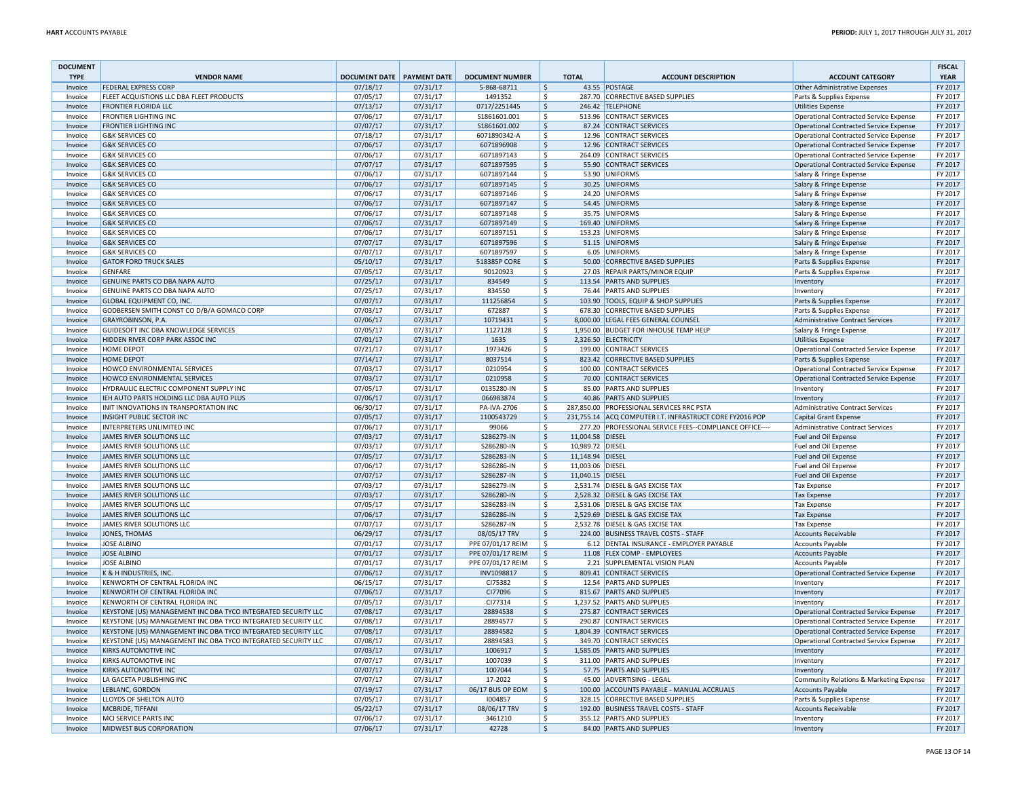| <b>DOCUMENT</b>    |                                                                                    |                                   |                      |                                        |                     |                  |                                                                                                       |                                                           | <b>FISCAL</b>      |
|--------------------|------------------------------------------------------------------------------------|-----------------------------------|----------------------|----------------------------------------|---------------------|------------------|-------------------------------------------------------------------------------------------------------|-----------------------------------------------------------|--------------------|
| <b>TYPE</b>        | <b>VENDOR NAME</b>                                                                 | <b>DOCUMENT DATE PAYMENT DATE</b> |                      | <b>DOCUMENT NUMBER</b>                 |                     | <b>TOTAL</b>     | <b>ACCOUNT DESCRIPTION</b>                                                                            | <b>ACCOUNT CATEGORY</b>                                   | <b>YEAR</b>        |
| Invoice<br>Invoice | <b>FEDERAL EXPRESS CORP</b><br><b>FLEET ACQUISTIONS LLC DBA FLEET PRODUCTS</b>     | 07/18/17<br>07/05/17              | 07/31/17<br>07/31/17 | 5-868-68711<br>1491352                 | \$<br>\$            |                  | 43.55 POSTAGE<br>287.70 CORRECTIVE BASED SUPPLIES                                                     | Other Administrative Expenses<br>Parts & Supplies Expense | FY 2017<br>FY 2017 |
| Invoice            | <b>FRONTIER FLORIDA LLC</b>                                                        | 07/13/17                          | 07/31/17             | 0717/2251445                           | l\$                 |                  | 246.42 TELEPHONE                                                                                      | Utilities Expense                                         | FY 2017            |
| Invoice            | <b>FRONTIER LIGHTING INC</b>                                                       | 07/06/17                          | 07/31/17             | \$1861601.001                          | \$                  |                  | 513.96 CONTRACT SERVICES                                                                              | Operational Contracted Service Expense                    | FY 2017            |
| Invoice            | <b>FRONTIER LIGHTING INC</b>                                                       | 07/07/17                          | 07/31/17             | \$1861601.002                          | \$                  |                  | 87.24 CONTRACT SERVICES                                                                               | Operational Contracted Service Expense                    | FY 2017            |
| Invoice            | <b>G&amp;K SERVICES CO</b>                                                         | 07/18/17                          | 07/31/17             | 6071890342-A                           | \$                  |                  | 12.96 CONTRACT SERVICES                                                                               | Operational Contracted Service Expense                    | FY 2017            |
| Invoice            | <b>G&amp;K SERVICES CO</b>                                                         | 07/06/17                          | 07/31/17             | 6071896908                             | \$                  |                  | 12.96 CONTRACT SERVICES                                                                               | Operational Contracted Service Expense                    | FY 2017            |
| Invoice            | <b>G&amp;K SERVICES CO</b>                                                         | 07/06/17                          | 07/31/17             | 6071897143                             | \$                  |                  | 264.09 CONTRACT SERVICES                                                                              | Operational Contracted Service Expense                    | FY 2017            |
| Invoice            | <b>G&amp;K SERVICES CO</b>                                                         | 07/07/17                          | 07/31/17             | 6071897595                             | \$                  |                  | 55.90 CONTRACT SERVICES                                                                               | Operational Contracted Service Expense                    | FY 2017            |
| Invoice            | <b>G&amp;K SERVICES CO</b>                                                         | 07/06/17                          | 07/31/17             | 6071897144                             | \$                  |                  | 53.90 UNIFORMS                                                                                        | Salary & Fringe Expense                                   | FY 2017            |
| Invoice            | <b>G&amp;K SERVICES CO</b>                                                         | 07/06/17                          | 07/31/17             | 6071897145                             | \$                  |                  | 30.25 UNIFORMS                                                                                        | Salary & Fringe Expense                                   | FY 2017            |
| Invoice            | <b>G&amp;K SERVICES CO</b>                                                         | 07/06/17                          | 07/31/17             | 6071897146                             | \$                  |                  | 24.20 UNIFORMS                                                                                        | Salary & Fringe Expense                                   | FY 2017            |
| Invoice            | <b>G&amp;K SERVICES CO</b>                                                         | 07/06/17                          | 07/31/17             | 6071897147                             | \$                  |                  | 54.45 UNIFORMS                                                                                        | Salary & Fringe Expense                                   | FY 2017            |
| Invoice            | <b>G&amp;K SERVICES CO</b>                                                         | 07/06/17                          | 07/31/17             | 6071897148                             | \$                  |                  | 35.75 UNIFORMS                                                                                        | Salary & Fringe Expense                                   | FY 2017            |
| Invoice            | <b>G&amp;K SERVICES CO</b>                                                         | 07/06/17                          | 07/31/17             | 6071897149                             | \$                  |                  | 169.40 UNIFORMS                                                                                       | Salary & Fringe Expense                                   | FY 2017            |
| Invoice            | <b>G&amp;K SERVICES CO</b>                                                         | 07/06/17                          | 07/31/17             | 6071897151                             | \$                  |                  | 153.23 UNIFORMS                                                                                       | Salary & Fringe Expense                                   | FY 2017            |
| Invoice            | <b>G&amp;K SERVICES CO</b><br><b>G&amp;K SERVICES CO</b>                           | 07/07/17<br>07/07/17              | 07/31/17<br>07/31/17 | 6071897596<br>6071897597               | \$<br>Ŝ.            |                  | 51.15 UNIFORMS<br>6.05 UNIFORMS                                                                       | Salary & Fringe Expense<br>Salary & Fringe Expense        | FY 2017<br>FY 2017 |
| Invoice<br>Invoice | <b>GATOR FORD TRUCK SALES</b>                                                      | 05/10/17                          | 07/31/17             | 518385P CORE                           | \$                  |                  | 50.00 CORRECTIVE BASED SUPPLIES                                                                       | Parts & Supplies Expense                                  | FY 2017            |
| Invoice            | <b>GENFARE</b>                                                                     | 07/05/17                          | 07/31/17             | 90120923                               | \$                  |                  | 27.03 REPAIR PARTS/MINOR EQUIP                                                                        | Parts & Supplies Expense                                  | FY 2017            |
| Invoice            | <b>GENUINE PARTS CO DBA NAPA AUTO</b>                                              | 07/25/17                          | 07/31/17             | 834549                                 | \$                  |                  | 113.54 PARTS AND SUPPLIES                                                                             | Inventory                                                 | FY 2017            |
| Invoice            | GENUINE PARTS CO DBA NAPA AUTO                                                     | 07/25/17                          | 07/31/17             | 834550                                 | \$                  |                  | 76.44 PARTS AND SUPPLIES                                                                              | Inventory                                                 | FY 2017            |
| Invoice            | GLOBAL EQUIPMENT CO, INC.                                                          | 07/07/17                          | 07/31/17             | 111256854                              | $\ddot{\mathsf{S}}$ |                  | 103.90 TOOLS, EQUIP & SHOP SUPPLIES                                                                   | Parts & Supplies Expense                                  | FY 2017            |
| Invoice            | GODBERSEN SMITH CONST CO D/B/A GOMACO CORP                                         | 07/03/17                          | 07/31/17             | 672887                                 | \$                  |                  | 678.30 CORRECTIVE BASED SUPPLIES                                                                      | Parts & Supplies Expense                                  | FY 2017            |
| Invoice            | GRAYROBINSON, P.A.                                                                 | 07/06/17                          | 07/31/17             | 10719431                               | l\$                 |                  | 8,000.00 LEGAL FEES GENERAL COUNSEL                                                                   | Administrative Contract Services                          | FY 2017            |
| Invoice            | GUIDESOFT INC DBA KNOWLEDGE SERVICES                                               | 07/05/17                          | 07/31/17             | 1127128                                | \$                  |                  | 1.950.00 BUDGET FOR INHOUSE TEMP HELP                                                                 | Salary & Fringe Expense                                   | FY 2017            |
| Invoice            | <b>HIDDEN RIVER CORP PARK ASSOC INC.</b>                                           | 07/01/17                          | 07/31/17             | 1635                                   | l\$                 |                  | 2.326.50 ELECTRICITY                                                                                  | Utilities Expense                                         | FY 2017            |
| Invoice            | <b>HOME DEPOT</b>                                                                  | 07/21/17                          | 07/31/17             | 1973426                                | \$                  |                  | 199.00 CONTRACT SERVICES                                                                              | Operational Contracted Service Expense                    | FY 2017            |
| Invoice            | <b>HOME DEPOT</b>                                                                  | 07/14/17                          | 07/31/17             | 8037514                                | \$                  |                  | 823.42 CORRECTIVE BASED SUPPLIES                                                                      | Parts & Supplies Expense                                  | FY 2017            |
| Invoice            | <b>HOWCO ENVIRONMENTAL SERVICES</b>                                                | 07/03/17                          | 07/31/17             | 0210954                                | \$                  |                  | 100.00 CONTRACT SERVICES                                                                              | Operational Contracted Service Expense                    | FY 2017            |
| Invoice            | HOWCO ENVIRONMENTAL SERVICES                                                       | 07/03/17                          | 07/31/17             | 0210958                                | \$                  |                  | 70.00 CONTRACT SERVICES                                                                               | Operational Contracted Service Expense                    | FY 2017            |
| Invoice            | HYDRAULIC ELECTRIC COMPONENT SUPPLY INC                                            | 07/05/17                          | 07/31/17             | 0135280-IN                             | \$                  |                  | 85.00 PARTS AND SUPPLIES                                                                              | Inventory                                                 | FY 2017            |
| Invoice            | IEH AUTO PARTS HOLDING LLC DBA AUTO PLUS<br>INIT INNOVATIONS IN TRANSPORTATION INC | 07/06/17                          | 07/31/17             | 066983874                              | \$<br>-Ś            |                  | 40.86 PARTS AND SUPPLIES                                                                              | Inventory                                                 | FY 2017            |
| Invoice            | INSIGHT PUBLIC SECTOR INC                                                          | 06/30/17<br>07/05/17              | 07/31/17<br>07/31/17 | PA-IVA-2706<br>1100543729              | <sup>\$</sup>       |                  | 287,850.00 PROFESSIONAL SERVICES RRC PSTA<br>231,755.14 ACQ COMPUTER I.T. INFRASTRUCT CORE FY2016 POP | Administrative Contract Services                          | FY 2017<br>FY 2017 |
| Invoice<br>Invoice | INTERPRETERS UNLIMITED INC                                                         | 07/06/17                          | 07/31/17             | 99066                                  | \$                  |                  | 277.20 PROFESSIONAL SERVICE FEES--COMPLIANCE OFFICE----                                               | Capital Grant Expense<br>Administrative Contract Services | FY 2017            |
| Invoice            | JAMES RIVER SOLUTIONS LLC                                                          | 07/03/17                          | 07/31/17             | S286279-IN                             | <sup>\$</sup>       | 11,004.58 DIESEL |                                                                                                       | Fuel and Oil Expense                                      | FY 2017            |
| Invoice            | JAMES RIVER SOLUTIONS LLC                                                          | 07/03/17                          | 07/31/17             | S286280-IN                             | \$                  | 10,989.72 DIESEL |                                                                                                       | Fuel and Oil Expense                                      | FY 2017            |
| Invoice            | JAMES RIVER SOLUTIONS LLC                                                          | 07/05/17                          | 07/31/17             | S286283-IN                             | <sup>\$</sup>       | 11,148.94 DIESEL |                                                                                                       | Fuel and Oil Expense                                      | FY 2017            |
| Invoice            | JAMES RIVER SOLUTIONS LLC                                                          | 07/06/17                          | 07/31/17             | S286286-IN                             | \$                  | 11,003.06 DIESEL |                                                                                                       | Fuel and Oil Expense                                      | FY 2017            |
| Invoice            | JAMES RIVER SOLUTIONS LLC                                                          | 07/07/17                          | 07/31/17             | S286287-IN                             | $\mathsf{S}$        | 11,040.15 DIESEL |                                                                                                       | Fuel and Oil Expense                                      | FY 2017            |
| Invoice            | JAMES RIVER SOLUTIONS LLC                                                          | 07/03/17                          | 07/31/17             | S286279-IN                             | \$                  |                  | 2,531.74 DIESEL & GAS EXCISE TAX                                                                      | <b>Tax Expense</b>                                        | FY 2017            |
| Invoice            | JAMES RIVER SOLUTIONS LLC                                                          | 07/03/17                          | 07/31/17             | S286280-IN                             | \$                  |                  | 2,528.32 DIESEL & GAS EXCISE TAX                                                                      | <b>Tax Expense</b>                                        | FY 2017            |
| Invoice            | JAMES RIVER SOLUTIONS LLC                                                          | 07/05/17                          | 07/31/17             | S286283-IN                             | \$                  |                  | 2,531.06 DIESEL & GAS EXCISE TAX                                                                      | Tax Expense                                               | FY 2017            |
| Invoice            | JAMES RIVER SOLUTIONS LLC                                                          | 07/06/17                          | 07/31/17             | S286286-IN                             | \$                  |                  | 2,529.69 DIESEL & GAS EXCISE TAX                                                                      | <b>Tax Expense</b>                                        | FY 2017            |
| Invoice            | JAMES RIVER SOLUTIONS LLC                                                          | 07/07/17                          | 07/31/17             | S286287-IN                             | \$                  |                  | 2,532.78 DIESEL & GAS EXCISE TAX                                                                      | Tax Expense                                               | FY 2017            |
| Invoice            | JONES, THOMAS                                                                      | 06/29/17                          | 07/31/17             | 08/05/17 TRV                           | l\$                 |                  | 224.00 BUSINESS TRAVEL COSTS - STAFF                                                                  | <b>Accounts Receivable</b>                                | FY 2017            |
| Invoice            | <b>JOSE ALBINO</b>                                                                 | 07/01/17                          | 07/31/17             | PPE 07/01/17 REIM                      | \$                  |                  | 6.12 DENTAL INSURANCE - EMPLOYER PAYABLE                                                              | Accounts Payable                                          | FY 2017<br>FY 2017 |
| Invoice<br>Invoice | <b>JOSE ALBINO</b><br><b>JOSE ALBINO</b>                                           | 07/01/17<br>07/01/17              | 07/31/17<br>07/31/17 | PPE 07/01/17 REIM<br>PPE 07/01/17 REIM | \$<br>\$            |                  | 11.08 FLEX COMP - EMPLOYEES<br>2.21 SUPPLEMENTAL VISION PLAN                                          | <b>Accounts Payable</b><br>Accounts Payable               | FY 2017            |
| Invoice            | K & H INDUSTRIES. INC.                                                             | 07/06/17                          | 07/31/17             | INV1098817                             | Ŝ.                  |                  | 809.41 CONTRACT SERVICES                                                                              | Operational Contracted Service Expense                    | FY 2017            |
| Invoice            | KENWORTH OF CENTRAL FLORIDA INC                                                    | 06/15/17                          | 07/31/17             | CI75382                                | \$                  |                  | 12.54 PARTS AND SUPPLIES                                                                              | Inventory                                                 | FY 2017            |
| Invoice            | KENWORTH OF CENTRAL FLORIDA INC                                                    | 07/06/17                          | 07/31/17             | CI77096                                | \$                  |                  | 815.67 PARTS AND SUPPLIES                                                                             | Inventory                                                 | FY 2017            |
| Invoice            | KENWORTH OF CENTRAL FLORIDA INC                                                    | 07/05/17                          | 07/31/17             | CI77314                                | \$                  |                  | 1,237.52 PARTS AND SUPPLIES                                                                           | Inventory                                                 | FY 2017            |
| Invoice            | KEYSTONE (US) MANAGEMENT INC DBA TYCO INTEGRATED SECURITY LLC                      | 07/08/17                          | 07/31/17             | 28894538                               | \$                  |                  | 275.87 CONTRACT SERVICES                                                                              | Operational Contracted Service Expense                    | FY 2017            |
| Invoice            | KEYSTONE (US) MANAGEMENT INC DBA TYCO INTEGRATED SECURITY LLC                      | 07/08/17                          | 07/31/17             | 28894577                               | \$                  |                  | 290.87 CONTRACT SERVICES                                                                              | Operational Contracted Service Expense                    | FY 2017            |
| Invoice            | KEYSTONE (US) MANAGEMENT INC DBA TYCO INTEGRATED SECURITY LLC                      | 07/08/17                          | 07/31/17             | 28894582                               | \$                  |                  | 1,804.39 CONTRACT SERVICES                                                                            | Operational Contracted Service Expense                    | FY 2017            |
| Invoice            | KEYSTONE (US) MANAGEMENT INC DBA TYCO INTEGRATED SECURITY LLC                      | 07/08/17                          | 07/31/17             | 28894583                               | -\$                 |                  | 349.70 CONTRACT SERVICES                                                                              | Operational Contracted Service Expense                    | FY 2017            |
| Invoice            | <b>KIRKS AUTOMOTIVE INC</b>                                                        | 07/03/17                          | 07/31/17             | 1006917                                | \$                  |                  | 1,585.05 PARTS AND SUPPLIES                                                                           | Inventory                                                 | FY 2017            |
| Invoice            | <b>KIRKS AUTOMOTIVE INC</b>                                                        | 07/07/17                          | 07/31/17             | 1007039                                | \$                  |                  | 311.00 PARTS AND SUPPLIES                                                                             | Inventory                                                 | FY 2017            |
| Invoice            | <b>KIRKS AUTOMOTIVE INC</b>                                                        | 07/07/17                          | 07/31/17             | 1007044                                | \$                  |                  | 57.75 PARTS AND SUPPLIES                                                                              | Inventory                                                 | FY 2017            |
| Invoice            | LA GACETA PUBLISHING INC                                                           | 07/07/17                          | 07/31/17             | 17-2022                                | \$                  |                  | 45.00 ADVERTISING - LEGAL                                                                             | Community Relations & Marketing Expense                   | FY 2017            |
| Invoice            | LEBLANC, GORDON                                                                    | 07/19/17                          | 07/31/17             | 06/17 BUS OP EOM                       | \$                  |                  | 100.00 ACCOUNTS PAYABLE - MANUAL ACCRUALS                                                             | Accounts Payable                                          | FY 2017            |
| Invoice            | LLOYDS OF SHELTON AUTO                                                             | 07/05/17                          | 07/31/17             | 1004857<br>08/06/17 TRV                | Ŝ.                  |                  | 328.15 CORRECTIVE BASED SUPPLIES                                                                      | Parts & Supplies Expense                                  | FY 2017            |
| Invoice            | MCBRIDE, TIFFANI                                                                   | 05/22/17                          | 07/31/17<br>07/31/17 | 3461210                                | \$<br>Ŝ.            |                  | 192.00 BUSINESS TRAVEL COSTS - STAFF<br>355.12 PARTS AND SUPPLIES                                     | Accounts Receivable<br>Inventory                          | FY 2017<br>FY 2017 |
| Invoice<br>Invoice | MCI SERVICE PARTS INC<br>MIDWEST BUS CORPORATION                                   | 07/06/17<br>07/06/17              | 07/31/17             | 42728                                  | $\ddot{\mathsf{S}}$ |                  | 84.00 PARTS AND SUPPLIES                                                                              | Inventory                                                 | FY 2017            |
|                    |                                                                                    |                                   |                      |                                        |                     |                  |                                                                                                       |                                                           |                    |